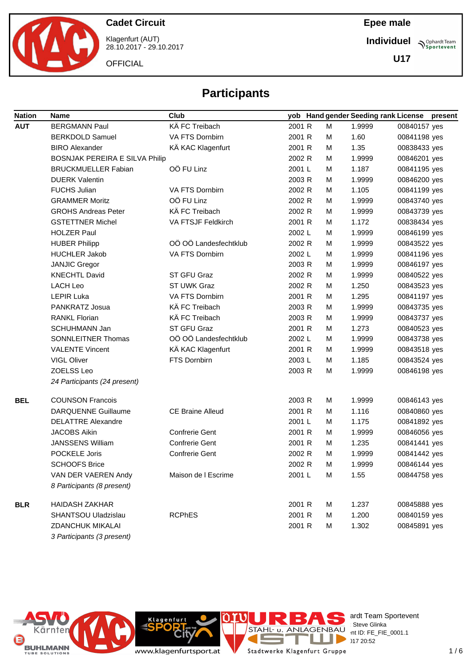

Klagenfurt (AUT) 28.10.2017 - 29.10.2017

**OFFICIAL** 

**Epee male**

**Individuel Sportevent** 

**U17**

# **Participants**

| <b>Nation</b> | Name                                  | Club                    |        |   | yob Hand gender Seeding rank License |              | present |
|---------------|---------------------------------------|-------------------------|--------|---|--------------------------------------|--------------|---------|
| <b>AUT</b>    | <b>BERGMANN Paul</b>                  | KÄ FC Treibach          | 2001 R | М | 1.9999                               | 00840157 yes |         |
|               | <b>BERKDOLD Samuel</b>                | VA FTS Dornbirn         | 2001 R | м | 1.60                                 | 00841198 yes |         |
|               | <b>BIRO Alexander</b>                 | KÄ KAC Klagenfurt       | 2001 R | м | 1.35                                 | 00838433 yes |         |
|               | <b>BOSNJAK PEREIRA E SILVA Philip</b> |                         | 2002 R | м | 1.9999                               | 00846201 yes |         |
|               | <b>BRUCKMUELLER Fabian</b>            | OÖ FU Linz              | 2001 L | м | 1.187                                | 00841195 yes |         |
|               | <b>DUERK Valentin</b>                 |                         | 2003 R | м | 1.9999                               | 00846200 yes |         |
|               | <b>FUCHS Julian</b>                   | VA FTS Dornbirn         | 2002 R | М | 1.105                                | 00841199 yes |         |
|               | <b>GRAMMER Moritz</b>                 | OÖ FU Linz              | 2002 R | м | 1.9999                               | 00843740 yes |         |
|               | <b>GROHS Andreas Peter</b>            | KÄ FC Treibach          | 2002 R | м | 1.9999                               | 00843739 yes |         |
|               | <b>GSTETTNER Michel</b>               | VA FTSJF Feldkirch      | 2001 R | м | 1.172                                | 00838434 yes |         |
|               | <b>HOLZER Paul</b>                    |                         | 2002 L | м | 1.9999                               | 00846199 yes |         |
|               | <b>HUBER Philipp</b>                  | OÖ OÖ Landesfechtklub   | 2002 R | м | 1.9999                               | 00843522 yes |         |
|               | <b>HUCHLER Jakob</b>                  | VA FTS Dornbirn         | 2002 L | м | 1.9999                               | 00841196 yes |         |
|               | <b>JANJIC Gregor</b>                  |                         | 2003 R | M | 1.9999                               | 00846197 yes |         |
|               | <b>KNECHTL David</b>                  | ST GFU Graz             | 2002 R | м | 1.9999                               | 00840522 yes |         |
|               | LACH Leo                              | ST UWK Graz             | 2002 R | м | 1.250                                | 00843523 yes |         |
|               | <b>LEPIR Luka</b>                     | VA FTS Dornbirn         | 2001 R | м | 1.295                                | 00841197 yes |         |
|               | PANKRATZ Josua                        | KÄ FC Treibach          | 2003 R | м | 1.9999                               | 00843735 yes |         |
|               | <b>RANKL Florian</b>                  | KÄ FC Treibach          | 2003 R | м | 1.9999                               | 00843737 yes |         |
|               | <b>SCHUHMANN Jan</b>                  | ST GFU Graz             | 2001 R | м | 1.273                                | 00840523 yes |         |
|               | SONNLEITNER Thomas                    | OÖ OÖ Landesfechtklub   | 2002 L | м | 1.9999                               | 00843738 yes |         |
|               | <b>VALENTE Vincent</b>                | KÄ KAC Klagenfurt       | 2001 R | м | 1.9999                               | 00843518 yes |         |
|               | <b>VIGL Oliver</b>                    | FTS Dornbirn            | 2003L  | м | 1.185                                | 00843524 yes |         |
|               | ZOELSS Leo                            |                         | 2003 R | м | 1.9999                               | 00846198 yes |         |
|               | 24 Participants (24 present)          |                         |        |   |                                      |              |         |
| <b>BEL</b>    | <b>COUNSON Francois</b>               |                         | 2003 R | М | 1.9999                               | 00846143 yes |         |
|               | <b>DARQUENNE Guillaume</b>            | <b>CE Braine Alleud</b> | 2001 R | м | 1.116                                | 00840860 yes |         |
|               | <b>DELATTRE Alexandre</b>             |                         | 2001 L | м | 1.175                                | 00841892 yes |         |
|               | <b>JACOBS Aikin</b>                   | Confrerie Gent          | 2001 R | м | 1.9999                               | 00846056 yes |         |
|               | <b>JANSSENS William</b>               | <b>Confrerie Gent</b>   | 2001 R | м | 1.235                                | 00841441 yes |         |
|               | POCKELE Joris                         | <b>Confrerie Gent</b>   | 2002 R | м | 1.9999                               | 00841442 yes |         |
|               | <b>SCHOOFS Brice</b>                  |                         | 2002 R | M | 1.9999                               | 00846144 yes |         |
|               | VAN DER VAEREN Andy                   | Maison de I Escrime     | 2001 L | M | 1.55                                 | 00844758 yes |         |
|               | 8 Participants (8 present)            |                         |        |   |                                      |              |         |
| <b>BLR</b>    | <b>HAIDASH ZAKHAR</b>                 |                         | 2001 R | М | 1.237                                | 00845888 yes |         |
|               | SHANTSOU Uladzislau                   | <b>RCPhES</b>           | 2001 R | M | 1.200                                | 00840159 yes |         |
|               | ZDANCHUK MIKALAI                      |                         | 2001 R | М | 1.302                                | 00845891 yes |         |



3 Participants (3 present)

ardt Team Sportevent STAHL U. ANLAGENBAU IBAU nt ID: FE\_FIE\_0001.1 28.10.2017 20:52

www.klagenfurtsport.at

Klagenfurt

Stadtwerke Klagenfurt Gruppe

T.

E

ı J.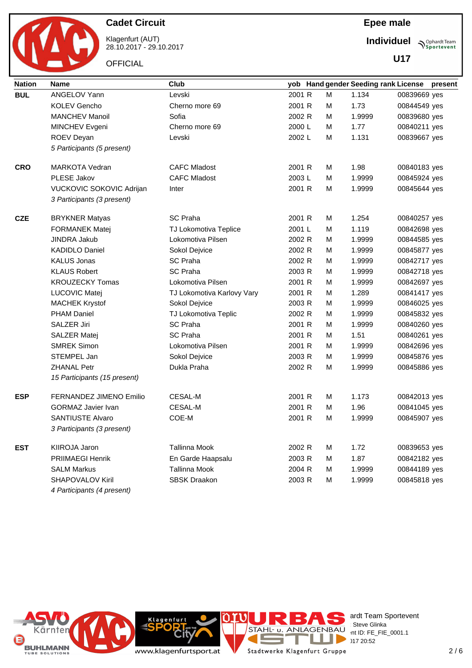

Klagenfurt (AUT) 28.10.2017 - 29.10.2017

**OFFICIAL** 

**Individuel Sportevent** 

**U17**

| <b>Nation</b> | <b>Name</b>                  | Club                       |        |   |        | yob Hand gender Seeding rank License present |
|---------------|------------------------------|----------------------------|--------|---|--------|----------------------------------------------|
| <b>BUL</b>    | ANGELOV Yann                 | Levski                     | 2001 R | M | 1.134  | 00839669 yes                                 |
|               | <b>KOLEV Gencho</b>          | Cherno more 69             | 2001 R | M | 1.73   | 00844549 yes                                 |
|               | <b>MANCHEV Manoil</b>        | Sofia                      | 2002 R | м | 1.9999 | 00839680 yes                                 |
|               | MINCHEV Evgeni               | Cherno more 69             | 2000 L | м | 1.77   | 00840211 yes                                 |
|               | ROEV Deyan                   | Levski                     | 2002 L | м | 1.131  | 00839667 yes                                 |
|               | 5 Participants (5 present)   |                            |        |   |        |                                              |
| <b>CRO</b>    | <b>MARKOTA Vedran</b>        | <b>CAFC Mladost</b>        | 2001 R | м | 1.98   | 00840183 yes                                 |
|               | PLESE Jakov                  | <b>CAFC Mladost</b>        | 2003L  | м | 1.9999 | 00845924 yes                                 |
|               | VUCKOVIC SOKOVIC Adrijan     | Inter                      | 2001 R | м | 1.9999 | 00845644 yes                                 |
|               | 3 Participants (3 present)   |                            |        |   |        |                                              |
| <b>CZE</b>    | <b>BRYKNER Matyas</b>        | <b>SC Praha</b>            | 2001 R | м | 1.254  | 00840257 yes                                 |
|               | <b>FORMANEK Matej</b>        | TJ Lokomotiva Teplice      | 2001 L | M | 1.119  | 00842698 yes                                 |
|               | JINDRA Jakub                 | Lokomotiva Pilsen          | 2002 R | M | 1.9999 | 00844585 yes                                 |
|               | <b>KADIDLO Daniel</b>        | Sokol Dejvice              | 2002 R | м | 1.9999 | 00845877 yes                                 |
|               | <b>KALUS Jonas</b>           | <b>SC Praha</b>            | 2002 R | M | 1.9999 | 00842717 yes                                 |
|               | <b>KLAUS Robert</b>          | <b>SC Praha</b>            | 2003 R | м | 1.9999 | 00842718 yes                                 |
|               | <b>KROUZECKY Tomas</b>       | Lokomotiva Pilsen          | 2001 R | м | 1.9999 | 00842697 yes                                 |
|               | LUCOVIC Matej                | TJ Lokomotiva Karlovy Vary | 2001 R | м | 1.289  | 00841417 yes                                 |
|               | <b>MACHEK Krystof</b>        | Sokol Dejvice              | 2003 R | M | 1.9999 | 00846025 yes                                 |
|               | PHAM Daniel                  | TJ Lokomotiva Teplic       | 2002 R | M | 1.9999 | 00845832 yes                                 |
|               | SALZER Jiri                  | SC Praha                   | 2001 R | M | 1.9999 | 00840260 yes                                 |
|               | <b>SALZER Matej</b>          | <b>SC Praha</b>            | 2001 R | м | 1.51   | 00840261 yes                                 |
|               | <b>SMREK Simon</b>           | Lokomotiva Pilsen          | 2001 R | м | 1.9999 | 00842696 yes                                 |
|               | STEMPEL Jan                  | Sokol Dejvice              | 2003 R | м | 1.9999 | 00845876 yes                                 |
|               | <b>ZHANAL Petr</b>           | Dukla Praha                | 2002 R | м | 1.9999 | 00845886 yes                                 |
|               | 15 Participants (15 present) |                            |        |   |        |                                              |
| <b>ESP</b>    | FERNANDEZ JIMENO Emilio      | <b>CESAL-M</b>             | 2001 R | м | 1.173  | 00842013 yes                                 |
|               | <b>GORMAZ Javier Ivan</b>    | CESAL-M                    | 2001 R | м | 1.96   | 00841045 yes                                 |
|               | <b>SANTIUSTE Alvaro</b>      | COE-M                      | 2001 R | M | 1.9999 | 00845907 yes                                 |
|               | 3 Participants (3 present)   |                            |        |   |        |                                              |
| <b>EST</b>    | KIIROJA Jaron                | <b>Tallinna Mook</b>       | 2002 R | м | 1.72   | 00839653 yes                                 |
|               | <b>PRIIMAEGI Henrik</b>      | En Garde Haapsalu          | 2003 R | M | 1.87   | 00842182 yes                                 |
|               | <b>SALM Markus</b>           | <b>Tallinna Mook</b>       | 2004 R | м | 1.9999 | 00844189 yes                                 |
|               | <b>SHAPOVALOV Kiril</b>      | <b>SBSK Draakon</b>        | 2003 R | м | 1.9999 | 00845818 yes                                 |
|               | 4 Participants (4 present)   |                            |        |   |        |                                              |







ardt Team Sportevent<br>Steve Glinka **License:** Steve Glinka  $P^{\text{LO}}$  int ID: FE\_FIE\_0001.1  $20:52$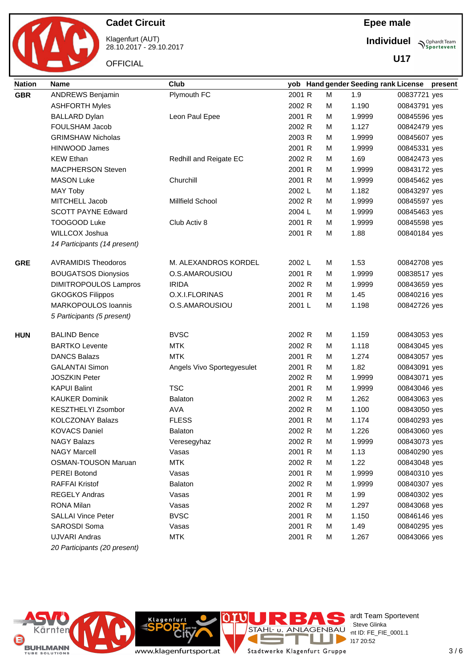

Klagenfurt (AUT) 28.10.2017 - 29.10.2017

**OFFICIAL** 

**Individuel**

**U17**

**Sportevent** 

| <b>Nation</b> | <b>Name</b>                  | Club                       |        |   | yob Hand gender Seeding rank License |              | present |
|---------------|------------------------------|----------------------------|--------|---|--------------------------------------|--------------|---------|
| <b>GBR</b>    | <b>ANDREWS Benjamin</b>      | Plymouth FC                | 2001 R | М | 1.9                                  | 00837721 yes |         |
|               | <b>ASHFORTH Myles</b>        |                            | 2002 R | M | 1.190                                | 00843791 yes |         |
|               | <b>BALLARD Dylan</b>         | Leon Paul Epee             | 2001 R | м | 1.9999                               | 00845596 yes |         |
|               | FOULSHAM Jacob               |                            | 2002 R | м | 1.127                                | 00842479 yes |         |
|               | <b>GRIMSHAW Nicholas</b>     |                            | 2003 R | м | 1.9999                               | 00845607 yes |         |
|               | HINWOOD James                |                            | 2001 R | M | 1.9999                               | 00845331 yes |         |
|               | <b>KEW Ethan</b>             | Redhill and Reigate EC     | 2002 R | M | 1.69                                 | 00842473 yes |         |
|               | <b>MACPHERSON Steven</b>     |                            | 2001 R | M | 1.9999                               | 00843172 yes |         |
|               | <b>MASON Luke</b>            | Churchill                  | 2001 R | м | 1.9999                               | 00845462 yes |         |
|               | <b>MAY Toby</b>              |                            | 2002 L | м | 1.182                                | 00843297 yes |         |
|               | MITCHELL Jacob               | <b>Millfield School</b>    | 2002 R | м | 1.9999                               | 00845597 yes |         |
|               | <b>SCOTT PAYNE Edward</b>    |                            | 2004 L | м | 1.9999                               | 00845463 yes |         |
|               | TOOGOOD Luke                 | Club Activ 8               | 2001 R | м | 1.9999                               | 00845598 yes |         |
|               | WILLCOX Joshua               |                            | 2001 R | M | 1.88                                 | 00840184 yes |         |
|               | 14 Participants (14 present) |                            |        |   |                                      |              |         |
| <b>GRE</b>    | <b>AVRAMIDIS Theodoros</b>   | M. ALEXANDROS KORDEL       | 2002 L | м | 1.53                                 | 00842708 yes |         |
|               | <b>BOUGATSOS Dionysios</b>   | O.S.AMAROUSIOU             | 2001 R | м | 1.9999                               | 00838517 yes |         |
|               | <b>DIMITROPOULOS Lampros</b> | <b>IRIDA</b>               | 2002 R | м | 1.9999                               | 00843659 yes |         |
|               | <b>GKOGKOS Filippos</b>      | O.X.I.FLORINAS             | 2001 R | м | 1.45                                 | 00840216 yes |         |
|               | <b>MARKOPOULOS Ioannis</b>   | O.S.AMAROUSIOU             | 2001 L | м | 1.198                                | 00842726 yes |         |
|               | 5 Participants (5 present)   |                            |        |   |                                      |              |         |
| <b>HUN</b>    | <b>BALIND Bence</b>          | <b>BVSC</b>                | 2002 R | M | 1.159                                | 00843053 yes |         |
|               | <b>BARTKO Levente</b>        | <b>MTK</b>                 | 2002 R | м | 1.118                                | 00843045 yes |         |
|               | <b>DANCS Balazs</b>          | <b>MTK</b>                 | 2001 R | м | 1.274                                | 00843057 yes |         |
|               | <b>GALANTAI Simon</b>        | Angels Vivo Sportegyesulet | 2001 R | M | 1.82                                 | 00843091 yes |         |
|               | <b>JOSZKIN Peter</b>         |                            | 2002 R | M | 1.9999                               | 00843071 yes |         |
|               | <b>KAPUI Balint</b>          | <b>TSC</b>                 | 2001 R | M | 1.9999                               | 00843046 yes |         |
|               | <b>KAUKER Dominik</b>        | <b>Balaton</b>             | 2002 R | м | 1.262                                | 00843063 yes |         |
|               | <b>KESZTHELYI Zsombor</b>    | <b>AVA</b>                 | 2002 R | м | 1.100                                | 00843050 yes |         |
|               | <b>KOLCZONAY Balazs</b>      | <b>FLESS</b>               | 2001 R | м | 1.174                                | 00840293 yes |         |
|               | <b>KOVACS Daniel</b>         | Balaton                    | 2002 R | М | 1.226                                | 00843060 yes |         |
|               | <b>NAGY Balazs</b>           | Veresegyhaz                | 2002 R | M | 1.9999                               | 00843073 yes |         |
|               | <b>NAGY Marcell</b>          | Vasas                      | 2001 R | М | 1.13                                 | 00840290 yes |         |
|               | <b>OSMAN-TOUSON Maruan</b>   | <b>MTK</b>                 | 2002 R | м | 1.22                                 | 00843048 yes |         |
|               | <b>PEREI Botond</b>          | Vasas                      | 2001 R | M | 1.9999                               | 00840310 yes |         |
|               | <b>RAFFAI Kristof</b>        | <b>Balaton</b>             | 2002 R | M | 1.9999                               | 00840307 yes |         |
|               | <b>REGELY Andras</b>         | Vasas                      | 2001 R | M | 1.99                                 | 00840302 yes |         |
|               | <b>RONA Milan</b>            | Vasas                      | 2002 R | M | 1.297                                | 00843068 yes |         |
|               | <b>SALLAI Vince Peter</b>    | <b>BVSC</b>                | 2001 R | M | 1.150                                | 00846146 yes |         |
|               | SAROSDI Soma                 | Vasas                      | 2001 R | M | 1.49                                 | 00840295 yes |         |
|               | UJVARI Andras                | <b>MTK</b>                 | 2001 R | M | 1.267                                | 00843066 yes |         |
|               | 20 Participants (20 present) |                            |        |   |                                      |              |         |



ardt Team Sportevent<br>∶Steve Glinka **License:** Steve Glinka  $P^{\text{LO}}$  int ID: FE\_FIE\_0001.1  $20:52$ 

www.klagenfurtsport.at

**Rit** 

**Klagenfurt** 

T Stadtwerke Klagenfurt Gruppe

a.

**CONTRACT** 

Е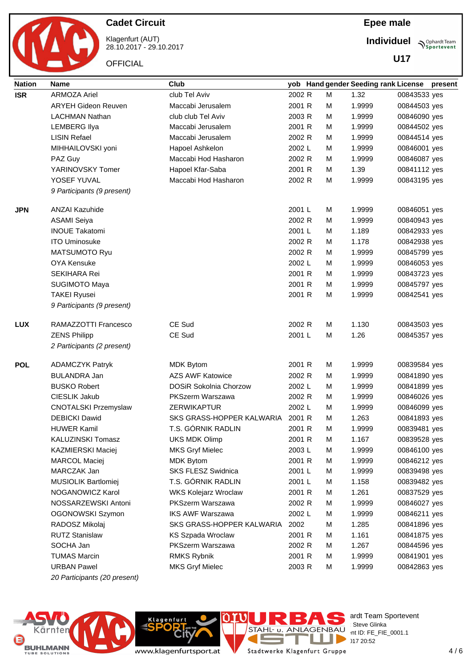

Klagenfurt (AUT) 28.10.2017 - 29.10.2017 **Individuel Sportevent** 

**U17**

| <b>Nation</b> | <b>Name</b>                  | <b>Club</b>                   |        |   | yob Hand gender Seeding rank License |              | present |
|---------------|------------------------------|-------------------------------|--------|---|--------------------------------------|--------------|---------|
| <b>ISR</b>    | <b>ARMOZA Ariel</b>          | club Tel Aviv                 | 2002 R | M | 1.32                                 | 00843533 yes |         |
|               | <b>ARYEH Gideon Reuven</b>   | Maccabi Jerusalem             | 2001 R | M | 1.9999                               | 00844503 yes |         |
|               | <b>LACHMAN Nathan</b>        | club club Tel Aviv            | 2003 R | M | 1.9999                               | 00846090 yes |         |
|               | <b>LEMBERG Ilya</b>          | Maccabi Jerusalem             | 2001 R | M | 1.9999                               | 00844502 yes |         |
|               | <b>LISIN Refael</b>          | Maccabi Jerusalem             | 2002 R | м | 1.9999                               | 00844514 yes |         |
|               | MIHHAILOVSKI yoni            | Hapoel Ashkelon               | 2002 L | м | 1.9999                               | 00846001 yes |         |
|               | PAZ Guy                      | Maccabi Hod Hasharon          | 2002 R | м | 1.9999                               | 00846087 yes |         |
|               | YARINOVSKY Tomer             | Hapoel Kfar-Saba              | 2001 R | м | 1.39                                 | 00841112 yes |         |
|               | YOSEF YUVAL                  | Maccabi Hod Hasharon          | 2002 R | м | 1.9999                               | 00843195 yes |         |
|               | 9 Participants (9 present)   |                               |        |   |                                      |              |         |
| <b>JPN</b>    | <b>ANZAI Kazuhide</b>        |                               | 2001 L | м | 1.9999                               | 00846051 yes |         |
|               | <b>ASAMI Seiya</b>           |                               | 2002 R | м | 1.9999                               | 00840943 yes |         |
|               | <b>INOUE Takatomi</b>        |                               | 2001 L | м | 1.189                                | 00842933 yes |         |
|               | <b>ITO Uminosuke</b>         |                               | 2002 R | M | 1.178                                | 00842938 yes |         |
|               | <b>MATSUMOTO Ryu</b>         |                               | 2002 R | м | 1.9999                               | 00845799 yes |         |
|               | <b>OYA Kensuke</b>           |                               | 2002 L | м | 1.9999                               | 00846053 yes |         |
|               | <b>SEKIHARA Rei</b>          |                               | 2001 R | M | 1.9999                               | 00843723 yes |         |
|               | <b>SUGIMOTO Maya</b>         |                               | 2001 R | м | 1.9999                               | 00845797 yes |         |
|               | <b>TAKEI Ryusei</b>          |                               | 2001 R | м | 1.9999                               | 00842541 yes |         |
|               | 9 Participants (9 present)   |                               |        |   |                                      |              |         |
| <b>LUX</b>    | RAMAZZOTTI Francesco         | CE Sud                        | 2002 R | м | 1.130                                | 00843503 yes |         |
|               | <b>ZENS Philipp</b>          | CE Sud                        | 2001 L | M | 1.26                                 | 00845357 yes |         |
|               | 2 Participants (2 present)   |                               |        |   |                                      |              |         |
| <b>POL</b>    | <b>ADAMCZYK Patryk</b>       | <b>MDK Bytom</b>              | 2001 R | M | 1.9999                               | 00839584 yes |         |
|               | <b>BULANDRA Jan</b>          | <b>AZS AWF Katowice</b>       | 2002 R | м | 1.9999                               | 00841890 yes |         |
|               | <b>BUSKO Robert</b>          | <b>DOSiR Sokolnia Chorzow</b> | 2002 L | м | 1.9999                               | 00841899 yes |         |
|               | CIESLIK Jakub                | <b>PKSzerm Warszawa</b>       | 2002 R | м | 1.9999                               | 00846026 yes |         |
|               | <b>CNOTALSKI Przemyslaw</b>  | <b>ZERWIKAPTUR</b>            | 2002 L | м | 1.9999                               | 00846099 yes |         |
|               | <b>DEBICKI Dawid</b>         | SKS GRASS-HOPPER KALWARIA     | 2001 R | м | 1.263                                | 00841893 yes |         |
|               | <b>HUWER Kamil</b>           | T.S. GÓRNIK RADLIN            | 2001 R | М | 1.9999                               | 00839481 yes |         |
|               | <b>KALUZINSKI Tomasz</b>     | <b>UKS MDK Olimp</b>          | 2001 R | м | 1.167                                | 00839528 yes |         |
|               | KAZMIERSKI Maciej            | <b>MKS Gryf Mielec</b>        | 2003L  | м | 1.9999                               | 00846100 yes |         |
|               | <b>MARCOL Maciej</b>         | <b>MDK Bytom</b>              | 2001 R | м | 1.9999                               | 00846212 yes |         |
|               | MARCZAK Jan                  | <b>SKS FLESZ Swidnica</b>     | 2001 L | м | 1.9999                               | 00839498 yes |         |
|               | <b>MUSIOLIK Bartlomiej</b>   | T.S. GÓRNIK RADLIN            | 2001 L | м | 1.158                                | 00839482 yes |         |
|               | NOGANOWICZ Karol             | WKS Kolejarz Wroclaw          | 2001 R | M | 1.261                                | 00837529 yes |         |
|               | NOSSARZEWSKI Antoni          | PKSzerm Warszawa              | 2002 R | M | 1.9999                               | 00846027 yes |         |
|               | OGONOWSKI Szymon             | <b>IKS AWF Warszawa</b>       | 2002 L | M | 1.9999                               | 00846211 yes |         |
|               | RADOSZ Mikolaj               | SKS GRASS-HOPPER KALWARIA     | 2002   | M | 1.285                                | 00841896 yes |         |
|               | <b>RUTZ Stanislaw</b>        | KS Szpada Wroclaw             | 2001 R | м | 1.161                                | 00841875 yes |         |
|               | SOCHA Jan                    | PKSzerm Warszawa              | 2002 R | м | 1.267                                | 00844596 yes |         |
|               | <b>TUMAS Marcin</b>          | <b>RMKS Rybnik</b>            | 2001 R | м | 1.9999                               | 00841901 yes |         |
|               | <b>URBAN Pawel</b>           | <b>MKS Gryf Mielec</b>        | 2003 R | м | 1.9999                               | 00842863 yes |         |
|               | 20 Participants (20 present) |                               |        |   |                                      |              |         |



www.klagenfurtsport.at

**City** 

Klagenfurt

 $18.720:52$ T E. Stadtwerke Klagenfurt Gruppe

Е

**COL** 

ardt Team Sportevent<br>∶Steve Glinka

**License:** Steve Glinka  $P^{\text{LO}}$  int ID: FE\_FIE\_0001.1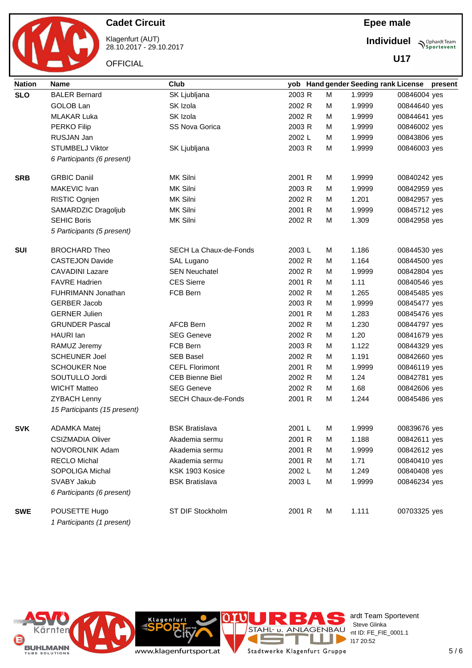

Klagenfurt (AUT) 28.10.2017 - 29.10.2017

**OFFICIAL** 

**Individuel Sportevent** 

**U17**

| <b>Nation</b> | <b>Name</b>                                 | Club                       |        |   | yob Hand gender Seeding rank License present |              |  |
|---------------|---------------------------------------------|----------------------------|--------|---|----------------------------------------------|--------------|--|
| <b>SLO</b>    | <b>BALER Bernard</b>                        | SK Ljubljana               | 2003 R | M | 1.9999                                       | 00846004 yes |  |
|               | GOLOB Lan                                   | SK Izola                   | 2002 R | м | 1.9999                                       | 00844640 yes |  |
|               | <b>MLAKAR Luka</b>                          | SK Izola                   | 2002 R | м | 1.9999                                       | 00844641 yes |  |
|               | <b>PERKO Filip</b>                          | SS Nova Gorica             | 2003 R | м | 1.9999                                       | 00846002 yes |  |
|               | RUSJAN Jan                                  |                            | 2002 L | м | 1.9999                                       | 00843806 yes |  |
|               | <b>STUMBELJ Viktor</b>                      | SK Ljubljana               | 2003 R | м | 1.9999                                       | 00846003 yes |  |
|               | 6 Participants (6 present)                  |                            |        |   |                                              |              |  |
| <b>SRB</b>    | <b>GRBIC Daniil</b>                         | MK Silni                   | 2001 R | м | 1.9999                                       | 00840242 yes |  |
|               | MAKEVIC Ivan                                | MK Silni                   | 2003 R | м | 1.9999                                       | 00842959 yes |  |
|               | RISTIC Ognjen                               | MK Silni                   | 2002 R | м | 1.201                                        | 00842957 yes |  |
|               | SAMARDZIC Dragoljub                         | MK Silni                   | 2001 R | м | 1.9999                                       | 00845712 yes |  |
|               | <b>SEHIC Boris</b>                          | MK Silni                   | 2002 R | M | 1.309                                        | 00842958 yes |  |
|               | 5 Participants (5 present)                  |                            |        |   |                                              |              |  |
| <b>SUI</b>    | <b>BROCHARD Theo</b>                        | SECH La Chaux-de-Fonds     | 2003L  | м | 1.186                                        | 00844530 yes |  |
|               | <b>CASTEJON Davide</b>                      | SAL Lugano                 | 2002 R | м | 1.164                                        | 00844500 yes |  |
|               | <b>CAVADINI Lazare</b>                      | <b>SEN Neuchatel</b>       | 2002 R | м | 1.9999                                       | 00842804 yes |  |
|               | <b>FAVRE Hadrien</b>                        | <b>CES Sierre</b>          | 2001 R | м | 1.11                                         | 00840546 yes |  |
|               | <b>FUHRIMANN Jonathan</b>                   | FCB Bern                   | 2002 R | м | 1.265                                        | 00845485 yes |  |
|               | <b>GERBER Jacob</b>                         |                            | 2003 R | м | 1.9999                                       | 00845477 yes |  |
|               | <b>GERNER Julien</b>                        |                            | 2001 R | м | 1.283                                        | 00845476 yes |  |
|               | <b>GRUNDER Pascal</b>                       | <b>AFCB Bern</b>           | 2002 R | м | 1.230                                        | 00844797 yes |  |
|               | HAURI lan                                   | <b>SEG Geneve</b>          | 2002 R | м | 1.20                                         | 00841679 yes |  |
|               | RAMUZ Jeremy                                | FCB Bern                   | 2003 R | м | 1.122                                        | 00844329 yes |  |
|               | <b>SCHEUNER Joel</b>                        | <b>SEB Basel</b>           | 2002 R | м | 1.191                                        | 00842660 yes |  |
|               | <b>SCHOUKER Noe</b>                         | <b>CEFL Florimont</b>      | 2001 R | м | 1.9999                                       | 00846119 yes |  |
|               | SOUTULLO Jordi                              | <b>CEB Bienne Biel</b>     | 2002 R | м | 1.24                                         | 00842781 yes |  |
|               | <b>WICHT Matteo</b>                         | <b>SEG Geneve</b>          | 2002 R | м | 1.68                                         | 00842606 yes |  |
|               | <b>ZYBACH Lenny</b>                         | <b>SECH Chaux-de-Fonds</b> | 2001 R | м | 1.244                                        | 00845486 yes |  |
|               | 15 Participants (15 present)                |                            |        |   |                                              |              |  |
| <b>SVK</b>    | ADAMKA Matej                                | <b>BSK Bratislava</b>      | 2001 L | м | 1.9999                                       | 00839676 yes |  |
|               | <b>CSIZMADIA Oliver</b>                     | Akademia sermu             | 2001 R | М | 1.188                                        | 00842611 yes |  |
|               | NOVOROLNIK Adam                             | Akademia sermu             | 2001 R | М | 1.9999                                       | 00842612 yes |  |
|               | <b>RECLO Michal</b>                         | Akademia sermu             | 2001 R | м | 1.71                                         | 00840410 yes |  |
|               | <b>SOPOLIGA Michal</b>                      | KSK 1903 Kosice            | 2002 L | м | 1.249                                        | 00840408 yes |  |
|               | SVABY Jakub                                 | <b>BSK Bratislava</b>      | 2003L  | М | 1.9999                                       | 00846234 yes |  |
|               | 6 Participants (6 present)                  |                            |        |   |                                              |              |  |
| <b>SWE</b>    | POUSETTE Hugo<br>1 Participants (1 present) | ST DIF Stockholm           | 2001 R | м | 1.111                                        | 00703325 yes |  |



**Cit** 

**Klagenfurt** 

Е

 $\overline{a}$ 

a.

ardt Team Sportevent<br>∶Steve Glinka

**License:** Steve Glinka  $P^{\text{LO}}$  int ID: FE\_FIE\_0001.1

 $18.720:52$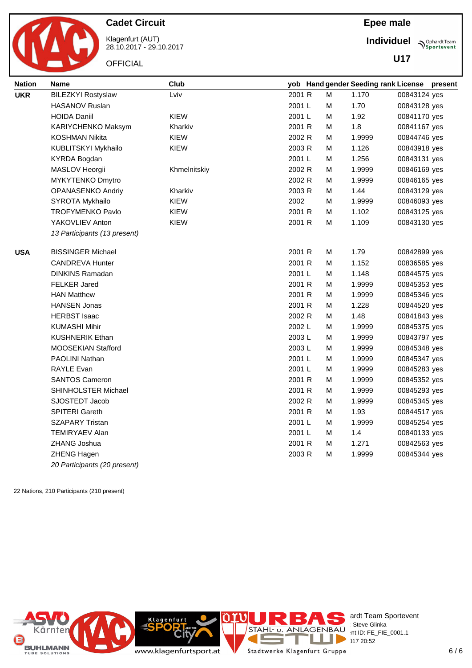

Klagenfurt (AUT) 28.10.2017 - 29.10.2017

**OFFICIAL** 

**Individuel**

**U17**

**Sportevent** 

| <b>Nation</b> | <b>Name</b>                  | <b>Club</b>  |        |   | yob Hand gender Seeding rank License |              | present |
|---------------|------------------------------|--------------|--------|---|--------------------------------------|--------------|---------|
| <b>UKR</b>    | <b>BILEZKYI Rostyslaw</b>    | Lviv         | 2001 R | М | 1.170                                | 00843124 yes |         |
|               | <b>HASANOV Ruslan</b>        |              | 2001 L | м | 1.70                                 | 00843128 yes |         |
|               | <b>HOIDA Daniil</b>          | KIEW         | 2001 L | м | 1.92                                 | 00841170 yes |         |
|               | KARIYCHENKO Maksym           | Kharkiv      | 2001 R | М | 1.8                                  | 00841167 yes |         |
|               | <b>KOSHMAN Nikita</b>        | KIEW         | 2002 R | М | 1.9999                               | 00844746 yes |         |
|               | KUBLITSKYI Mykhailo          | KIEW         | 2003 R | м | 1.126                                | 00843918 yes |         |
|               | <b>KYRDA Bogdan</b>          |              | 2001 L | м | 1.256                                | 00843131 yes |         |
|               | MASLOV Heorgii               | Khmelnitskiy | 2002 R | М | 1.9999                               | 00846169 yes |         |
|               | MYKYTENKO Dmytro             |              | 2002 R | М | 1.9999                               | 00846165 yes |         |
|               | OPANASENKO Andriy            | Kharkiv      | 2003 R | м | 1.44                                 | 00843129 yes |         |
|               | SYROTA Mykhailo              | <b>KIEW</b>  | 2002   | м | 1.9999                               | 00846093 yes |         |
|               | <b>TROFYMENKO Pavlo</b>      | KIEW         | 2001 R | м | 1.102                                | 00843125 yes |         |
|               | YAKOVLIEV Anton              | <b>KIEW</b>  | 2001 R | м | 1.109                                | 00843130 yes |         |
|               | 13 Participants (13 present) |              |        |   |                                      |              |         |
| <b>USA</b>    | <b>BISSINGER Michael</b>     |              | 2001 R | М | 1.79                                 | 00842899 yes |         |
|               | <b>CANDREVA Hunter</b>       |              | 2001 R | м | 1.152                                | 00836585 yes |         |
|               | <b>DINKINS Ramadan</b>       |              | 2001 L | м | 1.148                                | 00844575 yes |         |
|               | <b>FELKER Jared</b>          |              | 2001 R | м | 1.9999                               | 00845353 yes |         |
|               | <b>HAN Matthew</b>           |              | 2001 R | м | 1.9999                               | 00845346 yes |         |
|               | <b>HANSEN Jonas</b>          |              | 2001 R | м | 1.228                                | 00844520 yes |         |
|               | <b>HERBST Isaac</b>          |              | 2002 R | м | 1.48                                 | 00841843 yes |         |
|               | <b>KUMASHI Mihir</b>         |              | 2002 L | м | 1.9999                               | 00845375 yes |         |
|               | <b>KUSHNERIK Ethan</b>       |              | 2003L  | м | 1.9999                               | 00843797 yes |         |
|               | <b>MOOSEKIAN Stafford</b>    |              | 2003L  | м | 1.9999                               | 00845348 yes |         |
|               | <b>PAOLINI Nathan</b>        |              | 2001 L | м | 1.9999                               | 00845347 yes |         |
|               | <b>RAYLE Evan</b>            |              | 2001 L | м | 1.9999                               | 00845283 yes |         |
|               | <b>SANTOS Cameron</b>        |              | 2001 R | м | 1.9999                               | 00845352 yes |         |
|               | SHINHOLSTER Michael          |              | 2001 R | М | 1.9999                               | 00845293 yes |         |
|               | SJOSTEDT Jacob               |              | 2002 R | М | 1.9999                               | 00845345 yes |         |
|               | SPITERI Gareth               |              | 2001 R | м | 1.93                                 | 00844517 yes |         |
|               | <b>SZAPARY Tristan</b>       |              | 2001 L | М | 1.9999                               | 00845254 yes |         |
|               | <b>TEMIRYAEV Alan</b>        |              | 2001 L | М | 1.4                                  | 00840133 yes |         |
|               | ZHANG Joshua                 |              | 2001 R | М | 1.271                                | 00842563 yes |         |
|               | ZHENG Hagen                  |              | 2003 R | м | 1.9999                               | 00845344 yes |         |
|               | 20 Participants (20 present) |              |        |   |                                      |              |         |

22 Nations, 210 Participants (210 present)



ardt Team Sportevent  $BAU$  int ID: FE\_FIE\_0001.1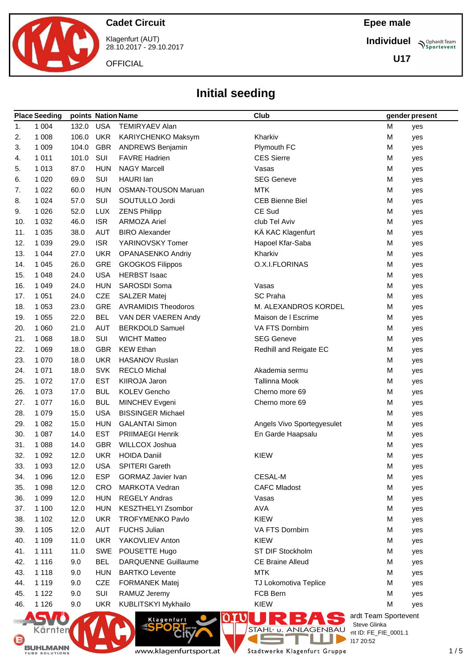

Klagenfurt (AUT) 28.10.2017 - 29.10.2017

**OFFICIAL** 

### **Epee male**

**Individuel Sportevent** 

**U17**

# **Initial seeding**

|     | <b>Place Seeding</b> | points Nation Name |            |                            | <b>Club</b>                |                                      | gender present |
|-----|----------------------|--------------------|------------|----------------------------|----------------------------|--------------------------------------|----------------|
| 1.  | 1 0 0 4              | 132.0              | <b>USA</b> | <b>TEMIRYAEV Alan</b>      |                            | M                                    | yes            |
| 2.  | 1 0 0 8              | 106.0              | <b>UKR</b> | KARIYCHENKO Maksym         | Kharkiv                    | M                                    | yes            |
| 3.  | 1 0 0 9              | 104.0              | <b>GBR</b> | <b>ANDREWS Benjamin</b>    | Plymouth FC                | M                                    | yes            |
| 4.  | 1 0 1 1              | 101.0              | SUI        | <b>FAVRE Hadrien</b>       | <b>CES Sierre</b>          | M                                    | yes            |
| 5.  | 1 0 1 3              | 87.0               | <b>HUN</b> | <b>NAGY Marcell</b>        | Vasas                      | M                                    | yes            |
| 6.  | 1 0 2 0              | 69.0               | SUI        | HAURI Ian                  | <b>SEG Geneve</b>          | M                                    | yes            |
| 7.  | 1 0 2 2              | 60.0               | <b>HUN</b> | <b>OSMAN-TOUSON Maruan</b> | <b>MTK</b>                 | M                                    | yes            |
| 8.  | 1 0 2 4              | 57.0               | SUI        | SOUTULLO Jordi             | <b>CEB Bienne Biel</b>     | M                                    | yes            |
| 9.  | 1 0 2 6              | 52.0               | <b>LUX</b> | <b>ZENS Philipp</b>        | CE Sud                     | M                                    | yes            |
| 10. | 1 0 3 2              | 46.0               | <b>ISR</b> | <b>ARMOZA Ariel</b>        | club Tel Aviv              | M                                    | yes            |
| 11. | 1 0 3 5              | 38.0               | <b>AUT</b> | <b>BIRO Alexander</b>      | KÄ KAC Klagenfurt          | M                                    | yes            |
| 12. | 1 0 3 9              | 29.0               | <b>ISR</b> | YARINOVSKY Tomer           | Hapoel Kfar-Saba           | M                                    | yes            |
| 13. | 1 0 4 4              | 27.0               | <b>UKR</b> | OPANASENKO Andriy          | Kharkiv                    | M                                    | yes            |
| 14. | 1 0 4 5              | 26.0               | GRE        | <b>GKOGKOS Filippos</b>    | O.X.I.FLORINAS             | M                                    | yes            |
| 15. | 1 0 4 8              | 24.0               | <b>USA</b> | <b>HERBST Isaac</b>        |                            | M                                    | yes            |
| 16. | 1 0 4 9              | 24.0               | <b>HUN</b> | SAROSDI Soma               | Vasas                      | M                                    | yes            |
| 17. | 1 0 5 1              | 24.0               | <b>CZE</b> | <b>SALZER Matej</b>        | <b>SC Praha</b>            | M                                    | yes            |
| 18. | 1 0 5 3              | 23.0               | <b>GRE</b> | <b>AVRAMIDIS Theodoros</b> | M. ALEXANDROS KORDEL       | M                                    | yes            |
| 19. | 1 0 5 5              | 22.0               | <b>BEL</b> | VAN DER VAEREN Andy        | Maison de I Escrime        | M                                    | yes            |
| 20. | 1 0 6 0              | 21.0               | <b>AUT</b> | <b>BERKDOLD Samuel</b>     | VA FTS Dornbirn            | M                                    | yes            |
| 21. | 1 0 6 8              | 18.0               | SUI        | <b>WICHT Matteo</b>        | <b>SEG Geneve</b>          | M                                    | yes            |
| 22. | 1 0 6 9              | 18.0               | <b>GBR</b> | <b>KEW Ethan</b>           | Redhill and Reigate EC     | M                                    | yes            |
| 23. | 1 0 7 0              | 18.0               | <b>UKR</b> | <b>HASANOV Ruslan</b>      |                            | M                                    | yes            |
| 24. | 1 0 7 1              | 18.0               | <b>SVK</b> | <b>RECLO Michal</b>        | Akademia sermu             | M                                    | yes            |
| 25. | 1 0 7 2              | 17.0               | <b>EST</b> | KIIROJA Jaron              | <b>Tallinna Mook</b>       | M                                    | yes            |
| 26. | 1 0 7 3              | 17.0               | <b>BUL</b> | <b>KOLEV Gencho</b>        | Cherno more 69             | M                                    | yes            |
| 27. | 1 0 7 7              | 16.0               | <b>BUL</b> | MINCHEV Evgeni             | Cherno more 69             | M                                    | yes            |
| 28. | 1 0 7 9              | 15.0               | <b>USA</b> | <b>BISSINGER Michael</b>   |                            | M                                    | yes            |
| 29. | 1 0 8 2              | 15.0               | <b>HUN</b> | <b>GALANTAI Simon</b>      | Angels Vivo Sportegyesulet | M                                    | yes            |
| 30. | 1 0 8 7              | 14.0               | <b>EST</b> | PRIIMAEGI Henrik           | En Garde Haapsalu          | M                                    | yes            |
| 31. | 1 0 8 8              | 14.0               | <b>GBR</b> | <b>WILLCOX Joshua</b>      |                            | M                                    | yes            |
| 32. | 1 0 9 2              | 12.0               | <b>UKR</b> | <b>HOIDA Daniil</b>        | <b>KIEW</b>                | M                                    | yes            |
| 33. | 1 0 9 3              | 12.0               | USA        | <b>SPITERI Gareth</b>      |                            | M                                    | yes            |
| 34. | 1 0 9 6              | 12.0               | <b>ESP</b> | <b>GORMAZ Javier Ivan</b>  | CESAL-M                    | M                                    | yes            |
| 35. | 1 0 9 8              | 12.0               | CRO        | <b>MARKOTA Vedran</b>      | <b>CAFC Mladost</b>        | M                                    | yes            |
| 36. | 1 0 9 9              | 12.0               | <b>HUN</b> | <b>REGELY Andras</b>       | Vasas                      | M                                    | yes            |
| 37. | 1 100                | 12.0               | <b>HUN</b> | KESZTHELYI Zsombor         | <b>AVA</b>                 | M                                    | yes            |
| 38. | 1 1 0 2              | 12.0               | <b>UKR</b> | <b>TROFYMENKO Pavlo</b>    | <b>KIEW</b>                | M                                    | yes            |
| 39. | 1 1 0 5              | 12.0               | AUT        | <b>FUCHS Julian</b>        | VA FTS Dornbirn            | M                                    | yes            |
| 40. | 1 1 0 9              | 11.0               | <b>UKR</b> | YAKOVLIEV Anton            | <b>KIEW</b>                | M                                    | yes            |
| 41. | 1 1 1 1              | 11.0               | <b>SWE</b> | POUSETTE Hugo              | ST DIF Stockholm           | M                                    | yes            |
| 42. | 1 1 1 6              | 9.0                | <b>BEL</b> | <b>DARQUENNE Guillaume</b> | <b>CE Braine Alleud</b>    | M                                    | yes            |
| 43. | 1 1 1 8              | 9.0                | <b>HUN</b> | <b>BARTKO Levente</b>      | <b>MTK</b>                 | M                                    | yes            |
| 44. | 1 1 1 9              | 9.0                | <b>CZE</b> | <b>FORMANEK Matej</b>      | TJ Lokomotiva Teplice      | M                                    | yes            |
| 45. | 1 1 2 2              | 9.0                | SUI        | RAMUZ Jeremy               | FCB Bern                   | M                                    | yes            |
| 46. | 1 1 2 6              | 9.0                | <b>UKR</b> | KUBLITSKYI Mykhailo        | <b>KIEW</b>                | M                                    | yes            |
|     |                      |                    |            | <b>Klagenfurt</b>          |                            | ardt Team Sportevent<br>Steve Glinka |                |



Kärnten

**Rit** 

T Stadtwerke Klagenfurt Gruppe

J.

 $\overline{a}$ 

**License:** Steve Glinka  $P^{\text{LO}}$  int ID: FE\_FIE\_0001.1

 $28.1012$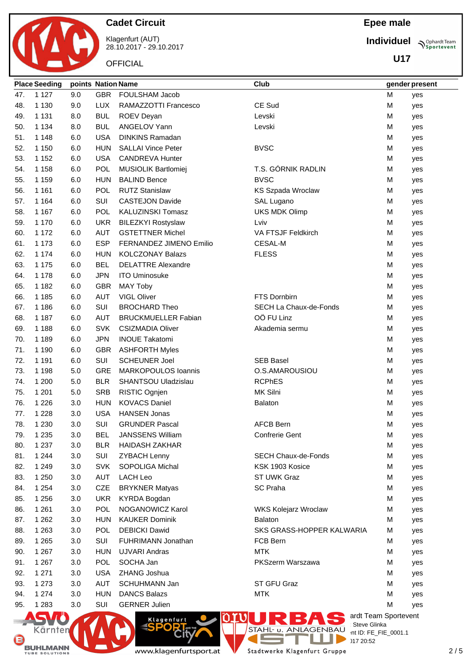

Klagenfurt (AUT) 28.10.2017 - 29.10.2017

**OFFICIAL** 

**Epee male**

**Individuel**

**U17**

**Sportevent** 

|     | <b>Place Seeding</b> | points Nation Name |            |                            | Club                             |   | gender present |
|-----|----------------------|--------------------|------------|----------------------------|----------------------------------|---|----------------|
| 47. | 1 1 2 7              | 9.0                | <b>GBR</b> | FOULSHAM Jacob             |                                  | M | yes            |
| 48. | 1 1 3 0              | 9.0                | <b>LUX</b> | RAMAZZOTTI Francesco       | CE Sud                           | M | yes            |
| 49. | 1 1 3 1              | 8.0                | <b>BUL</b> | ROEV Deyan                 | Levski                           | M | yes            |
| 50. | 1 1 3 4              | 8.0                | <b>BUL</b> | ANGELOV Yann               | Levski                           | М | yes            |
| 51. | 1 1 4 8              | 6.0                | <b>USA</b> | <b>DINKINS Ramadan</b>     |                                  | M | yes            |
| 52. | 1 1 5 0              | 6.0                | <b>HUN</b> | <b>SALLAI Vince Peter</b>  | <b>BVSC</b>                      | M | yes            |
| 53. | 1 1 5 2              | 6.0                | <b>USA</b> | <b>CANDREVA Hunter</b>     |                                  | M | yes            |
| 54. | 1 1 5 8              | 6.0                | <b>POL</b> | MUSIOLIK Bartlomiej        | T.S. GÓRNIK RADLIN               | M | yes            |
| 55. | 1 1 5 9              | 6.0                | <b>HUN</b> | <b>BALIND Bence</b>        | <b>BVSC</b>                      | M | yes            |
| 56. | 1 1 6 1              | 6.0                | <b>POL</b> | <b>RUTZ Stanislaw</b>      | <b>KS Szpada Wroclaw</b>         | M | yes            |
| 57. | 1 1 6 4              | 6.0                | SUI        | <b>CASTEJON Davide</b>     | SAL Lugano                       | M | yes            |
| 58. | 1 1 6 7              | 6.0                | POL        | KALUZINSKI Tomasz          | <b>UKS MDK Olimp</b>             | M | yes            |
| 59. | 1 1 7 0              | 6.0                | <b>UKR</b> | <b>BILEZKYI Rostyslaw</b>  | Lviv                             | M | yes            |
| 60. | 1 1 7 2              | 6.0                | AUT        | <b>GSTETTNER Michel</b>    | VA FTSJF Feldkirch               | M | yes            |
| 61. | 1 1 7 3              | 6.0                | <b>ESP</b> | FERNANDEZ JIMENO Emilio    | <b>CESAL-M</b>                   | M | yes            |
| 62. | 1 1 7 4              | 6.0                | <b>HUN</b> | <b>KOLCZONAY Balazs</b>    | <b>FLESS</b>                     | M | yes            |
| 63. | 1 1 7 5              | 6.0                | <b>BEL</b> | <b>DELATTRE Alexandre</b>  |                                  | M | yes            |
| 64. | 1 1 7 8              | 6.0                | <b>JPN</b> | <b>ITO Uminosuke</b>       |                                  | M | yes            |
| 65. | 1 1 8 2              | 6.0                | <b>GBR</b> | <b>MAY Toby</b>            |                                  | M | yes            |
| 66. | 1 1 8 5              | 6.0                | <b>AUT</b> | VIGL Oliver                | FTS Dornbirn                     | M | yes            |
| 67. | 1 1 8 6              | 6.0                | SUI        | <b>BROCHARD Theo</b>       | SECH La Chaux-de-Fonds           | M | yes            |
| 68. | 1 1 8 7              | 6.0                | AUT        | <b>BRUCKMUELLER Fabian</b> | OÖ FU Linz                       | M | yes            |
| 69. | 1 1 8 8              | 6.0                | <b>SVK</b> | <b>CSIZMADIA Oliver</b>    | Akademia sermu                   | M | yes            |
| 70. | 1 1 8 9              | 6.0                | <b>JPN</b> | <b>INOUE Takatomi</b>      |                                  | M | yes            |
| 71. | 1 1 9 0              | 6.0                | <b>GBR</b> | <b>ASHFORTH Myles</b>      |                                  | M | yes            |
| 72. | 1 1 9 1              | 6.0                | SUI        | <b>SCHEUNER Joel</b>       | <b>SEB Basel</b>                 | M | yes            |
| 73. | 1 1 9 8              | 5.0                | <b>GRE</b> | MARKOPOULOS Ioannis        | O.S.AMAROUSIOU                   | M | yes            |
| 74. | 1 200                | 5.0                | <b>BLR</b> | SHANTSOU Uladzislau        | <b>RCPhES</b>                    | M | yes            |
| 75. | 1 2 0 1              | 5.0                | <b>SRB</b> | RISTIC Ognjen              | MK Silni                         | M | yes            |
| 76. | 1 2 2 6              | 3.0                | <b>HUN</b> | <b>KOVACS Daniel</b>       | <b>Balaton</b>                   | M | yes            |
| 77. | 1 2 2 8              | 3.0                | <b>USA</b> | <b>HANSEN Jonas</b>        |                                  | M | yes            |
| 78. | 1 2 3 0              | 3.0                | SUI        | <b>GRUNDER Pascal</b>      | <b>AFCB Bern</b>                 | M | yes            |
| 79. | 1 2 3 5              | 3.0                | BEL        | <b>JANSSENS William</b>    | <b>Confrerie Gent</b>            | M | yes            |
| 80. | 1 2 3 7              | 3.0                | <b>BLR</b> | <b>HAIDASH ZAKHAR</b>      |                                  | M | yes            |
| 81. | 1 2 4 4              | 3.0                | SUI        | <b>ZYBACH Lenny</b>        | <b>SECH Chaux-de-Fonds</b>       | M | yes            |
| 82. | 1 2 4 9              | 3.0                | <b>SVK</b> | SOPOLIGA Michal            | KSK 1903 Kosice                  | M | yes            |
| 83. | 1 2 5 0              | 3.0                | <b>AUT</b> | <b>LACH Leo</b>            | ST UWK Graz                      | M | yes            |
| 84. | 1 2 5 4              | 3.0                | CZE        | <b>BRYKNER Matyas</b>      | <b>SC Praha</b>                  | M | yes            |
| 85. | 1 2 5 6              | 3.0                | <b>UKR</b> | <b>KYRDA Bogdan</b>        |                                  | M | yes            |
| 86. | 1 2 6 1              | 3.0                | POL        | NOGANOWICZ Karol           | <b>WKS Kolejarz Wroclaw</b>      | M | yes            |
| 87. | 1 2 6 2              | 3.0                | <b>HUN</b> | <b>KAUKER Dominik</b>      | <b>Balaton</b>                   | M | yes            |
| 88. | 1 2 6 3              | 3.0                | POL        | <b>DEBICKI Dawid</b>       | SKS GRASS-HOPPER KALWARIA        | M | yes            |
| 89. | 1 2 6 5              | 3.0                | SUI        | FUHRIMANN Jonathan         | FCB Bern                         | M | yes            |
| 90. | 1 2 6 7              | 3.0                | <b>HUN</b> | <b>UJVARI Andras</b>       | <b>MTK</b>                       | M | yes            |
| 91. | 1 2 6 7              | 3.0                | POL        | SOCHA Jan                  | PKSzerm Warszawa                 | М | yes            |
| 92. | 1 2 7 1              | 3.0                | <b>USA</b> | ZHANG Joshua               |                                  | М | yes            |
| 93. | 1 2 7 3              | 3.0                | AUT        | SCHUHMANN Jan              | ST GFU Graz                      | М | yes            |
| 94. | 1 2 7 4              | 3.0                | <b>HUN</b> | <b>DANCS Balazs</b>        | <b>MTK</b>                       | M | yes            |
| 95. | 1 2 8 3              | 3.0                | SUI        | <b>GERNER Julien</b>       |                                  | M | yes            |
|     |                      |                    |            |                            | ardt Team Sportevent             |   |                |
|     |                      | <b>DATE</b>        |            | Klagenfurt<br>CDODT        | <b>OWURBAS</b><br>: Steve Glinka |   |                |

BUHLMANN

Kärnten

www.klagenfurtsport.at

**City** 

T Stadtwerke Klagenfurt Gruppe

J.

**CONTRACT** 

**License:** Steve Glinka  $P^{\text{LO}}$  int ID: FE\_FIE\_0001.1

 $20:52$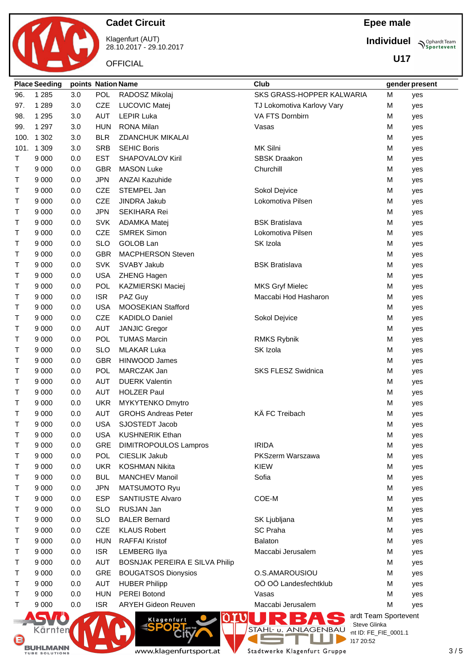

G

BUHLMANN

### **Cadet Circuit**

Klagenfurt (AUT) 28.10.2017 - 29.10.2017

**OFFICIAL** 

### **Epee male**

**Individuel**

**U17**

**Sportevent** 

|        | <b>Place Seeding</b> | points Nation Name |            |                                                | Club                       | gender present                        |     |  |
|--------|----------------------|--------------------|------------|------------------------------------------------|----------------------------|---------------------------------------|-----|--|
| 96.    | 1 2 8 5              | 3.0                | <b>POL</b> | RADOSZ Mikolaj                                 | SKS GRASS-HOPPER KALWARIA  | M                                     | yes |  |
| 97.    | 1 2 8 9              | 3.0                | <b>CZE</b> | <b>LUCOVIC Matei</b>                           | TJ Lokomotiva Karlovy Vary | M                                     | yes |  |
| 98.    | 1 2 9 5              | 3.0                | <b>AUT</b> | <b>LEPIR Luka</b>                              | VA FTS Dornbirn            | M                                     | yes |  |
| 99.    | 1 2 9 7              | 3.0                | <b>HUN</b> | <b>RONA Milan</b>                              | Vasas                      | M                                     | yes |  |
| 100.   | 1 3 0 2              | 3.0                | <b>BLR</b> | <b>ZDANCHUK MIKALAI</b>                        |                            | M                                     | yes |  |
|        | 101. 1 309           | 3.0                | <b>SRB</b> | <b>SEHIC Boris</b>                             | MK Silni                   | M                                     | yes |  |
| Т      | 9 0 0 0              | 0.0                | <b>EST</b> | SHAPOVALOV Kiril                               | <b>SBSK Draakon</b>        | M                                     | yes |  |
| т      | 9 0 0 0              | 0.0                | <b>GBR</b> | <b>MASON Luke</b>                              | Churchill                  | M                                     | yes |  |
| т      | 9 0 0 0              | 0.0                | <b>JPN</b> | <b>ANZAI Kazuhide</b>                          |                            | M                                     | yes |  |
| Τ      | 9 0 0 0              | 0.0                | <b>CZE</b> | STEMPEL Jan                                    | Sokol Dejvice              | M                                     | yes |  |
| т      | 9 0 0 0              | 0.0                | CZE        | JINDRA Jakub                                   | Lokomotiva Pilsen          | M                                     | yes |  |
| т      | 9 0 0 0              | 0.0                | <b>JPN</b> | SEKIHARA Rei                                   |                            | M                                     | yes |  |
| т      | 9 0 0 0              | 0.0                | <b>SVK</b> | ADAMKA Matej                                   | <b>BSK Bratislava</b>      | M                                     | yes |  |
| т      | 9 0 0 0              | 0.0                | CZE        | <b>SMREK Simon</b>                             | Lokomotiva Pilsen          | M                                     | yes |  |
| т      | 9 0 0 0              | 0.0                | <b>SLO</b> | GOLOB Lan                                      | SK Izola                   | M                                     | yes |  |
| т      | 9 0 0 0              | 0.0                | <b>GBR</b> | MACPHERSON Steven                              |                            | M                                     | yes |  |
| т      | 9 0 0 0              | 0.0                | <b>SVK</b> | SVABY Jakub                                    | <b>BSK Bratislava</b>      | M                                     | yes |  |
| т      | 9 0 0 0              | 0.0                | <b>USA</b> | ZHENG Hagen                                    |                            | M                                     | yes |  |
| т      | 9 0 0 0              | 0.0                | POL        | <b>KAZMIERSKI Maciej</b>                       | <b>MKS Gryf Mielec</b>     | M                                     | yes |  |
| т      | 9 0 0 0              | 0.0                | <b>ISR</b> | PAZ Guy                                        | Maccabi Hod Hasharon       | M                                     | yes |  |
| Τ      | 9 0 0 0              | 0.0                | <b>USA</b> | MOOSEKIAN Stafford                             |                            | M                                     | yes |  |
| т      | 9 0 0 0              | 0.0                | CZE        | <b>KADIDLO Daniel</b>                          | Sokol Dejvice              | M                                     | yes |  |
| Τ      | 9 0 0 0              | 0.0                | <b>AUT</b> | <b>JANJIC Gregor</b>                           |                            | M                                     | yes |  |
| т      | 9 0 0 0              | 0.0                | <b>POL</b> | <b>TUMAS Marcin</b>                            | <b>RMKS Rybnik</b>         | M                                     | yes |  |
| Τ      | 9 0 0 0              | 0.0                | <b>SLO</b> | <b>MLAKAR Luka</b>                             | SK Izola                   | м                                     | yes |  |
| т      | 9 0 0 0              | 0.0                | <b>GBR</b> | HINWOOD James                                  |                            | M                                     | yes |  |
| т      | 9 0 0 0              | 0.0                | <b>POL</b> | MARCZAK Jan                                    | SKS FLESZ Swidnica         | M                                     | yes |  |
| т      | 9 0 0 0              | 0.0                | <b>AUT</b> | <b>DUERK Valentin</b>                          |                            | M                                     |     |  |
| т      | 9 0 0 0              | 0.0                | <b>AUT</b> | <b>HOLZER Paul</b>                             |                            | M                                     | yes |  |
| т      | 9 0 0 0              | 0.0                | <b>UKR</b> | MYKYTENKO Dmytro                               |                            | M                                     | yes |  |
| Τ      | 9 0 0 0              | 0.0                | <b>AUT</b> | <b>GROHS Andreas Peter</b>                     | KÄ FC Treibach             | M                                     | yes |  |
| т      | 9 0 0 0              |                    | <b>USA</b> | SJOSTEDT Jacob                                 |                            | M                                     | yes |  |
|        |                      | 0.0                | <b>USA</b> | <b>KUSHNERIK Ethan</b>                         |                            |                                       | yes |  |
| Τ<br>т | 9 0 0 0<br>9 0 0 0   | 0.0<br>0.0         | GRE        |                                                | <b>IRIDA</b>               | M<br>M                                | yes |  |
| Т      |                      |                    | POL        | <b>DIMITROPOULOS Lampros</b>                   |                            |                                       | yes |  |
|        | 9 0 0 0              | 0.0                |            | CIESLIK Jakub                                  | PKSzerm Warszawa           | M                                     | yes |  |
| т      | 9 0 0 0              | 0.0                | <b>UKR</b> | <b>KOSHMAN Nikita</b><br><b>MANCHEV Manoil</b> | <b>KIEW</b><br>Sofia       | M                                     | yes |  |
| Т      | 9 0 0 0              | 0.0                | <b>BUL</b> |                                                |                            | M                                     | yes |  |
| Т      | 9 0 0 0              | 0.0                | <b>JPN</b> | <b>MATSUMOTO Ryu</b>                           |                            | м                                     | yes |  |
| Т      | 9 0 0 0              | 0.0                | <b>ESP</b> | <b>SANTIUSTE Alvaro</b>                        | COE-M                      | M                                     | yes |  |
| т      | 9 0 0 0              | 0.0                | <b>SLO</b> | RUSJAN Jan                                     |                            | M                                     | yes |  |
| т      | 9 0 0 0              | 0.0                | <b>SLO</b> | <b>BALER Bernard</b>                           | SK Ljubljana               | M                                     | yes |  |
| Т      | 9 0 0 0              | 0.0                | <b>CZE</b> | <b>KLAUS Robert</b>                            | <b>SC Praha</b>            | M                                     | yes |  |
| Т      | 9 0 0 0              | 0.0                | <b>HUN</b> | <b>RAFFAI Kristof</b>                          | <b>Balaton</b>             | M                                     | yes |  |
| т      | 9 0 0 0              | 0.0                | <b>ISR</b> | <b>LEMBERG Ilya</b>                            | Maccabi Jerusalem          | M                                     | yes |  |
| Т      | 9 0 0 0              | 0.0                | <b>AUT</b> | <b>BOSNJAK PEREIRA E SILVA Philip</b>          |                            | M                                     | yes |  |
| Т      | 9 0 0 0              | 0.0                | GRE        | <b>BOUGATSOS Dionysios</b>                     | O.S.AMAROUSIOU             | M                                     | yes |  |
| Т      | 9 0 0 0              | 0.0                | AUT        | <b>HUBER Philipp</b>                           | OÖ OÖ Landesfechtklub      | M                                     | yes |  |
| Т      | 9 0 0 0              | 0.0                | <b>HUN</b> | <b>PEREI Botond</b>                            | Vasas                      | M                                     | yes |  |
| T      | 9 0 0 0              | 0.0                | <b>ISR</b> | <b>ARYEH Gideon Reuven</b>                     | Maccabi Jerusalem          | M                                     | yes |  |
|        |                      |                    |            | Klagenfurt                                     |                            | ardt Team Sportevent                  |     |  |
|        | Kärnten              |                    |            |                                                | STAHL- u. ANLAGENBAU       | Steve Glinka<br>int ID: FE_FIE_0001.1 |     |  |
| Œ      |                      |                    |            |                                                |                            | $117.20 - 52$                         |     |  |



T Stadtwerke Klagenfurt Gruppe

a.

 $\sum_{117\ 20:52}$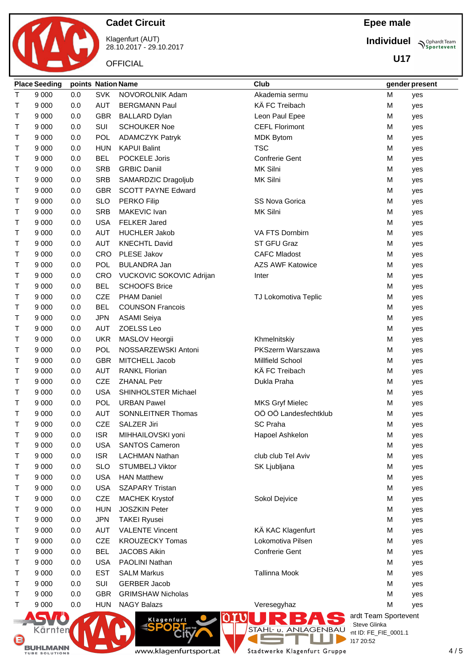

Klagenfurt (AUT) 28.10.2017 - 29.10.2017

**OFFICIAL** 

### **Epee male**

**Individuel**

**U17**

**Sportevent** 

|             | <b>Place Seeding</b> | points Nation Name |                             |                           | Club                                                   |   | gender present |
|-------------|----------------------|--------------------|-----------------------------|---------------------------|--------------------------------------------------------|---|----------------|
| T           | 9 0 0 0              | 0.0                | <b>SVK</b>                  | NOVOROLNIK Adam           | Akademia sermu                                         | M | yes            |
| т           | 9 0 0 0              | 0.0                | <b>AUT</b>                  | <b>BERGMANN Paul</b>      | KÄ FC Treibach                                         | M | yes            |
| т           | 9 0 0 0              | 0.0                | <b>GBR</b>                  | <b>BALLARD Dylan</b>      | Leon Paul Epee                                         | M | yes            |
| т           | 9 0 0 0              | 0.0                | SUI                         | <b>SCHOUKER Noe</b>       | <b>CEFL Florimont</b>                                  | M | yes            |
| т           | 9 0 0 0              | 0.0                | <b>POL</b>                  | <b>ADAMCZYK Patryk</b>    | <b>MDK Bytom</b>                                       | M | yes            |
| т           | 9 0 0 0              | 0.0                | <b>HUN</b>                  | <b>KAPUI Balint</b>       | <b>TSC</b>                                             | M | yes            |
| т           | 9 0 0 0              | 0.0                | <b>BEL</b>                  | POCKELE Joris             | <b>Confrerie Gent</b>                                  | M | yes            |
| Т           | 9 0 0 0              | 0.0                | <b>SRB</b>                  | <b>GRBIC Daniil</b>       | MK Silni                                               | M | yes            |
| Τ           | 9 0 0 0              | 0.0                | <b>SRB</b>                  | SAMARDZIC Dragoljub       | MK Silni                                               | M | yes            |
| T           | 9 0 0 0              | 0.0                | <b>GBR</b>                  | <b>SCOTT PAYNE Edward</b> |                                                        | M | yes            |
| т           | 9 0 0 0              | 0.0                | <b>SLO</b>                  | PERKO Filip               | <b>SS Nova Gorica</b>                                  | M | yes            |
| Т           | 9 0 0 0              | 0.0                | <b>SRB</b>                  | MAKEVIC Ivan              | MK Silni                                               | M | yes            |
| $\mathsf T$ | 9 0 0 0              | 0.0                | <b>USA</b>                  | <b>FELKER Jared</b>       |                                                        | M | yes            |
| $\top$      | 9 0 0 0              | 0.0                | <b>AUT</b>                  | <b>HUCHLER Jakob</b>      | VA FTS Dornbirn                                        | M | yes            |
| т           | 9 0 0 0              | 0.0                | <b>AUT</b>                  | <b>KNECHTL David</b>      | ST GFU Graz                                            | M | yes            |
| т           | 9 0 0 0              | 0.0                | CRO                         | PLESE Jakov               | <b>CAFC Mladost</b>                                    | M | yes            |
| т           | 9 0 0 0              | 0.0                | POL                         | <b>BULANDRA Jan</b>       | <b>AZS AWF Katowice</b>                                | M | yes            |
| T           | 9 0 0 0              | 0.0                | <b>CRO</b>                  | VUCKOVIC SOKOVIC Adrijan  | Inter                                                  | M | yes            |
| т           | 9 0 0 0              | 0.0                | <b>BEL</b>                  | <b>SCHOOFS Brice</b>      |                                                        | M | yes            |
| т           | 9 0 0 0              | 0.0                | CZE                         | <b>PHAM Daniel</b>        | TJ Lokomotiva Teplic                                   | M | yes            |
| Τ           | 9 0 0 0              | 0.0                | <b>BEL</b>                  | <b>COUNSON Francois</b>   |                                                        | M | yes            |
| т           | 9 0 0 0              | 0.0                | <b>JPN</b>                  | <b>ASAMI Seiya</b>        |                                                        | M | yes            |
| Т           | 9 0 0 0              | 0.0                | <b>AUT</b>                  | ZOELSS Leo                |                                                        | M | yes            |
| т           | 9 0 0 0              | 0.0                | <b>UKR</b>                  | MASLOV Heorgii            | Khmelnitskiy                                           | M | yes            |
| Т           | 9 0 0 0              | 0.0                | POL                         | NOSSARZEWSKI Antoni       | <b>PKSzerm Warszawa</b>                                | M | yes            |
| T           | 9 0 0 0              | 0.0                | <b>GBR</b>                  | MITCHELL Jacob            | <b>Millfield School</b>                                | M | yes            |
| T           | 9 0 0 0              | 0.0                | <b>AUT</b>                  | <b>RANKL Florian</b>      | KÄ FC Treibach                                         | M | yes            |
| т           | 9 0 0 0              | 0.0                | <b>CZE</b>                  | <b>ZHANAL Petr</b>        | Dukla Praha                                            | M | yes            |
| т           | 9 0 0 0              | 0.0                | <b>USA</b>                  | SHINHOLSTER Michael       |                                                        | M | yes            |
| т           | 9 0 0 0              | 0.0                | POL                         | <b>URBAN Pawel</b>        | <b>MKS Gryf Mielec</b>                                 | M | yes            |
| т           | 9 0 0 0              | 0.0                | <b>AUT</b>                  | SONNLEITNER Thomas        | OÖ OÖ Landesfechtklub                                  | M | yes            |
| т           | 9 0 0 0              | 0.0                | <b>CZE</b>                  | SALZER Jiri               | SC Praha                                               | M | yes            |
| Τ           | 9 0 0 0              | 0.0                | <b>ISR</b>                  | MIHHAILOVSKI yoni         | Hapoel Ashkelon                                        | М | yes            |
| т           | 9 0 0 0              | 0.0                | <b>USA</b>                  | <b>SANTOS Cameron</b>     |                                                        | M | yes            |
| т           | 9 0 0 0              | 0.0                | <b>ISR</b>                  | <b>LACHMAN Nathan</b>     | club club Tel Aviv                                     | M | yes            |
| т           | 9 0 0 0              | 0.0                | <b>SLO</b>                  | <b>STUMBELJ Viktor</b>    | SK Ljubljana                                           | M | yes            |
| т           | 9 0 0 0              | 0.0                | <b>USA</b>                  | <b>HAN Matthew</b>        |                                                        | M | yes            |
| т           | 9 0 0 0              | 0.0                | <b>USA</b>                  | <b>SZAPARY Tristan</b>    |                                                        | M | yes            |
| т           | 9 0 0 0              | 0.0                | CZE                         | <b>MACHEK Krystof</b>     | Sokol Dejvice                                          | М | yes            |
| т           | 9 0 0 0              | 0.0                | <b>HUN</b>                  | <b>JOSZKIN Peter</b>      |                                                        | M | yes            |
| т           | 9 0 0 0              | 0.0                | <b>JPN</b>                  | <b>TAKEI Ryusei</b>       |                                                        | M | yes            |
| т           | 9 0 0 0              | 0.0                | <b>AUT</b>                  | <b>VALENTE Vincent</b>    | KÄ KAC Klagenfurt                                      | M | yes            |
| т           | 9 0 0 0              | 0.0                | <b>CZE</b>                  | <b>KROUZECKY Tomas</b>    | Lokomotiva Pilsen                                      | M | yes            |
| т           | 9 0 0 0              | 0.0                | <b>BEL</b>                  | <b>JACOBS Aikin</b>       | Confrerie Gent                                         | M | yes            |
| т           | 9 0 0 0              | 0.0                | <b>USA</b>                  | PAOLINI Nathan            |                                                        | M | yes            |
| т           | 9 0 0 0              | 0.0                | <b>EST</b>                  | <b>SALM Markus</b>        | <b>Tallinna Mook</b>                                   | M | yes            |
| т           | 9 0 0 0              | 0.0                | SUI                         | <b>GERBER Jacob</b>       |                                                        | M | yes            |
| т           | 9 0 0 0              | 0.0                | <b>GBR</b>                  | <b>GRIMSHAW Nicholas</b>  |                                                        | М | yes            |
| T.          | 9 0 0 0              | 0.0                | <b>HUN</b>                  | <b>NAGY Balazs</b>        | Veresegyhaz                                            | M | yes            |
|             | NGVA'N .             |                    | $\sim$ $\sim$ $\sim$ $\sim$ |                           | Klagenfurt C <b>O DIVI DIRECT</b> andt Team Sportevent |   |                |

www.klagenfurtsport.at

Ò **Zify** 

Kärnten

**BUHLMANN** 

**COL** 

a.

**License:** Steve Glinka  $P^{\text{LO}}$  int ID: FE\_FIE\_0001.1

28.10.2017 20:52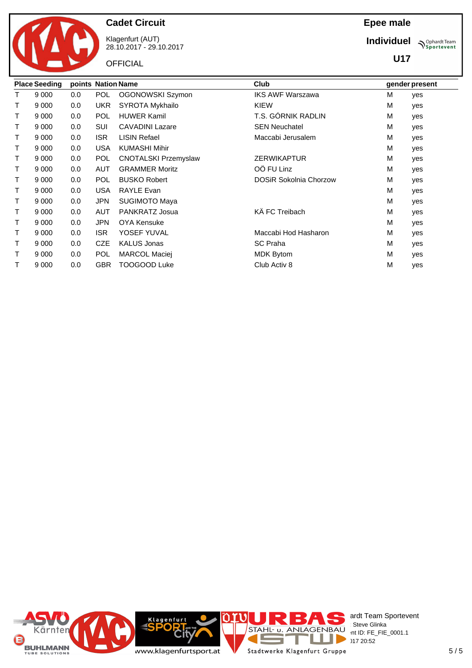

Klagenfurt (AUT) 28.10.2017 - 29.10.2017

**OFFICIAL** 

### **Epee male**

**Individuel**

**U17**

**Sportevent** 

|   | <b>Place Seeding</b> | points Nation Name |            |                             | Club                          |   | gender present |
|---|----------------------|--------------------|------------|-----------------------------|-------------------------------|---|----------------|
|   | 9 0 0 0              | 0.0                | <b>POL</b> | OGONOWSKI Szymon            | <b>IKS AWF Warszawa</b>       | M | yes            |
| т | 9 0 0 0              | 0.0                | <b>UKR</b> | SYROTA Mykhailo             | <b>KIEW</b>                   | M | yes            |
| T | 9 0 0 0              | 0.0                | <b>POL</b> | <b>HUWER Kamil</b>          | T.S. GÓRNIK RADLIN            | M | yes            |
| т | 9 0 0 0              | 0.0                | SUI        | <b>CAVADINI Lazare</b>      | <b>SEN Neuchatel</b>          | M | yes            |
| Τ | 9 0 0 0              | 0.0                | <b>ISR</b> | <b>LISIN Refael</b>         | Maccabi Jerusalem             | M | yes            |
| т | 9 0 0 0              | 0.0                | <b>USA</b> | <b>KUMASHI Mihir</b>        |                               | м | yes            |
| т | 9 0 0 0              | 0.0                | <b>POL</b> | <b>CNOTALSKI Przemyslaw</b> | <b>ZERWIKAPTUR</b>            | M | yes            |
| т | 9 0 0 0              | 0.0                | <b>AUT</b> | <b>GRAMMER Moritz</b>       | OÖ FU Linz                    | M | yes            |
| т | 9 0 0 0              | 0.0                | <b>POL</b> | <b>BUSKO Robert</b>         | <b>DOSiR Sokolnia Chorzow</b> | M | yes            |
| т | 9 0 0 0              | 0.0                | <b>USA</b> | <b>RAYLE Evan</b>           |                               | M | yes            |
| Τ | 9 0 0 0              | 0.0                | <b>JPN</b> | <b>SUGIMOTO Maya</b>        |                               | M | yes            |
| т | 9 0 0 0              | 0.0                | AUT        | PANKRATZ Josua              | KÄ FC Treibach                | M | yes            |
| т | 9 0 0 0              | 0.0                | <b>JPN</b> | <b>OYA Kensuke</b>          |                               | M | yes            |
| т | 9 0 0 0              | 0.0                | <b>ISR</b> | YOSEF YUVAL                 | Maccabi Hod Hasharon          | M | yes            |
| т | 9 0 0 0              | 0.0                | <b>CZE</b> | <b>KALUS Jonas</b>          | <b>SC</b> Praha               | M | yes            |
| т | 9 0 0 0              | 0.0                | <b>POL</b> | MARCOL Maciej               | <b>MDK Bytom</b>              | M | yes            |
| т | 9 0 0 0              | 0.0                | <b>GBR</b> | TOOGOOD Luke                | Club Activ 8                  | М | yes            |

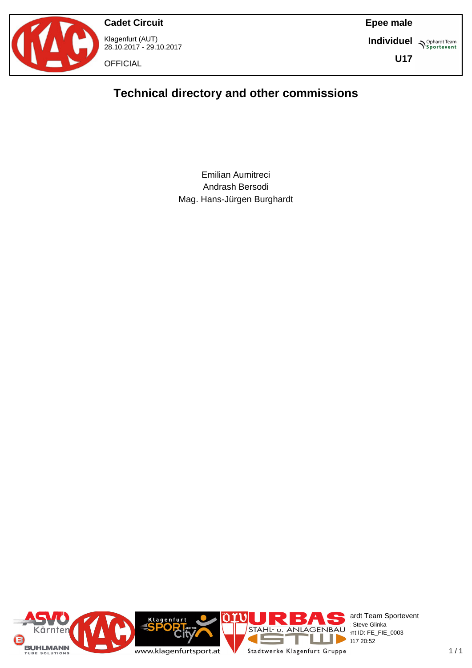

**Cadet Circuit** Klagenfurt (AUT) 28.10.2017 - 29.10.2017

**OFFICIAL** 

**Epee male**

**Individuel Supplemant** Team

**U17**

# **Technical directory and other commissions**

Emilian Aumitreci Andrash Bersodi Mag. Hans-Jürgen Burghardt

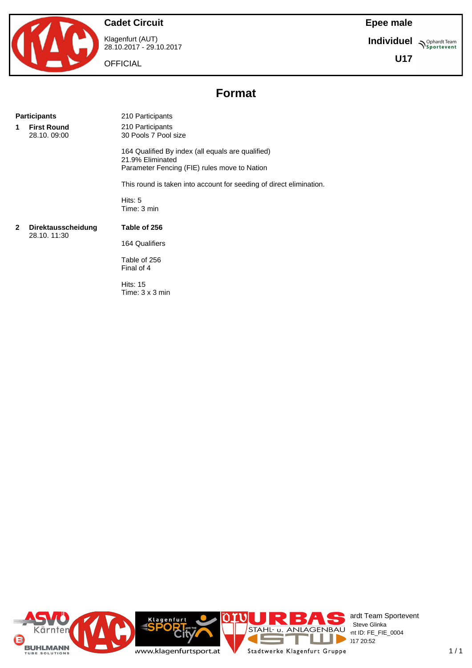

Klagenfurt (AUT) 28.10.2017 - 29.10.2017

**OFFICIAL** 

**Epee male**

**Individuel N**Sportevent

**U17**

# **Format**

#### **Participants** 210 Participants

**1 First Round** 28.10. 09:00

210 Participants 30 Pools 7 Pool size

164 Qualified By index (all equals are qualified) 21.9% Eliminated Parameter Fencing (FIE) rules move to Nation

This round is taken into account for seeding of direct elimination.

Hits: 5 Time: 3 min

#### **2 Direktausscheidung** 28.10. 11:30

**Table of 256** 164 Qualifiers

Table of 256 Final of 4

Hits: 15 Time: 3 x 3 min

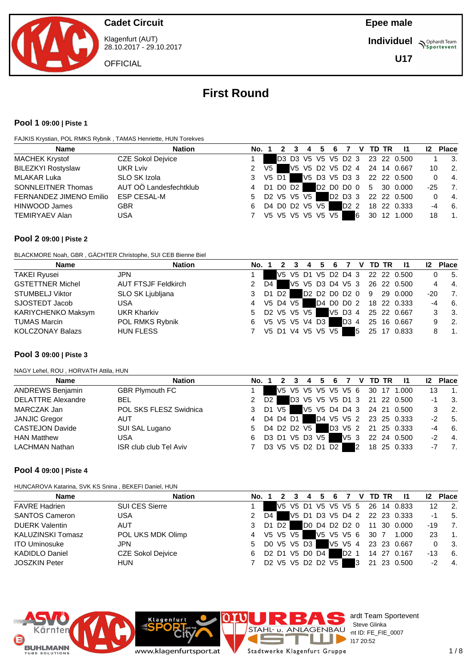

Klagenfurt (AUT) 28.10.2017 - 29.10.2017

**OFFICIAL** 

**Individuel N**Sportevent

**U17**

# **First Round**

#### **Pool 1 09:00 | Piste 1**

FAJKIS Krystian, POL RMKS Rybnik , TAMAS Henriette, HUN Torekves

| <b>Nation</b>                                       |
|-----------------------------------------------------|
| <b>CZE Sokol Dejvice</b>                            |
| UKR Lviv                                            |
| SLO SK Izola                                        |
| AUT OÖ Landesfechtklub<br><b>SONNLEITNER Thomas</b> |
| ESP CESAL-M<br>FERNANDEZ JIMENO Emilio              |
| <b>GBR</b>                                          |
| <b>USA</b>                                          |
|                                                     |

#### **Pool 2 09:00 | Piste 2**

BLACKMORE Noah, GBR , GÄCHTER Christophe, SUI CEB Bienne Biel

| <b>Name</b>             | <b>Nation</b>              | No. 1         |      |          | 3 |                   | 4 5 6 |      |   | 7 V TD TR | - 11                            | $12 \,$        | <b>Place</b>     |
|-------------------------|----------------------------|---------------|------|----------|---|-------------------|-------|------|---|-----------|---------------------------------|----------------|------------------|
| <b>TAKEI Ryusei</b>     | <b>JPN</b>                 |               |      |          |   |                   |       |      |   |           | V5 V5 D1 V5 D2 D4 3 22 22 0.500 | 0              | 5.               |
| <b>GSTETTNER Michel</b> | <b>AUT FTSJF Feldkirch</b> | $\mathcal{P}$ | D4 I |          |   |                   |       |      |   |           | V5 V5 D3 D4 V5 3 26 22 0.500    | $\overline{4}$ | $-4.$            |
| STUMBELJ Viktor         | SLO SK Ljubljana           | 3             |      | D1 D2 I  |   |                   |       |      |   |           | D2 D2 D0 D2 0 9 29 0.000        | $-20$          | 7.               |
| SJOSTEDT Jacob          | <b>USA</b>                 | 4             |      | V5 D4 V5 |   |                   |       |      |   |           | D4 D0 D0 2 18 22 0.333          | $-4$           | 6.               |
| KARIYCHENKO Maksym      | <b>UKR Kharkiv</b>         | 5             |      |          |   | D2 V5 V5 V5       |       |      |   |           | V5 D3 4 25 22 0.667             |                | 3.               |
| TUMAS Marcin            | POL RMKS Rybnik            | 6             |      |          |   | V5 V5 V5 V4 D3    |       | D3 4 |   |           | 25 16 0.667                     | 9              | $\overline{2}$ . |
| <b>KOLCZONAY Balazs</b> | <b>HUN FLESS</b>           |               |      |          |   | V5 D1 V4 V5 V5 V5 |       |      | 5 |           | 25 17 0.833                     |                | $\overline{1}$ . |

#### **Pool 3 09:00 | Piste 3**

NAGY Lehel, ROU , HORVATH Attila, HUN

| <b>Name</b>               | <b>Nation</b>                 | No. 1 |        |                   | 4 | 5 | 6 |      |   | V TD TR |                                 |      | <b>Place</b>     |
|---------------------------|-------------------------------|-------|--------|-------------------|---|---|---|------|---|---------|---------------------------------|------|------------------|
| <b>ANDREWS Benjamin</b>   | <b>GBR Plymouth FC</b>        |       |        |                   |   |   |   |      |   |         | V5 V5 V5 V5 V5 V5 6 30 17 1.000 | 13   | $\overline{1}$ . |
| <b>DELATTRE Alexandre</b> | <b>BEL</b>                    |       | - D2 I |                   |   |   |   |      |   |         | D3 V5 V5 V5 D1 3 21 22 0.500    | -1   | 3.               |
| MARCZAK Jan               | POL SKS FLESZ Swidnica        |       | D1 V5  |                   |   |   |   |      |   |         | V5 V5 D4 D4 3 24 21 0.500       |      | - 2.             |
| <b>JANJIC Gregor</b>      | <b>AUT</b>                    | 4     |        | D4 D4 D1          |   |   |   |      |   |         | D4 V5 V5 2 23 25 0.333          | -2   | 5.               |
| <b>CASTEJON Davide</b>    | SUI SAL Lugano                | 5     |        | D4 D2 D2 V5       |   |   |   |      |   |         | D3 V5 2 21 25 0.333             | -4   | 6.               |
| <b>HAN Matthew</b>        | USA                           |       |        | D3 D1 V5 D3 V5    |   |   |   | V5 3 |   |         | 22 24 0.500                     | $-2$ | $-4.$            |
| <b>LACHMAN Nathan</b>     | <b>ISR club club Tel Aviv</b> |       |        | D3 V5 V5 D2 D1 D2 |   |   |   |      | 2 |         | 18 25 0.333                     | -7   | $\overline{7}$ . |

#### **Pool 4 09:00 | Piste 4**

HUNCAROVA Katarina, SVK KS Snina , BEKEFI Daniel, HUN

| <b>Name</b>              | <b>Nation</b>            | No. 1 |    |          | 4                                                                          | 5. | - 6               |                  |    | V TD TR | - 11                            |     | <b>Place</b>     |
|--------------------------|--------------------------|-------|----|----------|----------------------------------------------------------------------------|----|-------------------|------------------|----|---------|---------------------------------|-----|------------------|
| <b>FAVRE Hadrien</b>     | SUI CES Sierre           |       |    |          |                                                                            |    |                   |                  |    |         | V5 V5 D1 V5 V5 V5 5 26 14 0.833 | 12  | $\overline{2}$ . |
| <b>SANTOS Cameron</b>    | USA                      | 2     | D4 |          |                                                                            |    |                   |                  |    |         | V5 D1 D3 V5 D4 2 22 23 0.333    | -1  | 5.               |
| <b>DUERK Valentin</b>    | <b>AUT</b>               |       |    | D1 D2    |                                                                            |    |                   |                  |    |         | D0 D4 D2 D2 0 11 30 0.000       | -19 | 7.               |
| <b>KALUZINSKI Tomasz</b> | POL UKS MDK Olimp        | 4     |    | V5 V5 V5 |                                                                            |    | V5 V5 V5 6        |                  |    | 30 7    | 1.000                           | 23  | $\mathbf{1}$ .   |
| <b>ITO Uminosuke</b>     | JPN                      | 5.    |    |          | DO V5 V5 D3                                                                |    | V5 V5 4           |                  |    |         | 23 23 0.667                     |     | - 3.             |
| <b>KADIDLO Daniel</b>    | <b>CZE Sokol Dejvice</b> | 6     |    |          | D <sub>2</sub> D <sub>1</sub> V <sub>5</sub> D <sub>0</sub> D <sub>4</sub> |    |                   | D <sub>2</sub> 1 |    |         | 14 27 0.167                     | -13 | 6.               |
| <b>JOSZKIN Peter</b>     | <b>HUN</b>               |       |    |          |                                                                            |    | D2 V5 V5 D2 D2 V5 |                  | IЗ | 21      | 23 0.500                        | -2  | $-4.$            |





Klagenfu

Π Stadtwerke Klagenfurt Gruppe

ī.

STAHL U. ANLAGENBAU

 $20:52$ 

ardt Team Sportevent

int ID: FE\_FIE\_0007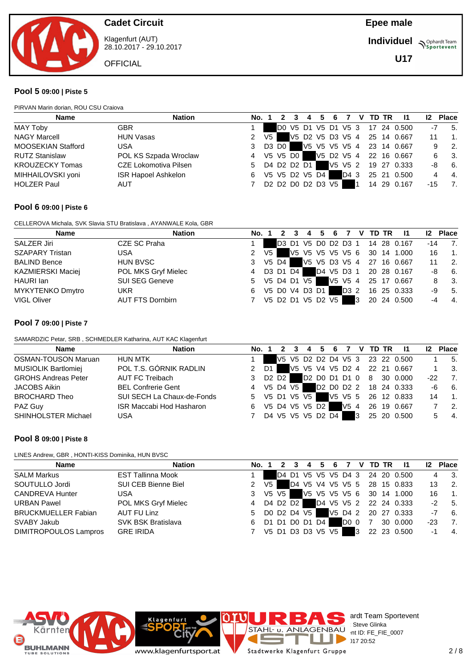

Klagenfurt (AUT) 28.10.2017 - 29.10.2017

**OFFICIAL** 

**Individuel Supplemant** Team

**U17**

#### **Pool 5 09:00 | Piste 5**

PIRVAN Marin dorian, ROU CSU Craiova

| <b>Name</b>               | <b>Nation</b>         | No. 1 |      | $2^{\circ}$ | 3 |                |                                                                                           |      |           | 4 5 6 7 V TD TR | $\mathbf{I}$                    | 12 <sup>2</sup> | <b>Place</b>                |
|---------------------------|-----------------------|-------|------|-------------|---|----------------|-------------------------------------------------------------------------------------------|------|-----------|-----------------|---------------------------------|-----------------|-----------------------------|
| MAY Toby                  | <b>GBR</b>            |       |      |             |   |                |                                                                                           |      |           |                 | D0 V5 D1 V5 D1 V5 3 17 24 0.500 | -7              | 5.                          |
| <b>NAGY Marcell</b>       | <b>HUN Vasas</b>      | 2     | V5 I |             |   |                |                                                                                           |      |           |                 | V5 D2 V5 D3 V5 4 25 14 0.667    |                 | $\overline{\phantom{a}}$ 1. |
| <b>MOOSEKIAN Stafford</b> | <b>USA</b>            | 3     |      | D3 D0       |   |                |                                                                                           |      |           |                 | V5 V5 V5 V5 4 23 14 0.667       | 9               | $\overline{\phantom{a}}$ 2. |
| <b>RUTZ Stanislaw</b>     | POL KS Szpada Wroclaw | 4     |      | V5 V5 D0 1  |   |                |                                                                                           |      |           |                 | V5 D2 V5 4 22 16 0.667          | 6.              | $\overline{\phantom{a}}$ 3. |
| <b>KROUZECKY Tomas</b>    | CZE Lokomotiva Pilsen | 5     |      |             |   | D4 D2 D2 D1    |                                                                                           |      |           |                 | V5 V5 2 19 27 0.333             | -8              | 6.                          |
| MIHHAILOVSKI yoni         | ISR Hapoel Ashkelon   | 6     |      |             |   | V5 V5 D2 V5 D4 |                                                                                           | D4 3 |           |                 | 25 21 0.500                     |                 | $-4.$                       |
| <b>HOLZER Paul</b>        | <b>AUT</b>            |       |      |             |   |                | D <sub>2</sub> D <sub>2</sub> D <sub>0</sub> D <sub>2</sub> D <sub>3</sub> V <sub>5</sub> |      | <b>11</b> |                 | 14 29 0.167                     | -15             | 7.                          |
|                           |                       |       |      |             |   |                |                                                                                           |      |           |                 |                                 |                 |                             |

#### **Pool 6 09:00 | Piste 6**

CELLEROVA Michala, SVK Slavia STU Bratislava , AYANWALE Kola, GBR

| <b>Name</b>              | <b>Nation</b>         | No. 1         |      | $\mathbf{z}$ | 3 | 4 5 6 7           |      |   | V TD TR | $\mathbf{I}$                    | 12 <sup>2</sup> | <b>Place</b>     |
|--------------------------|-----------------------|---------------|------|--------------|---|-------------------|------|---|---------|---------------------------------|-----------------|------------------|
| SALZER Jiri              | CZE SC Praha          |               |      |              |   |                   |      |   |         | D3 D1 V5 D0 D2 D3 1 14 28 0.167 | $-14$           | 7.               |
| <b>SZAPARY Tristan</b>   | USA                   | 2             | V5 I |              |   |                   |      |   |         | V5 V5 V5 V5 V5 6 30 14 1.000    | 16              | $\overline{1}$ . |
| <b>BALIND Bence</b>      | <b>HUN BVSC</b>       | 3 V5 D4       |      |              |   |                   |      |   |         | V5 V5 D3 V5 4 27 16 0.667       |                 | - 2.             |
| <b>KAZMIERSKI Maciej</b> | POL MKS Gryf Mielec   | 4             |      | D3 D1 D4     |   |                   |      |   |         | D4 V5 D3 1 20 28 0.167          | -8              | - 6.             |
| HAURI Ian                | <b>SUI SEG Geneve</b> | 5 V5 D4 D1 V5 |      |              |   |                   |      |   |         | V5 V5 4 25 17 0.667             |                 | - 3.             |
| <b>MYKYTENKO Dmytro</b>  | UKR                   | 6             |      |              |   | V5 D0 V4 D3 D1    | D3 2 |   |         | 16 25 0.333                     | -9              | 5.               |
| <b>VIGL Oliver</b>       | AUT FTS Dornbirn      |               |      |              |   | V5 D2 D1 V5 D2 V5 |      | 3 |         | 20 24 0.500                     |                 | - 4.             |

#### **Pool 7 09:00 | Piste 7**

SAMARDZIC Petar, SRB , SCHMEDLER Katharina, AUT KAC Klagenfurt

| <b>Name</b>                | <b>Nation</b>                   | No. 1         |            |  |                   |     |   | 3 4 5 6 7 V TD TR | - 11                            | 12 <sup>2</sup> | <b>Place</b>     |
|----------------------------|---------------------------------|---------------|------------|--|-------------------|-----|---|-------------------|---------------------------------|-----------------|------------------|
| <b>OSMAN-TOUSON Maruan</b> | <b>HUN MTK</b>                  |               |            |  |                   |     |   |                   | V5 V5 D2 D2 D4 V5 3 23 22 0.500 |                 | -5.              |
| <b>MUSIOLIK Bartlomiej</b> | POL T.S. GÓRNIK RADLIN          | 2 D1 I        |            |  |                   |     |   |                   | V5 V5 V4 V5 D2 4 22 21 0.667    |                 | - 3.             |
| <b>GROHS Andreas Peter</b> | AUT FC Treibach                 |               | D2 D2 I    |  |                   |     |   |                   | D2 D0 D1 D1 0 8 30 0.000        | $-22$           | 7.               |
| <b>JACOBS Aikin</b>        | <b>BEL Confrerie Gent</b>       | 4             | V5 D4 V5 I |  |                   |     |   |                   | D2 D0 D2 2 18 24 0.333          | -6              | 6.               |
| <b>BROCHARD Theo</b>       | SUI SECH La Chaux-de-Fonds      | 5 V5 D1 V5 V5 |            |  |                   |     |   |                   | V5 V5 5 26 12 0.833             | 14              | $\overline{1}$ . |
| PAZ Guy                    | <b>ISR Maccabi Hod Hasharon</b> | 6             |            |  | V5 D4 V5 V5 D2    | V54 |   |                   | 26 19 0.667                     |                 | $\overline{2}$ . |
| <b>SHINHOLSTER Michael</b> | USA                             |               |            |  | D4 V5 V5 V5 D2 D4 |     | 3 |                   | 25 20 0.500                     |                 | 4.               |

#### **Pool 8 09:00 | Piste 8**

LINES Andrew, GBR , HONTI-KISS Dominika, HUN BVSC

| <b>Name</b>                | <b>Nation</b>            | No. 1        |      |                   |  |  |      |   |                | 2 3 4 5 6 7 V TD TR 11          | 12   | <b>Place</b>                     |
|----------------------------|--------------------------|--------------|------|-------------------|--|--|------|---|----------------|---------------------------------|------|----------------------------------|
| <b>SALM Markus</b>         | <b>EST Tallinna Mook</b> |              |      |                   |  |  |      |   |                | D4 D1 V5 V5 V5 D4 3 24 20 0.500 |      | $\overline{\phantom{a}}$ 3.<br>4 |
| SOUTULLO Jordi             | SUI CEB Bienne Biel      | $\mathbf{2}$ | V5 I |                   |  |  |      |   |                | D4 V5 V4 V5 V5 5 28 15 0.833    | 13   | $\overline{2}$                   |
| <b>CANDREVA Hunter</b>     | USA                      | 3            |      | V5 V5 I           |  |  |      |   |                | V5 V5 V5 V5 6 30 14 1.000       | 16   | $\blacksquare$ 1.                |
| <b>URBAN Pawel</b>         | POL MKS Gryf Mielec      | 4            |      | D4 D2 D2 I        |  |  |      |   |                | D4 V5 V5 2 22 24 0.333          |      | $-2$ 5.                          |
| <b>BRUCKMUELLER Fabian</b> | AUT FU Linz              | 5            |      | DO D2 D4 V5       |  |  |      |   |                | V5 D4 2 20 27 0.333             |      | $-7$ 6.                          |
| SVABY Jakub                | SVK BSK Bratislava       | 6            |      | D1 D1 D0 D1 D4    |  |  | DO 0 |   | $\overline{7}$ | 30 0.000                        | -23  | $\overline{7}$                   |
| DIMITROPOULOS Lampros      | <b>GRE IRIDA</b>         |              |      | V5 D1 D3 D3 V5 V5 |  |  |      | 3 |                | 22 23 0.500                     | $-1$ | $\overline{4}$                   |



ardt Team Sportevent<br>: Steve Glinka **License:** Steve Glinka  $P^{\sim}$  nt ID: FE\_FIE\_0007  $28.1720:52$ Stadtwerke Klagenfurt Gruppe

ı J.

Klagenfurt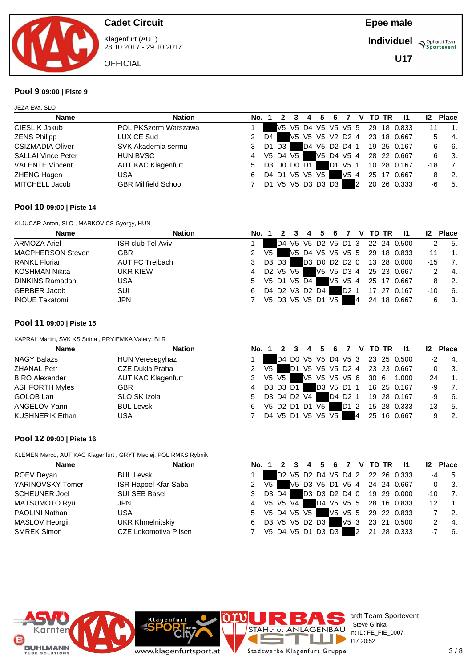

Klagenfurt (AUT) 28.10.2017 - 29.10.2017

**OFFICIAL** 

**Epee male**

**Individuel Supplemant** Team

**U17**

#### **Pool 9 09:00 | Piste 9**

JEZA Eva, SLO

| <b>Name</b>               | <b>Nation</b>               | No. 1         |      |       | 3        |                | 4 5 | 6                 | 7   |   | V TD TR | $\mathbf{I}$                    | 12  | <b>Place</b>     |
|---------------------------|-----------------------------|---------------|------|-------|----------|----------------|-----|-------------------|-----|---|---------|---------------------------------|-----|------------------|
| CIESLIK Jakub             | POL PKSzerm Warszawa        |               |      |       |          |                |     |                   |     |   |         | V5 V5 D4 V5 V5 V5 5 29 18 0.833 |     | $\overline{1}$ . |
| <b>ZENS Philipp</b>       | LUX CE Sud                  | $\mathcal{P}$ | D4 I |       |          |                |     |                   |     |   |         | V5 V5 V5 V2 D2 4 23 18 0.667    |     | $-4.$<br>5.      |
| <b>CSIZMADIA Oliver</b>   | SVK Akademia sermu          | 3             |      | D1 D3 |          |                |     |                   |     |   |         | D4 V5 D2 D4 1 19 25 0.167       | -6  | 6.               |
| <b>SALLAI Vince Peter</b> | <b>HUN BVSC</b>             | 4             |      |       | V5 D4 V5 |                |     | V5 D4 V5 4        |     |   |         | 28 22 0.667                     | 6   | - 3.             |
| <b>VALENTE Vincent</b>    | <b>AUT KAC Klagenfurt</b>   | 5             |      |       |          | D3 D0 D0 D1    |     | D1 V5 1           |     |   |         | 10 28 0.167                     | -18 | 7.               |
| <b>ZHENG Hagen</b>        | USA                         | 6             |      |       |          | D4 D1 V5 V5 V5 |     |                   | V54 |   |         | 25 17 0.667                     |     | - 2.             |
| MITCHELL Jacob            | <b>GBR Millfield School</b> |               |      |       |          |                |     | D1 V5 V5 D3 D3 D3 |     | 2 |         | 20 26 0.333                     | -6  | 5.               |

#### **Pool 10 09:00 | Piste 14**

KLJUCAR Anton, SLO , MARKOVICS Gyorgy, HUN

| <b>Name</b>              | <b>Nation</b>            | No. 1 |      |            |                   | 6 |                  | <b>V</b> |    | TD TR | $\mathbf{I}$                    | 12 <sup>2</sup> | <b>Place</b>     |
|--------------------------|--------------------------|-------|------|------------|-------------------|---|------------------|----------|----|-------|---------------------------------|-----------------|------------------|
| ARMOZA Ariel             | <b>ISR club Tel Aviv</b> |       |      |            |                   |   |                  |          |    |       | D4 V5 V5 D2 V5 D1 3 22 24 0.500 | $-2$            | 5.               |
| <b>MACPHERSON Steven</b> | <b>GBR</b>               |       | V5 I |            |                   |   |                  |          |    |       | V5 D4 V5 V5 V5 5 29 18 0.833    |                 | $\mathbf 1$      |
| <b>RANKL Florian</b>     | AUT FC Treibach          | 3     |      | D3 D3 I    |                   |   |                  |          |    |       | D3 D0 D2 D2 0 13 28 0.000       | -15             | -7.              |
| <b>KOSHMAN Nikita</b>    | UKR KIEW                 | 4     |      | D2 V5 V5 I |                   |   |                  |          |    |       | V5 V5 D3 4 25 23 0.667          |                 | -4.              |
| <b>DINKINS Ramadan</b>   | USA                      | 5     |      |            | V5 D1 V5 D4       |   |                  |          |    |       | V5 V5 4 25 17 0.667             |                 | $\overline{2}$ . |
| <b>GERBER Jacob</b>      | <b>SUI</b>               | 6     |      |            | D4 D2 V3 D2 D4    |   | D <sub>2</sub> 1 |          |    |       | 17 27 0.167                     | -10             | 6.               |
| <b>INOUE Takatomi</b>    | JPN                      |       |      |            | V5 D3 V5 V5 D1 V5 |   |                  | 14       | 24 |       | 18 0.667                        | 6               | - 3.             |

#### **Pool 11 09:00 | Piste 15**

KAPRAL Martin, SVK KS Snina , PRYIEMKA Valery, BLR

| <b>Name</b>            | <b>Nation</b>             | No. 1 |    |             | 4 | 5  | 6                 |         | V. |                    | TD TR | -11                             | 12 <sup>2</sup> | <b>Place</b>   |
|------------------------|---------------------------|-------|----|-------------|---|----|-------------------|---------|----|--------------------|-------|---------------------------------|-----------------|----------------|
| NAGY Balazs            | HUN Veresegyhaz           |       |    |             |   |    |                   |         |    |                    |       | D4 D0 V5 V5 D4 V5 3 23 25 0.500 | $-2$            | $-4.$          |
| <b>ZHANAL Petr</b>     | CZE Dukla Praha           | 2     | V5 |             |   |    |                   |         |    |                    |       | D1 V5 V5 V5 D2 4 23 23 0.667    |                 | - 3.           |
| <b>BIRO Alexander</b>  | <b>AUT KAC Klagenfurt</b> | 3     |    | V5 V5       |   |    |                   |         |    | V5 V5 V5 V5 6 30 6 |       | 1.000                           | 24              | $\mathbf{1}$ . |
| <b>ASHFORTH Myles</b>  | <b>GBR</b>                | 4     |    | D3 D3 D1    |   |    | D3 V5 D1 1        |         |    |                    |       | 16 25 0.167                     | -9              | - 7.           |
| GOLOB Lan              | SLO SK Izola              | 5.    |    | D3 D4 D2 V4 |   |    |                   | D4 D2 1 |    |                    |       | 19 28 0.167                     | -9              | - 6.           |
| ANGELOV Yann           | <b>BUL Levski</b>         | 6     |    | V5 D2 D1 D1 |   | V5 |                   | D1 2    |    |                    |       | 15 28 0.333                     | -13             | 5.             |
| <b>KUSHNERIK Ethan</b> | <b>USA</b>                |       |    |             |   |    | D4 V5 D1 V5 V5 V5 |         | 4  | 25                 |       | 16 0.667                        |                 | -2.            |

#### **Pool 12 09:00 | Piste 16**

KLEMEN Marco, AUT KAC Klagenfurt , GRYT Maciej, POL RMKS Rybnik

**Klagenfurt** 

www.klagenfurtsport.at

| <b>Name</b>          | <b>Nation</b>           |                  | No. 1 |               |  |                   |                 |   |  | 3 4 5 6 7 V TD TR 11            | 12       | <b>Place</b>   |
|----------------------|-------------------------|------------------|-------|---------------|--|-------------------|-----------------|---|--|---------------------------------|----------|----------------|
| ROEV Deyan           | <b>BUL Levski</b>       |                  |       |               |  |                   |                 |   |  | D2 V5 D2 D4 V5 D4 2 22 26 0.333 |          | $-4$ 5.        |
| YARINOVSKY Tomer     | ISR Hapoel Kfar-Saba    | 2 V <sub>5</sub> |       |               |  |                   |                 |   |  | V5 D3 V5 D1 V5 4 24 24 0.667    | $\Omega$ | 3 <sub>1</sub> |
| <b>SCHEUNER Joel</b> | SUI SEB Basel           | 3                |       | D3 D4         |  |                   |                 |   |  | D3 D3 D2 D4 0 19 29 0.000       | -10      | $\overline{7}$ |
| MATSUMOTO Ryu        | <b>JPN</b>              | 4                |       | V5 V5 V4 F    |  |                   |                 |   |  | D4 V5 V5 5 28 16 0.833          | 12       | $\blacksquare$ |
| PAOLINI Nathan       | USA                     |                  |       | 5 V5 D4 V5 V5 |  |                   |                 |   |  | V5 V5 5 29 22 0.833             |          | $\overline{2}$ |
| MASLOV Heorgii       | <b>UKR Khmelnitskiy</b> | 6                |       |               |  | D3 V5 V5 D2 D3    | V5 <sub>3</sub> |   |  | 23 21 0.500                     |          | $\overline{4}$ |
| <b>SMREK Simon</b>   | CZE Lokomotiva Pilsen   |                  |       |               |  | V5 D4 V5 D1 D3 D3 |                 | 2 |  | 21 28 0.333                     |          | 6.             |



 $28.1720:52$ ı J. Stadtwerke Klagenfurt Gruppe

ardt Team Sportevent<br>: Steve Glinka **License:** Steve Glinka  $P^{\sim}$  nt ID: FE\_FIE\_0007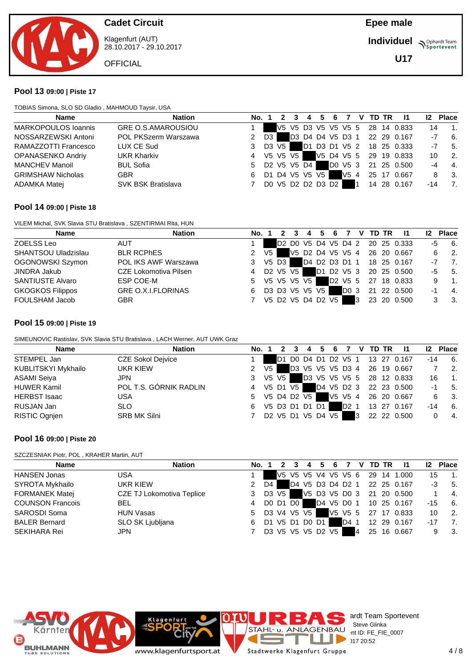

Klagenfurt (AUT) 28.10.2017 - 29.10.2017

**OFFICIAL** 

**Individuel Supplemant** Team

**U17**

### **Pool 13 09:00 | Piste 17**

TOBIAS Simona, SLO SD Gladio , MAHMOUD Taysir, USA

| <b>Name</b>                | <b>Nation</b>             |   | No. 1   | -3       |                   |  |     |           | 4 5 6 7 V TD TR | - 11                            |      | 12 Place                    |
|----------------------------|---------------------------|---|---------|----------|-------------------|--|-----|-----------|-----------------|---------------------------------|------|-----------------------------|
| <b>MARKOPOULOS Ioannis</b> | <b>GRE O.S.AMAROUSIOU</b> |   |         |          |                   |  |     |           |                 | V5 V5 D3 V5 V5 V5 5 28 14 0.833 | 14   | $\overline{\phantom{a}}$ 1. |
| NOSSARZEWSKI Antoni        | POL PKSzerm Warszawa      |   | D3      |          |                   |  |     |           |                 | D3 D4 D4 V5 D3 1 22 29 0.167    | $-7$ | 6.                          |
| RAMAZZOTTI Francesco       | LUX CE Sud                | 3 | D3 V5 I |          |                   |  |     |           |                 | D1 D3 D1 V5 2 18 25 0.333       |      | $-7$ 5.                     |
| OPANASENKO Andriy          | <b>UKR Kharkiv</b>        | 4 |         | V5 V5 V5 |                   |  |     |           |                 | V5 D4 V5 5 29 19 0.833          | 10   | $\overline{2}$ .            |
| MANCHEV Manoil             | <b>BUL Sofia</b>          | 5 |         |          | D2 V5 V5 D4       |  |     |           |                 | D0 V5 3 21 25 0.500             | -4   | $\overline{4}$ .            |
| <b>GRIMSHAW Nicholas</b>   | <b>GBR</b>                | 6 |         |          | D1 D4 V5 V5 V5    |  | V54 |           |                 | 25 17 0.667                     | 8    | - 3.                        |
| ADAMKA Matej               | <b>SVK BSK Bratislava</b> |   |         |          | DO V5 D2 D2 D3 D2 |  |     | <b>11</b> |                 | 14 28 0.167                     | -14  | $\overline{7}$ .            |

### **Pool 14 09:00 | Piste 18**

VILEM Michal, SVK Slavia STU Bratislava , SZENTIRMAI Rita, HUN

| <b>Name</b>                | <b>Nation</b>                | No. 1 |                | $2^{\circ}$       | 3 | $\therefore$ 4 $\degree$ |  |      |   | 5  6  7  V  TD  TR | $\overline{11}$                 | 12 <sup>2</sup> | <b>Place</b>                |
|----------------------------|------------------------------|-------|----------------|-------------------|---|--------------------------|--|------|---|--------------------|---------------------------------|-----------------|-----------------------------|
| ZOELSS Leo                 | <b>AUT</b>                   |       |                |                   |   |                          |  |      |   |                    | D2 D0 V5 D4 V5 D4 2 20 25 0.333 | -5              | 6.                          |
| <b>SHANTSOU Uladzislau</b> | <b>BLR RCPHES</b>            |       | V <sub>5</sub> |                   |   |                          |  |      |   |                    | V5 D2 D4 V5 V5 4 26 20 0.667    | 6.              | $\overline{\phantom{a}}$ 2. |
| OGONOWSKI Szymon           | POL IKS AWF Warszawa         | 3     |                | V5 D3 I           |   |                          |  |      |   |                    | D4 D2 D3 D1 1 18 25 0.167       | -7              | $\overline{7}$ .            |
| JINDRA Jakub               | <b>CZE Lokomotiva Pilsen</b> | 4     |                | D2 V5 V5 1        |   |                          |  |      |   |                    | D1 D2 V5 3 20 25 0.500          | -5              | 5.                          |
| <b>SANTIUSTE Alvaro</b>    | ESP COE-M                    | 5     |                | V5 V5 V5 V5       |   |                          |  |      |   |                    | D2 V5 5 27 18 0.833             | 9               | $\overline{1}$ .            |
| <b>GKOGKOS Filippos</b>    | <b>GRE O.X.I.FLORINAS</b>    | 6     |                | D3 D3 V5 V5 V5    |   |                          |  | DO 3 |   |                    | 21 22 0.500                     | -1              | 4.                          |
| FOULSHAM Jacob             | <b>GBR</b>                   |       |                | V5 D2 V5 D4 D2 V5 |   |                          |  |      | 3 |                    | 23 20 0.500                     |                 | - 3.                        |

### **Pool 15 09:00 | Piste 19**

SIMEUNOVIC Rastislav, SVK Slavia STU Bratislava , LACH Werner, AUT UWK Graz

| <b>Name</b>         | <b>Nation</b>            | No. 1 |                |         |                   | 4 | 5. | -6 | 7                |    | V TD TR | -11                             |     | 12 Place |
|---------------------|--------------------------|-------|----------------|---------|-------------------|---|----|----|------------------|----|---------|---------------------------------|-----|----------|
| STEMPEL Jan         | <b>CZE Sokol Dejvice</b> |       |                |         |                   |   |    |    |                  |    |         | D1 D0 D4 D1 D2 V5 1 13 27 0.167 | -14 | 6.       |
| KUBLITSKYI Mykhailo | UKR KIEW                 |       | V <sub>5</sub> |         |                   |   |    |    |                  |    |         | D3 V5 V5 V5 D3 4 26 19 0.667    |     | - 2.     |
| <b>ASAMI Seiya</b>  | JPN.                     | 3     |                | V5 V5 I |                   |   |    |    |                  |    |         | D3 V5 V5 V5 5 28 12 0.833       | 16  | -1.      |
| <b>HUWER Kamil</b>  | POL T.S. GÓRNIK RADLIN   | 4     |                |         | V5 D1 V5          |   |    |    |                  |    |         | D4 V5 D2 3 22 23 0.500          | -1  | -5.      |
| <b>HERBST Isaac</b> | USA                      | 5     |                |         | V5 D4 D2 V5       |   |    |    |                  |    |         | V5 V5 4 26 20 0.667             | 6   | - 3.     |
| RUSJAN Jan          | <b>SLO</b>               | 6     |                |         | V5 D3 D1 D1 D1    |   |    |    | D <sub>2</sub> 1 |    |         | 13 27 0.167                     | -14 | 6.       |
| RISTIC Ognjen       | <b>SRB MK Silni</b>      |       |                |         | D2 V5 D1 V5 D4 V5 |   |    |    |                  | Ι3 |         | 22 22 0.500                     |     | - 4.     |

### **Pool 16 09:00 | Piste 20**

SZCZESNIAK Piotr, POL , KRAHER Martin, AUT

| Name                    | <b>Nation</b>             | No. 1 |    |                   | 3 | 4 | 5 | 6 |      |   | 7 V TD TR | $\mathbf{I}$                    | 12 <sup>2</sup> | <b>Place</b>                |
|-------------------------|---------------------------|-------|----|-------------------|---|---|---|---|------|---|-----------|---------------------------------|-----------------|-----------------------------|
| <b>HANSEN Jonas</b>     | <b>USA</b>                |       |    |                   |   |   |   |   |      |   |           | V5 V5 V5 V4 V5 V5 6 29 14 1.000 | 15              | $\blacksquare$ 1.           |
| SYROTA Mykhailo         | UKR KIEW                  |       | D4 |                   |   |   |   |   |      |   |           | D4 V5 D3 D4 D2 1 22 25 0.167    |                 | $-3$ 5.                     |
| <b>FORMANEK Matej</b>   | CZE TJ Lokomotiva Teplice | 3     |    | D3 V5 1           |   |   |   |   |      |   |           | V5 D3 V5 D0 3 21 20 0.500       |                 | $\overline{4}$              |
| <b>COUNSON Francois</b> | <b>BEL</b>                | 4     |    | DO D1 D0          |   |   |   |   |      |   |           | D4 V5 D0 1 10 25 0.167          | -15             | 6.                          |
| SAROSDI Soma            | <b>HUN Vasas</b>          | 5.    |    | D3 V4 V5 V5       |   |   |   |   |      |   |           | V5 V5 5 27 17 0.833             | 10              | $\overline{\phantom{a}}$ 2. |
| <b>BALER Bernard</b>    | SLO SK Ljubljana          | 6     |    | D1 V5 D1 D0 D1    |   |   |   |   | D4 1 |   |           | 12 29 0.167                     | -17             | $\overline{7}$              |
| SEKIHARA Rei            | <b>JPN</b>                |       |    | D3 V5 V5 V5 D2 V5 |   |   |   |   |      | 4 |           | 25 16 0.667                     | 9               | - 3.                        |

Klagenfurt

www.klagenfurtsport.at



ardt Team Sportevent<br>: Steve Glinka **License:** Steve Glinka  $P^{\sim}$  nt ID: FE\_FIE\_0007  $28.1720:52$ Stadtwerke Klagenfurt Gruppe

ı a.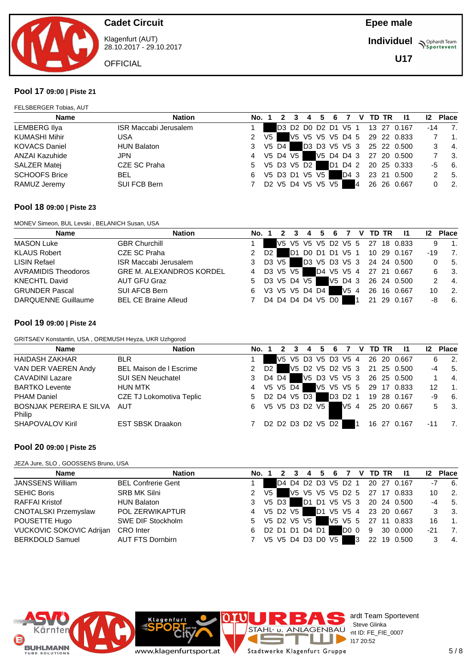

Klagenfurt (AUT) 28.10.2017 - 29.10.2017

**OFFICIAL** 

**Individuel Supplemant** Team

**U17**

#### **Pool 17 09:00 | Piste 21**

FELSBERGER Tobias, AUT

| <b>Name</b>          | <b>Nation</b>                | No. 1         |                |         |                   | 4 5 | 6 |      |                | V TD TR | - 11                            | 12 Place |                             |
|----------------------|------------------------------|---------------|----------------|---------|-------------------|-----|---|------|----------------|---------|---------------------------------|----------|-----------------------------|
| LEMBERG Ilya         | <b>ISR Maccabi Jerusalem</b> |               |                |         |                   |     |   |      |                |         | D3 D2 D0 D2 D1 V5 1 13 27 0.167 | -14      | 7.                          |
| <b>KUMASHI Mihir</b> | USA                          | 2             | V <sub>5</sub> |         |                   |     |   |      |                |         | V5 V5 V5 V5 D4 5 29 22 0.833    |          | $\overline{\phantom{a}}$ 1. |
| <b>KOVACS Daniel</b> | <b>HUN Balaton</b>           | 3             |                | V5 D4 I |                   |     |   |      |                |         | D3 D3 V5 V5 3 25 22 0.500       |          | $-4.$                       |
| ANZAI Kazuhide       | <b>JPN</b>                   | 4 V5 D4 V5    |                |         |                   |     |   |      |                |         | V5 D4 D4 3 27 20 0.500          |          | 3.                          |
| <b>SALZER Matej</b>  | CZE SC Praha                 | 5 V5 D3 V5 D2 |                |         |                   |     |   |      |                |         | D1 D4 2 20 25 0.333             | -5       | 6.                          |
| <b>SCHOOFS Brice</b> | <b>BEL</b>                   | 6             |                |         | V5 D3 D1 V5 V5 1  |     |   | D4 3 |                |         | 23 21 0.500                     |          | 5.                          |
| RAMUZ Jeremy         | SUI FCB Bern                 | 7             |                |         | D2 V5 D4 V5 V5 V5 |     |   |      | $\overline{A}$ |         | 26 26 0.667                     |          | $\overline{2}$ .            |

#### **Pool 18 09:00 | Piste 23**

MONEV Simeon, BUL Levski , BELANICH Susan, USA

| <b>Name</b>                | <b>Nation</b>                   | No. 1         |                        |         | -3         |                   |  |     | 4   5   6   7   V   TD   TR | $\blacksquare$                  | 12 <sup>2</sup> | <b>Place</b>     |
|----------------------------|---------------------------------|---------------|------------------------|---------|------------|-------------------|--|-----|-----------------------------|---------------------------------|-----------------|------------------|
| <b>MASON Luke</b>          | <b>GBR Churchill</b>            |               |                        |         |            |                   |  |     |                             | V5 V5 V5 V5 D2 V5 5 27 18 0.833 | 9               | $\overline{1}$ . |
| <b>KLAUS Robert</b>        | CZE SC Praha                    | $\mathcal{P}$ | D <sub>2</sub> $\vert$ |         |            |                   |  |     |                             | D1 D0 D1 D1 V5 1 10 29 0.167    | -19             | -7.              |
| LISIN Refael               | <b>ISR Maccabi Jerusalem</b>    | 3             |                        | D3 V5 1 |            |                   |  |     |                             | D3 V5 D3 V5 3 24 24 0.500       |                 | - 5.             |
| <b>AVRAMIDIS Theodoros</b> | <b>GRE M. ALEXANDROS KORDEL</b> | 4             |                        |         | D3 V5 V5 1 |                   |  |     |                             | D4 V5 V5 4 27 21 0.667          | 6.              | 3.               |
| <b>KNECHTL David</b>       | AUT GFU Graz                    | 5.            |                        |         |            | D3 V5 D4 V5       |  |     |                             | V5 D4 3 26 24 0.500             |                 | $\overline{4}$ . |
| <b>GRUNDER Pascal</b>      | SUI AFCB Bern                   | 6             |                        |         |            | V3 V5 V5 D4 D4    |  | V54 |                             | 26 16 0.667                     | 10              | $\overline{2}$ . |
| <b>DARQUENNE Guillaume</b> | <b>BEL CE Braine Alleud</b>     |               |                        |         |            | D4 D4 D4 D4 V5 D0 |  |     |                             | 21 29 0.167                     |                 | - 6.             |

#### **Pool 19 09:00 | Piste 24**

GRITSAEV Konstantin, USA , OREMUSH Heyza, UKR Uzhgorod

| <b>Name</b>                           | <b>Nation</b>                   | No. 1         |          |  | 4                 | 5 | 6       | <b>7</b> | V TD TR | - 11                            | 12 <sup>2</sup> | <b>Place</b> |                           |
|---------------------------------------|---------------------------------|---------------|----------|--|-------------------|---|---------|----------|---------|---------------------------------|-----------------|--------------|---------------------------|
| <b>HAIDASH ZAKHAR</b>                 | <b>BLR</b>                      |               |          |  |                   |   |         |          |         | V5 V5 D3 V5 D3 V5 4 26 20 0.667 |                 | 6            | - 2.                      |
| VAN DER VAEREN Andy                   | BEL Maison de I Escrime         | $\mathcal{P}$ | D2 I     |  |                   |   |         |          |         | V5 D2 V5 D2 V5 3 21 25 0.500    | $-4$            |              | 5.                        |
| <b>CAVADINI Lazare</b>                | <b>SUI SEN Neuchatel</b>        | 3             | D4 D4    |  |                   |   |         |          |         | V5 D3 V5 V5 3 26 25 0.500       |                 |              | 4.                        |
| <b>BARTKO Levente</b>                 | <b>HUN MTK</b>                  | 4             | V5 V5 D4 |  |                   |   |         |          |         | V5 V5 V5 5 29 17 0.833          | 12              |              | $\overline{1}$ .          |
| <b>PHAM Daniel</b>                    | <b>CZE TJ Lokomotiva Teplic</b> | 5             |          |  | D2 D4 V5 D3       |   | D3 D2 1 |          |         | 19 28 0.167                     | -9              |              | 6.                        |
| BOSNJAK PEREIRA E SILVA AUT<br>Philip |                                 | 6             |          |  | V5 V5 D3 D2 V5    |   |         | $V5$ 4   |         | 25 20 0.667                     |                 | 5            | $\overline{\mathbf{3}}$ . |
| <b>SHAPOVALOV Kiril</b>               | <b>EST SBSK Draakon</b>         |               |          |  | D2 D2 D3 D2 V5 D2 |   |         |          |         | 16 27 0.167                     | $-11$           |              | 7.                        |

#### **Pool 20 09:00 | Piste 25**

JEZA Jure, SLO , GOOSSENS Bruno, USA

| <b>Name</b>                     | <b>Nation</b>             | No. 1         |      |            | $\mathbf{3}$ | 4                 |  |      |   | 5 6 7 V TD TR | $\blacksquare$                  | 12 <sup>2</sup> | <b>Place</b>                |                  |
|---------------------------------|---------------------------|---------------|------|------------|--------------|-------------------|--|------|---|---------------|---------------------------------|-----------------|-----------------------------|------------------|
| <b>JANSSENS William</b>         | <b>BEL Confrerie Gent</b> |               |      |            |              |                   |  |      |   |               | D4 D4 D2 D3 V5 D2 1 20 27 0.167 | -7              | 6.                          |                  |
| <b>SEHIC Boris</b>              | <b>SRB MK Silni</b>       | 2             | V5 I |            |              |                   |  |      |   |               | V5 V5 V5 V5 D2 5 27 17 0.833    | 10              | $\overline{\phantom{a}}$ 2. |                  |
| <b>RAFFAI Kristof</b>           | <b>HUN Balaton</b>        | 3             |      | V5 D3 I    |              |                   |  |      |   |               | D1 D1 V5 V5 3 20 24 0.500       |                 | $-4$ 5.                     |                  |
| <b>CNOTALSKI Przemyslaw</b>     | POL ZERWIKAPTUR           | 4             |      | V5 D2 V5 I |              |                   |  |      |   |               | D1 V5 V5 4 23 20 0.667          |                 | 3.                          |                  |
| POUSETTE Hugo                   | SWE DIF Stockholm         | 5 V5 D2 V5 V5 |      |            |              |                   |  |      |   |               | V5 V5 5 27 11 0.833             | 16              |                             | $\overline{1}$ . |
| <b>VUCKOVIC SOKOVIC Adrijan</b> | CRO Inter                 | 6             |      |            |              | D2 D1 D1 D4 D1    |  | DO 0 |   | 9             | 30 0.000                        | -21             |                             | 7.               |
| BERKDOLD Samuel                 | <b>AUT FTS Dornbirn</b>   |               |      |            |              | V5 V5 D4 D3 D0 V5 |  |      | 3 |               | 22 19 0.500                     |                 |                             | - 4.             |



ardt Team Sportevent<br>: Steve Glinka **License:** Steve Glinka  $P^{\sim}$  nt ID: FE\_FIE\_0007  $20:52$ 

www.klagenfurtsport.at

**Klagenfurt** 

a.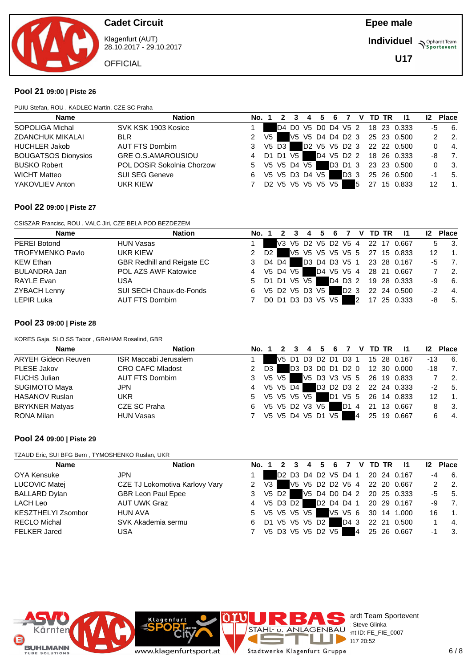

Klagenfurt (AUT) 28.10.2017 - 29.10.2017

**OFFICIAL** 

**Individuel Supplemant** Team

**U17**

### **Pool 21 09:00 | Piste 26**

PUIU Stefan, ROU , KADLEC Martin, CZE SC Praha

| <b>Name</b>                | <b>Nation</b>              | No. 1         |                |         | $2 \quad 3$ | 4 5 6 7           |  |     |   | V TD TR | $\overline{11}$                 | 12 <sup>2</sup> | <b>Place</b>     |
|----------------------------|----------------------------|---------------|----------------|---------|-------------|-------------------|--|-----|---|---------|---------------------------------|-----------------|------------------|
| SOPOLIGA Michal            | SVK KSK 1903 Kosice        |               |                |         |             |                   |  |     |   |         | D4 D0 V5 D0 D4 V5 2 18 23 0.333 | -5              | 6.               |
| <b>ZDANCHUK MIKALAI</b>    | <b>BLR</b>                 | $\mathcal{P}$ | V <sub>5</sub> |         |             |                   |  |     |   |         | V5 V5 D4 D4 D2 3 25 23 0.500    |                 | $\overline{2}$ . |
| <b>HUCHLER Jakob</b>       | <b>AUT FTS Dornbirn</b>    | 3             |                | V5 D3 I |             |                   |  |     |   |         | D2 V5 V5 D2 3 22 22 0.500       |                 | $-4.$            |
| <b>BOUGATSOS Dionysios</b> | <b>GRE O.S.AMAROUSIOU</b>  | 4 D1 D1 V5    |                |         |             |                   |  |     |   |         | D4 V5 D2 2 18 26 0.333          | -8              | $\overline{7}$ . |
| <b>BUSKO Robert</b>        | POL DOSiR Sokolnia Chorzow | 5 V5 V5 D4 V5 |                |         |             |                   |  |     |   |         | D3 D1 3 23 23 0.500             |                 | - 3.             |
| <b>WICHT Matteo</b>        | <b>SUI SEG Geneve</b>      | 6             |                |         |             | V5 V5 D3 D4 V5    |  | D33 |   |         | 25 26 0.500                     | -1              | -5.              |
| YAKOVLIEV Anton            | UKR KIEW                   |               |                |         |             | D2 V5 V5 V5 V5 V5 |  |     | 5 |         | 27 15 0.833                     | 12              | $\overline{1}$ . |
|                            |                            |               |                |         |             |                   |  |     |   |         |                                 |                 |                  |

#### **Pool 22 09:00 | Piste 27**

CSISZAR Francisc, ROU , VALC Jiri, CZE BELA POD BEZDEZEM

| <b>Name</b>             | <b>Nation</b>                     | No. 1 |      | $\overline{2}$ | 3 |                   | 4 5 6 7 |                  |                |    | V TD TR | - 11                            |    | <b>Place</b>              |
|-------------------------|-----------------------------------|-------|------|----------------|---|-------------------|---------|------------------|----------------|----|---------|---------------------------------|----|---------------------------|
| PEREI Botond            | <b>HUN Vasas</b>                  |       |      |                |   |                   |         |                  |                |    |         | V3 V5 D2 V5 D2 V5 4 22 17 0.667 |    | $\overline{\mathbf{3}}$ . |
| <b>TROFYMENKO Pavlo</b> | UKR KIEW                          |       | D2 I |                |   |                   |         |                  |                |    |         | V5 V5 V5 V5 V5 5 27 15 0.833    | 12 | $\overline{1}$ .          |
| <b>KEW Ethan</b>        | <b>GBR Redhill and Reigate EC</b> | 3     |      | D4 D4 I        |   |                   |         |                  |                |    |         | D3 D4 D3 V5 1 23 28 0.167       | -5 | $\overline{7}$ .          |
| BULANDRA Jan            | POL AZS AWF Katowice              | 4     |      | V5 D4 V5       |   |                   |         |                  |                |    |         | D4 V5 V5 4 28 21 0.667          |    | $\overline{2}$ .          |
| <b>RAYLE Evan</b>       | USA                               | 5     |      |                |   | D1 D1 V5 V5       |         |                  |                |    |         | D4 D3 2 19 28 0.333             | -9 | 6.                        |
| ZYBACH Lenny            | SUI SECH Chaux-de-Fonds           | 6     |      |                |   | V5 D2 V5 D3 V5    |         | D <sub>2</sub> 3 |                |    |         | 22 24 0.500                     | -2 | $\overline{4}$ .          |
| LEPIR Luka              | AUT FTS Dornbirn                  |       |      |                |   | DO D1 D3 D3 V5 V5 |         |                  | $\overline{2}$ | 17 |         | 25 0.333                        | -8 | 5.                        |

#### **Pool 23 09:00 | Piste 28**

KORES Gaja, SLO SS Tabor , GRAHAM Rosalind, GBR

| <b>Name</b>                | <b>Nation</b>                | <b>No.</b> 1 |         | 3          | 4                 | $-5$ | - 6 |      |    | V TD TR | -11                             | 12 <sup>2</sup> | <b>Place</b>     |
|----------------------------|------------------------------|--------------|---------|------------|-------------------|------|-----|------|----|---------|---------------------------------|-----------------|------------------|
| <b>ARYEH Gideon Reuven</b> | <b>ISR Maccabi Jerusalem</b> |              |         |            |                   |      |     |      |    |         | V5 D1 D3 D2 D1 D3 1 15 28 0.167 | -13             | -6.              |
| PLESE Jakov                | <b>CRO CAFC Mladost</b>      | 2            | D3      |            |                   |      |     |      |    |         | D3 D3 D0 D1 D2 0 12 30 0.000    | -18             | 7.               |
| <b>FUCHS Julian</b>        | <b>AUT FTS Dornbirn</b>      | 3            | V5 V5 1 |            |                   |      |     |      |    |         | V5 D3 V3 V5 5 26 19 0.833       |                 | $\overline{2}$ . |
| <b>SUGIMOTO Maya</b>       | <b>JPN</b>                   | 4            |         | V5 V5 D4 H |                   |      |     |      |    |         | D3 D2 D3 2 22 24 0.333          | $-2$            | 5.               |
| <b>HASANOV Ruslan</b>      | <b>UKR</b>                   |              |         |            | 5 V5 V5 V5 V5     |      |     |      |    |         | D1 V5 5 26 14 0.833             | 12              | $\overline{1}$ . |
| <b>BRYKNER Matyas</b>      | CZE SC Praha                 | 6            |         |            | V5 V5 D2 V3 V5    |      |     | D1 4 |    |         | 21 13 0.667                     |                 | - 3.             |
| RONA Milan                 | <b>HUN Vasas</b>             |              |         |            | V5 V5 D4 V5 D1 V5 |      |     |      | 14 |         | 25 19 0.667                     |                 | -4.              |

#### **Pool 24 09:00 | Piste 29**

TZAUD Eric, SUI BFG Bern , TYMOSHENKO Ruslan, UKR

| Name                 | <b>Nation</b>                  | No. 1         | $\overline{2}$ |  |                   |      |    | 3 4 5 6 7 V TD TR | - 11                            | 12   | <b>Place</b>            |
|----------------------|--------------------------------|---------------|----------------|--|-------------------|------|----|-------------------|---------------------------------|------|-------------------------|
| OYA Kensuke          | <b>JPN</b>                     |               |                |  |                   |      |    |                   | D2 D3 D4 D2 V5 D4 1 20 24 0.167 |      | $-4$ 6.                 |
| LUCOVIC Matej        | CZE TJ Lokomotiva Karlovy Vary | $2 \sqrt{3}$  |                |  |                   |      |    |                   | V5 V5 D2 D2 V5 4 22 20 0.667    |      | $2 \t 2$                |
| <b>BALLARD Dylan</b> | <b>GBR Leon Paul Epee</b>      | 3 V5 D2       |                |  |                   |      |    |                   | V5 D4 D0 D4 2 20 25 0.333       |      | $-5$ 5.                 |
| LACH Leo             | <b>AUT UWK Graz</b>            | 4 V5 D3 D2    |                |  |                   |      |    |                   | D2 D4 D4 1 20 29 0.167          | -9   | $\overline{7}$          |
| KESZTHELYI Zsombor   | HUN AVA                        | 5 V5 V5 V5 V5 |                |  |                   |      |    |                   | V5 V5 6 30 14 1.000             | 16   | $\blacksquare$          |
| <b>RECLO Michal</b>  | SVK Akademia sermu             | 6             |                |  | D1 V5 V5 V5 D2    | D4 3 |    |                   | 22 21 0.500                     |      | $\overline{4}$          |
| <b>FELKER Jared</b>  | <b>USA</b>                     |               |                |  | V5 D3 V5 V5 D2 V5 |      | 44 |                   | 25 26 0.667                     | $-1$ | $\overline{\mathbf{3}}$ |



ardt Team Sportevent<br>: Steve Glinka **License:** Steve Glinka  $P^{\sim}$  nt ID: FE\_FIE\_0007  $28.1720:52$ 

www.klagenfurtsport.at

Klagenfurt

ı Stadtwerke Klagenfurt Gruppe

J.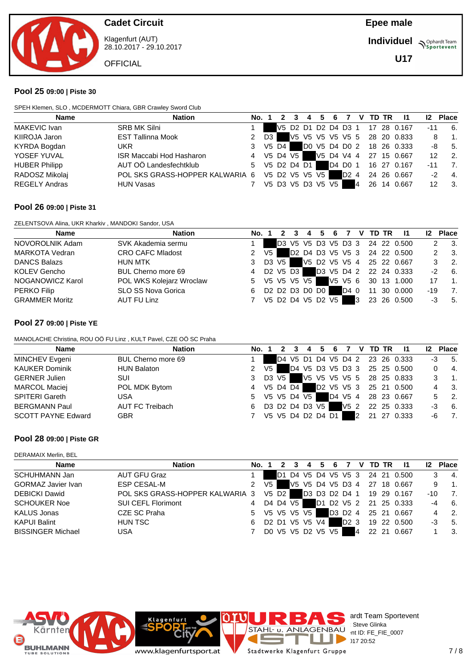

Klagenfurt (AUT) 28.10.2017 - 29.10.2017

**OFFICIAL** 

**Individuel Supplemant** Team

**U17**

#### **Pool 25 09:00 | Piste 30**

SPEH Klemen, SLO , MCDERMOTT Chiara, GBR Crawley Sword Club

| <b>Name</b>          | <b>Nation</b>                   | No. 1         |      |       | -3 | 4 |                   |         |   | 5 6 7 V TD TR | $\blacksquare$                  | 12 <sup>2</sup> | <b>Place</b>                     |
|----------------------|---------------------------------|---------------|------|-------|----|---|-------------------|---------|---|---------------|---------------------------------|-----------------|----------------------------------|
| MAKEVIC Ivan         | <b>SRB MK Silni</b>             |               |      |       |    |   |                   |         |   |               | V5 D2 D1 D2 D4 D3 1 17 28 0.167 | $-11$           | -6.                              |
| KIIROJA Jaron        | <b>EST Tallinna Mook</b>        | 2             | D3 I |       |    |   |                   |         |   |               | V5 V5 V5 V5 V5 5 28 20 0.833    |                 | $\overline{\phantom{a}}$ 1.<br>8 |
| KYRDA Bogdan         | UKR.                            | 3             |      | V5 D4 |    |   |                   |         |   |               | DO V5 D4 D0 2 18 26 0.333       |                 | $-8$ 5.                          |
| YOSEF YUVAL          | ISR Maccabi Hod Hasharon        | 4 V5 D4 V5    |      |       |    |   |                   |         |   |               | V5 D4 V4 4 27 15 0.667          | 12              | $\overline{\phantom{a}}$ 2.      |
| <b>HUBER Philipp</b> | AUT OÖ Landesfechtklub          | 5 V5 D2 D4 D1 |      |       |    |   |                   | D4 D0 1 |   |               | 16 27 0.167                     | $-11$           | -7.                              |
| RADOSZ Mikolaj       | POL SKS GRASS-HOPPER KALWARIA 6 |               |      |       |    |   | V5 D2 V5 V5 V5    | D2 4    |   |               | 24 26 0.667                     | $-2$            | $-4.$                            |
| <b>REGELY Andras</b> | <b>HUN Vasas</b>                |               |      |       |    |   | V5 D3 V5 D3 V5 V5 |         | 4 |               | 26 14 0.667                     | 12              | $\overline{\phantom{a}}$ 3.      |

#### **Pool 26 09:00 | Piste 31**

ZELENTSOVA Alina, UKR Kharkiv , MANDOKI Sandor, USA

| <b>Name</b>           | <b>Nation</b>            | No. 1         |                |            |  | 4 5               | 6 |      |   | V TD TR | - 11                            |       | <b>Place</b>     |
|-----------------------|--------------------------|---------------|----------------|------------|--|-------------------|---|------|---|---------|---------------------------------|-------|------------------|
| NOVOROLNIK Adam       | SVK Akademia sermu       |               |                |            |  |                   |   |      |   |         | D3 V5 V5 D3 V5 D3 3 24 22 0.500 |       | - 3.             |
| <b>MARKOTA Vedran</b> | <b>CRO CAFC Mladost</b>  | 2             | V <sub>5</sub> |            |  |                   |   |      |   |         | D2 D4 D3 V5 V5 3 24 22 0.500    |       | 3.               |
| <b>DANCS Balazs</b>   | <b>HUN MTK</b>           |               |                | D3 V5 1    |  |                   |   |      |   |         | V5 D2 V5 V5 4 25 22 0.667       |       | $\overline{2}$ . |
| <b>KOLEV Gencho</b>   | BUL Cherno more 69       | 4             |                | D2 V5 D3 F |  |                   |   |      |   |         | D3 V5 D4 2 22 24 0.333          | -2    | 6.               |
| NOGANOWICZ Karol      | POL WKS Kolejarz Wroclaw | 5 V5 V5 V5 V5 |                |            |  |                   |   |      |   |         | V5 V5 6 30 13 1.000             | 17    | $\overline{1}$ . |
| <b>PERKO Filip</b>    | SLO SS Nova Gorica       | 6             |                |            |  | D2 D2 D3 D0 D0    |   | D4 0 |   | 11      | 30 0.000                        | $-19$ | 7.               |
| <b>GRAMMER Moritz</b> | AUT FU Linz              |               |                |            |  | V5 D2 D4 V5 D2 V5 |   |      | 3 |         | 23 26 0.500                     | -3    | 5.               |

#### **Pool 27 09:00 | Piste YE**

MANOLACHE Christina, ROU OÖ FU Linz , KULT Pavel, CZE OÖ SC Praha

| <b>Name</b>               | <b>Nation</b>      | No. 1 |      |          | 4           | 5                 | 6 |         |   | V TD TR | $\mathbf{I}$                    | 12 <sup>2</sup> | <b>Place</b>     |
|---------------------------|--------------------|-------|------|----------|-------------|-------------------|---|---------|---|---------|---------------------------------|-----------------|------------------|
| MINCHEV Evgeni            | BUL Cherno more 69 |       |      |          |             |                   |   |         |   |         | D4 V5 D1 D4 V5 D4 2 23 26 0.333 | -3              | 5.               |
| <b>KAUKER Dominik</b>     | <b>HUN Balaton</b> |       | V5 I |          |             |                   |   |         |   |         | D4 V5 D3 V5 D3 3 25 25 0.500    |                 | - 4.             |
| <b>GERNER Julien</b>      | SUI                | 3     |      | D3 V5 I  |             |                   |   |         |   |         | V5 V5 V5 V5 5 28 25 0.833       |                 | $\overline{1}$ . |
| <b>MARCOL Maciej</b>      | POL MDK Bytom      | 4     |      | V5 D4 D4 |             |                   |   |         |   |         | D2 V5 V5 3 25 21 0.500          |                 | - 3.             |
| <b>SPITERI Gareth</b>     | USA                | 5     |      |          | V5 V5 D4 V5 |                   |   | D4 V5 4 |   |         | 28 23 0.667                     |                 | $\overline{2}$ . |
| <b>BERGMANN Paul</b>      | AUT FC Treibach    | 6     |      |          |             | D3 D2 D4 D3 V5    |   | V5 2    |   |         | 22 25 0.333                     | -3              | 6.               |
| <b>SCOTT PAYNE Edward</b> | <b>GBR</b>         |       |      |          |             | V5 V5 D4 D2 D4 D1 |   |         | 2 | 21      | 27 0.333                        | -6              | 7.               |

#### **Pool 28 09:00 | Piste GR**

DERAMAIX Merlin, BEL

| <b>Name</b>               | <b>Nation</b>                   |   | No. 1 |                   |  |  |                  |    |  | 2 3 4 5 6 7 V TD TR 11          | 12 <sup>2</sup> | <b>Place</b>                |
|---------------------------|---------------------------------|---|-------|-------------------|--|--|------------------|----|--|---------------------------------|-----------------|-----------------------------|
| SCHUHMANN Jan             | <b>AUT GFU Graz</b>             |   |       |                   |  |  |                  |    |  | D1 D4 V5 D4 V5 V5 3 24 21 0.500 |                 | $-4$                        |
| <b>GORMAZ Javier Ivan</b> | ESP CESAL-M                     |   | V5 I  |                   |  |  |                  |    |  | V5 V5 D4 V5 D3 4 27 18 0.667    | 9               | $\blacksquare$ 1.           |
| <b>DEBICKI Dawid</b>      | POL SKS GRASS-HOPPER KALWARIA 3 |   |       | V5 D2 I           |  |  |                  |    |  | D3 D3 D2 D4 1 19 29 0.167       | -10             | $\overline{7}$              |
| <b>SCHOUKER Noe</b>       | <b>SUI CEFL Florimont</b>       | 4 |       | D4 D4 V5          |  |  |                  |    |  | D1 D2 V5 2 21 25 0.333          |                 | $-4$ 6.                     |
| <b>KALUS Jonas</b>        | CZE SC Praha                    |   |       | 5 V5 V5 V5 V5     |  |  |                  |    |  | D3 D2 4 25 21 0.667             |                 | $\overline{\phantom{0}}$ 2. |
| <b>KAPUI Balint</b>       | HUN TSC                         | 6 |       | D2 D1 V5 V5 V4    |  |  | D <sub>2</sub> 3 |    |  | 19 22 0.500                     | -3              | 5.                          |
| <b>BISSINGER Michael</b>  | <b>USA</b>                      |   |       | DO V5 V5 D2 V5 V5 |  |  |                  | 44 |  | 22 21 0.667                     |                 | 3 <sub>1</sub>              |
|                           |                                 |   |       |                   |  |  |                  |    |  |                                 |                 |                             |



ardt Team Sportevent<br>: Steve Glinka **License:** Steve Glinka  $P^{\sim}$  nt ID: FE\_FIE\_0007  $28.1720:52$ 

www.klagenfurtsport.at

Klagenfurt

ı Stadtwerke Klagenfurt Gruppe

J.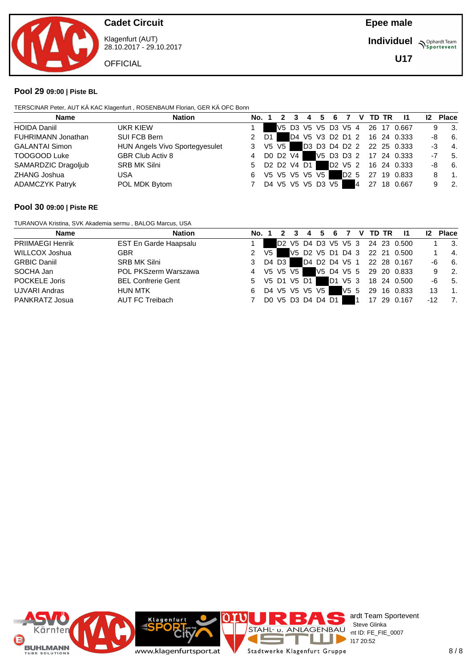

Klagenfurt (AUT) 28.10.2017 - 29.10.2017

**OFFICIAL** 

**Individuel Supplemant** Team

**U17**

#### **Pool 29 09:00 | Piste BL**

TERSCINAR Peter, AUT KÄ KAC Klagenfurt , ROSENBAUM Florian, GER KÄ OFC Bonn

| <b>Name</b>            | <b>Nation</b>                  | No. 1  |                   |  |  |                  |   | 2 3 4 5 6 7 V TD TR | $\mathbf{I}$                    | 12 | <b>Place</b> |                          |
|------------------------|--------------------------------|--------|-------------------|--|--|------------------|---|---------------------|---------------------------------|----|--------------|--------------------------|
| <b>HOIDA Daniil</b>    | UKR KIEW                       |        |                   |  |  |                  |   |                     | V5 D3 V5 V5 D3 V5 4 26 17 0.667 |    | 9            | 3.                       |
| FUHRIMANN Jonathan     | SUI FCB Bern                   | $2$ D1 |                   |  |  |                  |   |                     | D4 V5 V3 D2 D1 2 16 24 0.333    |    | -8           | 6.                       |
| <b>GALANTAI Simon</b>  | HUN Angels Vivo Sportegyesulet | 3      | V5 V5             |  |  |                  |   |                     | D3 D3 D4 D2 2 22 25 0.333       | -3 |              | $-4.$                    |
| TOOGOOD Luke           | GBR Club Activ 8               | 4      | DO D2 V4          |  |  |                  |   |                     | V5 D3 D3 2 17 24 0.333          | -7 |              | 5.                       |
| SAMARDZIC Dragoljub    | <b>SRB MK Silni</b>            | 5.     | D2 D2 V4 D1       |  |  |                  |   |                     | D2 V5 2 16 24 0.333             | -8 |              | 6.                       |
| ZHANG Joshua           | USA                            | 6      | V5 V5 V5 V5 V5    |  |  | D <sub>2</sub> 5 |   |                     | 27 19 0.833                     |    |              | $\overline{1}$ .         |
| <b>ADAMCZYK Patryk</b> | POL MDK Bytom                  |        | D4 V5 V5 V5 D3 V5 |  |  |                  | 4 |                     | 27 18 0.667                     |    |              | $\overline{\phantom{a}}$ |

### **Pool 30 09:00 | Piste RE**

TURANOVA Kristina, SVK Akademia sermu , BALOG Marcus, USA

| <b>Name</b>             | <b>Nation</b>             | No. 1            |                   |  |  |                 |  | 2 3 4 5 6 7 V TD TR | $\overline{11}$                 | 12 <sup>2</sup> | <b>Place</b> |                          |
|-------------------------|---------------------------|------------------|-------------------|--|--|-----------------|--|---------------------|---------------------------------|-----------------|--------------|--------------------------|
| <b>PRIIMAEGI Henrik</b> | EST En Garde Haapsalu     |                  |                   |  |  |                 |  |                     | D2 V5 D4 D3 V5 V5 3 24 23 0.500 |                 |              | - 3.                     |
| WILLCOX Joshua          | <b>GBR</b>                | 2 V <sub>5</sub> |                   |  |  |                 |  |                     | V5 D2 V5 D1 D4 3 22 21 0.500    |                 |              | 4.                       |
| <b>GRBIC Daniil</b>     | <b>SRB MK Silni</b>       | 3                | D4 D3 I           |  |  |                 |  |                     | D4 D2 D4 V5 1 22 28 0.167       | -6              |              | 6.                       |
| SOCHA Jan               | POL PKSzerm Warszawa      | 4                | V5 V5 V5 1        |  |  |                 |  |                     | V5 D4 V5 5 29 20 0.833          |                 | 9            | $\overline{\phantom{a}}$ |
| POCKELE Joris           | <b>BEL Confrerie Gent</b> | 5                | V5 D1 V5 D1       |  |  | D1 V5 3         |  |                     | 18 24 0.500                     | -6              |              | 5.                       |
| UJVARI Andras           | <b>HUN MTK</b>            | 6                | D4 V5 V5 V5 V5    |  |  | V5 <sub>5</sub> |  |                     | 29 16 0.833                     | 13              |              | - 1.                     |
| PANKRATZ Josua          | AUT FC Treibach           |                  | DO V5 D3 D4 D4 D1 |  |  |                 |  |                     | 17 29 0.167                     | -12             |              | 7.                       |

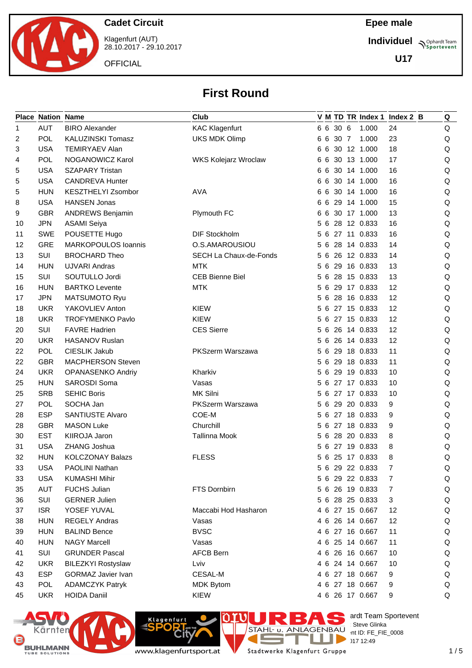

Klagenfurt (AUT) 28.10.2017 - 29.10.2017

**OFFICIAL** 

### **Epee male**

**Individuel Supplemant** Team

**U17**

# **First Round**

|    | <b>Place Nation Name</b> |                           | Club                        |    |          |                 | V M TD TR Index 1 Index 2 B | Q |
|----|--------------------------|---------------------------|-----------------------------|----|----------|-----------------|-----------------------------|---|
| 1  | <b>AUT</b>               | <b>BIRO Alexander</b>     | <b>KAC Klagenfurt</b>       |    | 6 6 30 6 | 1.000           | 24                          | Q |
| 2  | POL                      | KALUZINSKI Tomasz         | <b>UKS MDK Olimp</b>        | 66 | 30 7     | 1.000           | 23                          | Q |
| 3  | <b>USA</b>               | <b>TEMIRYAEV Alan</b>     |                             | 66 |          | 30 12 1.000     | 18                          | Q |
| 4  | <b>POL</b>               | NOGANOWICZ Karol          | <b>WKS Kolejarz Wroclaw</b> | 66 |          | 30 13 1.000     | 17                          | Q |
| 5  | <b>USA</b>               | <b>SZAPARY Tristan</b>    |                             | 66 |          | 30 14 1.000     | 16                          | Q |
| 5  | <b>USA</b>               | <b>CANDREVA Hunter</b>    |                             |    |          | 6 6 30 14 1.000 | 16                          | Q |
| 5  | <b>HUN</b>               | KESZTHELYI Zsombor        | <b>AVA</b>                  | 66 |          | 30 14 1.000     | 16                          | Q |
| 8  | <b>USA</b>               | <b>HANSEN Jonas</b>       |                             |    |          | 6 6 29 14 1.000 | 15                          | Q |
| 9  | <b>GBR</b>               | <b>ANDREWS Benjamin</b>   | Plymouth FC                 |    |          | 6 6 30 17 1.000 | 13                          | Q |
| 10 | <b>JPN</b>               | <b>ASAMI Seiya</b>        |                             |    |          | 5 6 28 12 0.833 | 16                          | Q |
| 11 | <b>SWE</b>               | POUSETTE Hugo             | <b>DIF Stockholm</b>        |    |          | 5 6 27 11 0.833 | 16                          | Q |
| 12 | <b>GRE</b>               | MARKOPOULOS Ioannis       | O.S.AMAROUSIOU              |    |          | 5 6 28 14 0.833 | 14                          | Q |
| 13 | SUI                      | <b>BROCHARD Theo</b>      | SECH La Chaux-de-Fonds      |    |          | 5 6 26 12 0.833 | 14                          | Q |
| 14 | <b>HUN</b>               | <b>UJVARI Andras</b>      | <b>MTK</b>                  |    |          | 5 6 29 16 0.833 | 13                          | Q |
| 15 | SUI                      | SOUTULLO Jordi            | <b>CEB Bienne Biel</b>      |    |          | 5 6 28 15 0.833 | 13                          | Q |
| 16 | <b>HUN</b>               | <b>BARTKO Levente</b>     | <b>MTK</b>                  |    |          | 5 6 29 17 0.833 | 12                          | Q |
| 17 | <b>JPN</b>               | <b>MATSUMOTO Ryu</b>      |                             |    |          | 5 6 28 16 0.833 | 12                          | Q |
| 18 | <b>UKR</b>               | YAKOVLIEV Anton           | <b>KIEW</b>                 |    |          | 5 6 27 15 0.833 | 12                          | Q |
| 18 | <b>UKR</b>               | <b>TROFYMENKO Pavlo</b>   | <b>KIEW</b>                 |    |          | 5 6 27 15 0.833 | 12                          | Q |
| 20 | SUI                      | <b>FAVRE Hadrien</b>      | <b>CES Sierre</b>           | 56 |          | 26 14 0.833     | 12                          | Q |
| 20 | <b>UKR</b>               | HASANOV Ruslan            |                             |    |          | 5 6 26 14 0.833 | 12                          | Q |
| 22 | POL                      | CIESLIK Jakub             | PKSzerm Warszawa            |    |          | 5 6 29 18 0.833 | 11                          | Q |
| 22 | <b>GBR</b>               | MACPHERSON Steven         |                             |    |          | 5 6 29 18 0.833 | 11                          | Q |
| 24 | <b>UKR</b>               | <b>OPANASENKO Andriy</b>  | Kharkiv                     | 56 |          | 29 19 0.833     | 10                          | Q |
| 25 | <b>HUN</b>               | SAROSDI Soma              | Vasas                       | 56 |          | 27 17 0.833     | 10                          | Q |
| 25 | <b>SRB</b>               | <b>SEHIC Boris</b>        | MK Silni                    |    |          | 5 6 27 17 0.833 | 10                          | Q |
| 27 | POL                      | SOCHA Jan                 | PKSzerm Warszawa            |    |          | 5 6 29 20 0.833 | 9                           | Q |
| 28 | <b>ESP</b>               | <b>SANTIUSTE Alvaro</b>   | COE-M                       |    |          | 5 6 27 18 0.833 | 9                           | Q |
| 28 | <b>GBR</b>               | <b>MASON Luke</b>         | Churchill                   | 56 |          | 27 18 0.833     | 9                           | Q |
| 30 | <b>EST</b>               | KIIROJA Jaron             | <b>Tallinna Mook</b>        |    |          | 5 6 28 20 0.833 | 8                           | Q |
| 31 | <b>USA</b>               | ZHANG Joshua              |                             |    |          | 5 6 27 19 0.833 | 8                           | Q |
| 32 | <b>HUN</b>               | <b>KOLCZONAY Balazs</b>   | <b>FLESS</b>                |    |          | 5 6 25 17 0.833 | 8                           | Q |
| 33 | <b>USA</b>               | PAOLINI Nathan            |                             |    |          | 5 6 29 22 0.833 | $\overline{7}$              | Q |
| 33 | <b>USA</b>               | <b>KUMASHI Mihir</b>      |                             |    |          | 5 6 29 22 0.833 | 7                           | Q |
| 35 | <b>AUT</b>               | <b>FUCHS Julian</b>       | FTS Dornbirn                |    |          | 5 6 26 19 0.833 | 7                           | Q |
| 36 | SUI                      | <b>GERNER Julien</b>      |                             |    |          | 5 6 28 25 0.833 | 3                           | Q |
| 37 | <b>ISR</b>               | YOSEF YUVAL               | Maccabi Hod Hasharon        |    |          | 4 6 27 15 0.667 | 12                          | Q |
| 38 | <b>HUN</b>               | <b>REGELY Andras</b>      | Vasas                       |    |          | 4 6 26 14 0.667 | 12                          | Q |
| 39 | <b>HUN</b>               | <b>BALIND Bence</b>       | <b>BVSC</b>                 |    |          | 4 6 27 16 0.667 | 11                          | Q |
| 40 | <b>HUN</b>               | <b>NAGY Marcell</b>       | Vasas                       |    |          | 4 6 25 14 0.667 | 11                          | Q |
| 41 | SUI                      | <b>GRUNDER Pascal</b>     | <b>AFCB Bern</b>            |    |          | 4 6 26 16 0.667 | 10                          | Q |
| 42 | <b>UKR</b>               | <b>BILEZKYI Rostyslaw</b> | Lviv                        |    |          | 4 6 24 14 0.667 | 10                          | Q |
| 43 | <b>ESP</b>               | <b>GORMAZ Javier Ivan</b> | CESAL-M                     |    |          | 4 6 27 18 0.667 | 9                           | Q |
| 43 | <b>POL</b>               | <b>ADAMCZYK Patryk</b>    | <b>MDK Bytom</b>            |    |          | 4 6 27 18 0.667 | 9                           | Q |
| 45 | <b>UKR</b>               | <b>HOIDA Daniil</b>       | KIEW                        |    |          | 4 6 26 17 0.667 | 9                           | Q |



**City** www.klagenfurtsport.at

**Klagenfurt** 

28.117 12:49 T a. Stadtwerke Klagenfurt Gruppe

Е

 $\mathcal{L}_{\text{max}}$ 

es ardt Team Sportevent

**License:** Steve Glinka  $D \sim$  nt ID: FE\_FIE\_0008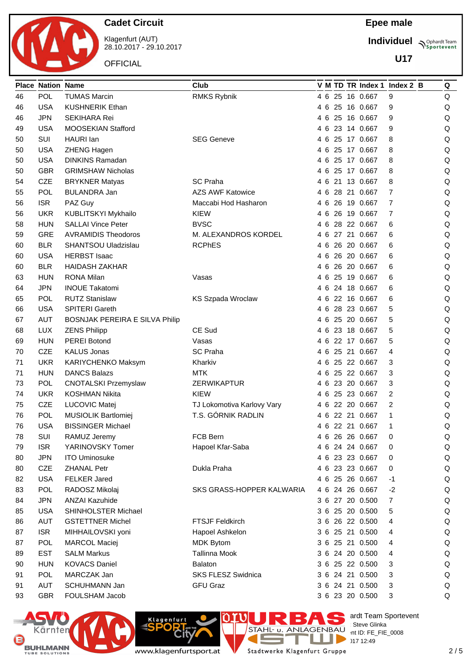

Klagenfurt (AUT) 28.10.2017 - 29.10.2017

**OFFICIAL** 

### **Epee male**

**Individuel Supplemant** Team

**U17**

|    | <b>Place Nation Name</b> |                                        | Club                                      |          |  |                 | V M TD TR Index 1 Index 2 B | Q       |
|----|--------------------------|----------------------------------------|-------------------------------------------|----------|--|-----------------|-----------------------------|---------|
| 46 | <b>POL</b>               | <b>TUMAS Marcin</b>                    | RMKS Rybnik                               | 4 6      |  | 25 16 0.667     | 9                           | Q       |
| 46 | <b>USA</b>               | <b>KUSHNERIK Ethan</b>                 |                                           | 46       |  | 25 16 0.667     | 9                           | Q       |
| 46 | <b>JPN</b>               | <b>SEKIHARA Rei</b>                    |                                           | 46       |  | 25 16 0.667     | 9                           | Q       |
| 49 | <b>USA</b>               | MOOSEKIAN Stafford                     |                                           | 46       |  | 23 14 0.667     | 9                           | Q       |
| 50 | SUI                      | <b>HAURI</b> lan                       | <b>SEG Geneve</b>                         | 46       |  | 25 17 0.667     | 8                           | Q       |
| 50 | <b>USA</b>               | ZHENG Hagen                            |                                           | 46       |  | 25 17 0.667     | 8                           | $\sf Q$ |
| 50 | <b>USA</b>               | <b>DINKINS Ramadan</b>                 |                                           | 46       |  | 25 17 0.667     | 8                           | $\sf Q$ |
| 50 | <b>GBR</b>               | <b>GRIMSHAW Nicholas</b>               |                                           | 46       |  | 25 17 0.667     | 8                           | Q       |
| 54 | <b>CZE</b>               | <b>BRYKNER Matyas</b>                  | <b>SC Praha</b>                           | 46       |  | 21 13 0.667     | 8                           | Q       |
| 55 | <b>POL</b>               | <b>BULANDRA Jan</b>                    | <b>AZS AWF Katowice</b>                   | 46       |  | 28 21 0.667     | 7                           | $\sf Q$ |
| 56 | <b>ISR</b>               | PAZ Guy                                | Maccabi Hod Hasharon                      | 46       |  | 26 19 0.667     | 7                           | Q       |
| 56 | <b>UKR</b>               | KUBLITSKYI Mykhailo                    | <b>KIEW</b>                               | 46       |  | 26 19 0.667     | 7                           | Q       |
| 58 | <b>HUN</b>               | <b>SALLAI Vince Peter</b>              | <b>BVSC</b>                               | 46       |  | 28 22 0.667     | 6                           | Q       |
| 59 | <b>GRE</b>               | <b>AVRAMIDIS Theodoros</b>             | M. ALEXANDROS KORDEL                      | 46       |  | 27 21 0.667     | 6                           | Q       |
| 60 | <b>BLR</b>               | SHANTSOU Uladzislau                    | <b>RCPhES</b>                             | 46       |  | 26 20 0.667     | 6                           | Q       |
| 60 | <b>USA</b>               | <b>HERBST Isaac</b>                    |                                           | 46       |  | 26 20 0.667     | 6                           | Q       |
| 60 | <b>BLR</b>               | <b>HAIDASH ZAKHAR</b>                  |                                           | 46       |  | 26 20 0.667     | 6                           | Q       |
| 63 | <b>HUN</b>               | <b>RONA Milan</b>                      | Vasas                                     | 46       |  | 25 19 0.667     | 6                           | Q       |
| 64 | <b>JPN</b>               | <b>INOUE Takatomi</b>                  |                                           | 46       |  | 24 18 0.667     | 6                           | $\sf Q$ |
| 65 | POL                      | <b>RUTZ Stanislaw</b>                  | KS Szpada Wroclaw                         | 46       |  | 22 16 0.667     | 6                           | Q       |
| 66 | <b>USA</b>               | SPITERI Gareth                         |                                           | 46       |  | 28 23 0.667     | 5                           | Q       |
| 67 | <b>AUT</b>               | BOSNJAK PEREIRA E SILVA Philip         |                                           | 46       |  | 25 20 0.667     | 5                           | Q       |
| 68 | <b>LUX</b>               | <b>ZENS Philipp</b>                    | CE Sud                                    | 4 6      |  | 23 18 0.667     | 5                           | Q       |
| 69 | <b>HUN</b>               | <b>PEREI Botond</b>                    | Vasas                                     | 46       |  | 22 17 0.667     | 5                           | Q       |
|    | <b>CZE</b>               | <b>KALUS Jonas</b>                     | <b>SC Praha</b>                           | 46       |  | 25 21 0.667     | 4                           | Q       |
| 70 | <b>UKR</b>               | KARIYCHENKO Maksym                     | Kharkiv                                   |          |  | 25 22 0.667     |                             |         |
| 71 | <b>HUN</b>               | <b>DANCS Balazs</b>                    | <b>MTK</b>                                | 46<br>46 |  | 25 22 0.667     | 3<br>3                      | Q<br>Q  |
| 71 |                          |                                        |                                           |          |  | 23 20 0.667     |                             |         |
| 73 | <b>POL</b>               | <b>CNOTALSKI Przemyslaw</b>            | ZERWIKAPTUR                               | 46       |  | 25 23 0.667     | 3                           | Q       |
| 74 | <b>UKR</b>               | <b>KOSHMAN Nikita</b><br>LUCOVIC Matej | <b>KIEW</b><br>TJ Lokomotiva Karlovy Vary | 46       |  |                 | 2                           | Q       |
| 75 | <b>CZE</b>               |                                        | T.S. GÓRNIK RADLIN                        | 46       |  | 22 20 0.667     | 2                           | Q       |
| 76 | <b>POL</b>               | MUSIOLIK Bartlomiej                    |                                           | 46       |  | 22 21 0.667     | 1                           | Q       |
| 76 | <b>USA</b>               | <b>BISSINGER Michael</b>               |                                           |          |  | 4 6 22 21 0.667 | 1                           | $\sf Q$ |
| 78 | SUI                      | RAMUZ Jeremy                           | FCB Bern                                  |          |  | 4 6 26 26 0.667 | 0                           | Q       |
| 79 | <b>ISR</b>               | YARINOVSKY Tomer                       | Hapoel Kfar-Saba                          |          |  | 4 6 24 24 0.667 | 0                           | Q       |
| 80 | <b>JPN</b>               | <b>ITO Uminosuke</b>                   |                                           |          |  | 4 6 23 23 0.667 | 0                           | Q       |
| 80 | <b>CZE</b>               | <b>ZHANAL Petr</b>                     | Dukla Praha                               |          |  | 4 6 23 23 0.667 | 0                           | Q       |
| 82 | <b>USA</b>               | <b>FELKER Jared</b>                    |                                           |          |  | 4 6 25 26 0.667 | $-1$                        | Q       |
| 83 | POL                      | RADOSZ Mikolaj                         | SKS GRASS-HOPPER KALWARIA                 |          |  | 4 6 24 26 0.667 | $-2$                        | Q       |
| 84 | <b>JPN</b>               | <b>ANZAI Kazuhide</b>                  |                                           |          |  | 3 6 27 20 0.500 | 7                           | Q       |
| 85 | <b>USA</b>               | SHINHOLSTER Michael                    |                                           |          |  | 3 6 25 20 0.500 | 5                           | Q       |
| 86 | AUT                      | <b>GSTETTNER Michel</b>                | <b>FTSJF Feldkirch</b>                    |          |  | 3 6 26 22 0.500 | 4                           | Q       |
| 87 | <b>ISR</b>               | MIHHAILOVSKI yoni                      | Hapoel Ashkelon                           |          |  | 3 6 25 21 0.500 | 4                           | Q       |
| 87 | <b>POL</b>               | <b>MARCOL Maciej</b>                   | <b>MDK Bytom</b>                          |          |  | 3 6 25 21 0.500 | 4                           | Q       |
| 89 | <b>EST</b>               | <b>SALM Markus</b>                     | <b>Tallinna Mook</b>                      |          |  | 3 6 24 20 0.500 | 4                           | Q       |
| 90 | <b>HUN</b>               | <b>KOVACS Daniel</b>                   | <b>Balaton</b>                            |          |  | 3 6 25 22 0.500 | 3                           | Q       |
| 91 | POL                      | MARCZAK Jan                            | SKS FLESZ Swidnica                        |          |  | 3 6 24 21 0.500 | 3                           | Q       |
| 91 | AUT                      | SCHUHMANN Jan                          | <b>GFU Graz</b>                           |          |  | 3 6 24 21 0.500 | 3                           | Q       |
| 93 | <b>GBR</b>               | FOULSHAM Jacob                         |                                           |          |  | 3 6 23 20 0.500 | $\ensuremath{\mathsf{3}}$   | Q       |





erdt Team Sportevent **License:** Steve Glinka  $D \sim$  nt ID: FE\_FIE\_0008  $2.49$ <br>317 12:49

www.klagenfurtsport.at

T Stadtwerke Klagenfurt Gruppe

**TELEVISION** 

E.

Е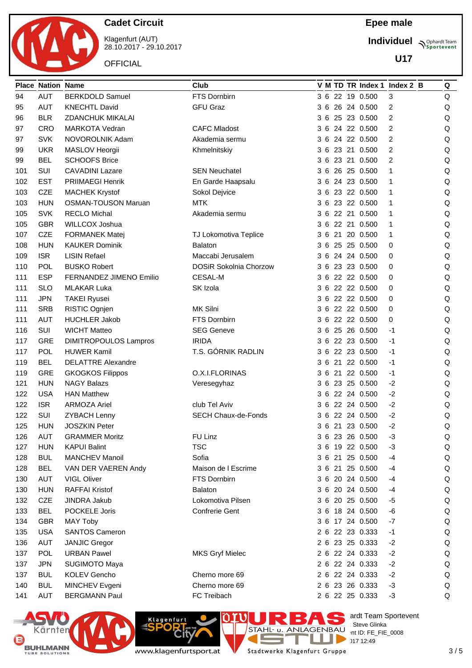

Klagenfurt (AUT) 28.10.2017 - 29.10.2017

**OFFICIAL** 

**Individuel Supplemant** Team

**U17**

|     | <b>Place Nation Name</b> |                              | Club                          |  |  |                 | V M TD TR Index 1 Index 2 B | Q |
|-----|--------------------------|------------------------------|-------------------------------|--|--|-----------------|-----------------------------|---|
| 94  | <b>AUT</b>               | <b>BERKDOLD Samuel</b>       | FTS Dornbirn                  |  |  | 3 6 22 19 0.500 | 3                           | Q |
| 95  | <b>AUT</b>               | <b>KNECHTL David</b>         | <b>GFU Graz</b>               |  |  | 3 6 26 24 0.500 | 2                           | Q |
| 96  | <b>BLR</b>               | <b>ZDANCHUK MIKALAI</b>      |                               |  |  | 3 6 25 23 0.500 | 2                           | Q |
| 97  | <b>CRO</b>               | <b>MARKOTA Vedran</b>        | <b>CAFC Mladost</b>           |  |  | 3 6 24 22 0.500 | 2                           | Q |
| 97  | <b>SVK</b>               | NOVOROLNIK Adam              | Akademia sermu                |  |  | 3 6 24 22 0.500 | 2                           | Q |
| 99  | <b>UKR</b>               | MASLOV Heorgii               | Khmelnitskiy                  |  |  | 3 6 23 21 0.500 | 2                           | Q |
| 99  | <b>BEL</b>               | <b>SCHOOFS Brice</b>         |                               |  |  | 3 6 23 21 0.500 | 2                           | Q |
| 101 | SUI                      | <b>CAVADINI Lazare</b>       | <b>SEN Neuchatel</b>          |  |  | 3 6 26 25 0.500 | 1                           | Q |
| 102 | <b>EST</b>               | <b>PRIIMAEGI Henrik</b>      | En Garde Haapsalu             |  |  | 3 6 24 23 0.500 | 1                           | Q |
| 103 | <b>CZE</b>               | <b>MACHEK Krystof</b>        | Sokol Dejvice                 |  |  | 3 6 23 22 0.500 | 1                           | Q |
| 103 | <b>HUN</b>               | <b>OSMAN-TOUSON Maruan</b>   | <b>MTK</b>                    |  |  | 3 6 23 22 0.500 | 1                           | Q |
| 105 | <b>SVK</b>               | <b>RECLO Michal</b>          | Akademia sermu                |  |  | 3 6 22 21 0.500 | 1                           | Q |
| 105 | <b>GBR</b>               | WILLCOX Joshua               |                               |  |  | 3 6 22 21 0.500 | 1                           | Q |
| 107 | <b>CZE</b>               | <b>FORMANEK Matej</b>        | TJ Lokomotiva Teplice         |  |  | 3 6 21 20 0.500 | 1                           | Q |
| 108 | <b>HUN</b>               | <b>KAUKER Dominik</b>        | <b>Balaton</b>                |  |  | 3 6 25 25 0.500 | 0                           | Q |
| 109 | <b>ISR</b>               | <b>LISIN Refael</b>          | Maccabi Jerusalem             |  |  | 3 6 24 24 0.500 | 0                           | Q |
| 110 | POL                      | <b>BUSKO Robert</b>          | <b>DOSiR Sokolnia Chorzow</b> |  |  | 3 6 23 23 0.500 | 0                           | Q |
| 111 | <b>ESP</b>               | FERNANDEZ JIMENO Emilio      | <b>CESAL-M</b>                |  |  | 3 6 22 22 0.500 | 0                           | Q |
| 111 | <b>SLO</b>               | <b>MLAKAR Luka</b>           | SK Izola                      |  |  | 3 6 22 22 0.500 | 0                           | Q |
| 111 | <b>JPN</b>               | <b>TAKEI Ryusei</b>          |                               |  |  | 3 6 22 22 0.500 | 0                           | Q |
| 111 | <b>SRB</b>               | RISTIC Ognjen                | MK Silni                      |  |  | 3 6 22 22 0.500 | 0                           | Q |
| 111 | <b>AUT</b>               | <b>HUCHLER Jakob</b>         | FTS Dornbirn                  |  |  | 3 6 22 22 0.500 | 0                           | Q |
| 116 | SUI                      | <b>WICHT Matteo</b>          | <b>SEG Geneve</b>             |  |  | 3 6 25 26 0.500 | -1                          | Q |
| 117 | <b>GRE</b>               | <b>DIMITROPOULOS Lampros</b> | <b>IRIDA</b>                  |  |  | 3 6 22 23 0.500 | $-1$                        | Q |
| 117 | <b>POL</b>               | <b>HUWER Kamil</b>           | T.S. GÓRNIK RADLIN            |  |  | 3 6 22 23 0.500 | $-1$                        | Q |
| 119 | <b>BEL</b>               | <b>DELATTRE Alexandre</b>    |                               |  |  | 3 6 21 22 0.500 | -1                          | Q |
| 119 | <b>GRE</b>               | <b>GKOGKOS Filippos</b>      | O.X.I.FLORINAS                |  |  | 3 6 21 22 0.500 | -1                          | Q |
| 121 | <b>HUN</b>               | <b>NAGY Balazs</b>           | Veresegyhaz                   |  |  | 3 6 23 25 0.500 | $-2$                        | Q |
| 122 | <b>USA</b>               | <b>HAN Matthew</b>           |                               |  |  | 3 6 22 24 0.500 | $-2$                        | Q |
| 122 | <b>ISR</b>               | <b>ARMOZA Ariel</b>          | club Tel Aviv                 |  |  | 3 6 22 24 0.500 | $-2$                        | Q |
| 122 | SUI                      | <b>ZYBACH Lenny</b>          | <b>SECH Chaux-de-Fonds</b>    |  |  | 3 6 22 24 0.500 | $-2$                        | Q |
| 125 | <b>HUN</b>               | <b>JOSZKIN Peter</b>         |                               |  |  | 3 6 21 23 0.500 | $-2$                        | Q |
| 126 | <b>AUT</b>               | <b>GRAMMER Moritz</b>        | FU Linz                       |  |  | 3 6 23 26 0.500 | $-3$                        | Q |
| 127 | <b>HUN</b>               | <b>KAPUI Balint</b>          | <b>TSC</b>                    |  |  | 3 6 19 22 0.500 | $-3$                        | Q |
| 128 | <b>BUL</b>               | <b>MANCHEV Manoil</b>        | Sofia                         |  |  | 3 6 21 25 0.500 | -4                          | Q |
| 128 | <b>BEL</b>               | VAN DER VAEREN Andy          | Maison de I Escrime           |  |  | 3 6 21 25 0.500 | -4                          | Q |
| 130 | <b>AUT</b>               | VIGL Oliver                  | FTS Dornbirn                  |  |  | 3 6 20 24 0.500 | -4                          | Q |
| 130 | <b>HUN</b>               | <b>RAFFAI Kristof</b>        | <b>Balaton</b>                |  |  | 3 6 20 24 0.500 | -4                          | Q |
| 132 | CZE                      | JINDRA Jakub                 | Lokomotiva Pilsen             |  |  | 3 6 20 25 0.500 | -5                          | Q |
| 133 | <b>BEL</b>               | POCKELE Joris                | Confrerie Gent                |  |  | 3 6 18 24 0.500 | -6                          | Q |
| 134 | <b>GBR</b>               | <b>MAY Toby</b>              |                               |  |  | 3 6 17 24 0.500 | $-7$                        | Q |
| 135 | <b>USA</b>               | <b>SANTOS Cameron</b>        |                               |  |  | 2 6 22 23 0.333 | $-1$                        | Q |
| 136 | <b>AUT</b>               | <b>JANJIC Gregor</b>         |                               |  |  | 2 6 23 25 0.333 | $-2$                        | Q |
| 137 | POL                      | <b>URBAN Pawel</b>           | <b>MKS Gryf Mielec</b>        |  |  | 2 6 22 24 0.333 | $-2$                        | Q |
| 137 | <b>JPN</b>               | SUGIMOTO Maya                |                               |  |  | 2 6 22 24 0.333 | $-2$                        | Q |
| 137 | <b>BUL</b>               | KOLEV Gencho                 | Cherno more 69                |  |  | 2 6 22 24 0.333 | $-2$                        | Q |
| 140 | <b>BUL</b>               | MINCHEV Evgeni               | Cherno more 69                |  |  | 2 6 23 26 0.333 | $-3$                        | Q |
| 141 | <b>AUT</b>               | <b>BERGMANN Paul</b>         | FC Treibach                   |  |  | 2 6 22 25 0.333 | $-3$                        | Q |





ende Team Sportevent **License:** Steve Glinka  $D \sim$  nt ID: FE\_FIE\_0008  $2.49$ <br>317 12:49

www.klagenfurtsport.at

T Stadtwerke Klagenfurt Gruppe

**COL** 

E.

Е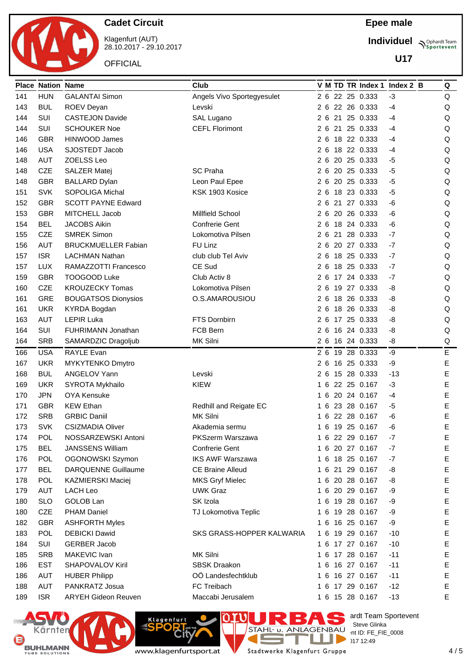

Klagenfurt (AUT) 28.10.2017 - 29.10.2017

**OFFICIAL** 

### **Epee male**

**Individuel Supplemant** Team

**U17**

|     | <b>Place Nation Name</b> |                            | Club                       |    |  |                 | V M TD TR Index 1 Index 2 B | Q           |
|-----|--------------------------|----------------------------|----------------------------|----|--|-----------------|-----------------------------|-------------|
| 141 | <b>HUN</b>               | <b>GALANTAI Simon</b>      | Angels Vivo Sportegyesulet |    |  | 2 6 22 25 0.333 | $-3$                        | Q           |
| 143 | <b>BUL</b>               | ROEV Deyan                 | Levski                     |    |  | 2 6 22 26 0.333 | -4                          | Q           |
| 144 | SUI                      | <b>CASTEJON Davide</b>     | SAL Lugano                 |    |  | 2 6 21 25 0.333 | -4                          | Q           |
| 144 | SUI                      | <b>SCHOUKER Noe</b>        | <b>CEFL Florimont</b>      |    |  | 2 6 21 25 0.333 | $-4$                        | Q           |
| 146 | <b>GBR</b>               | <b>HINWOOD James</b>       |                            |    |  | 2 6 18 22 0.333 | -4                          | Q           |
| 146 | <b>USA</b>               | SJOSTEDT Jacob             |                            |    |  | 2 6 18 22 0.333 | -4                          | Q           |
| 148 | <b>AUT</b>               | ZOELSS Leo                 |                            |    |  | 2 6 20 25 0.333 | -5                          | Q           |
| 148 | <b>CZE</b>               | SALZER Matej               | <b>SC Praha</b>            |    |  | 2 6 20 25 0.333 | -5                          | Q           |
| 148 | <b>GBR</b>               | <b>BALLARD Dylan</b>       | Leon Paul Epee             |    |  | 2 6 20 25 0.333 | $-5$                        | Q           |
| 151 | <b>SVK</b>               | <b>SOPOLIGA Michal</b>     | KSK 1903 Kosice            |    |  | 2 6 18 23 0.333 | -5                          | Q           |
| 152 | <b>GBR</b>               | <b>SCOTT PAYNE Edward</b>  |                            |    |  | 2 6 21 27 0.333 | -6                          | Q           |
| 153 | <b>GBR</b>               | MITCHELL Jacob             | Millfield School           |    |  | 2 6 20 26 0.333 | -6                          | Q           |
| 154 | <b>BEL</b>               | <b>JACOBS Aikin</b>        | <b>Confrerie Gent</b>      |    |  | 2 6 18 24 0.333 | -6                          | Q           |
| 155 | <b>CZE</b>               | <b>SMREK Simon</b>         | Lokomotiva Pilsen          |    |  | 2 6 21 28 0.333 | $-7$                        | Q           |
| 156 | <b>AUT</b>               | <b>BRUCKMUELLER Fabian</b> | FU Linz                    |    |  | 2 6 20 27 0.333 | $-7$                        | Q           |
| 157 | <b>ISR</b>               | <b>LACHMAN Nathan</b>      | club club Tel Aviv         |    |  | 2 6 18 25 0.333 | $-7$                        | Q           |
| 157 | <b>LUX</b>               | RAMAZZOTTI Francesco       | CE Sud                     |    |  | 2 6 18 25 0.333 | $-7$                        | Q           |
| 159 | <b>GBR</b>               | <b>TOOGOOD Luke</b>        | Club Activ 8               |    |  | 2 6 17 24 0.333 | -7                          | Q           |
| 160 | <b>CZE</b>               | <b>KROUZECKY Tomas</b>     | Lokomotiva Pilsen          |    |  | 2 6 19 27 0.333 | -8                          | Q           |
| 161 | <b>GRE</b>               | <b>BOUGATSOS Dionysios</b> | O.S.AMAROUSIOU             |    |  | 2 6 18 26 0.333 | -8                          | Q           |
| 161 | <b>UKR</b>               | <b>KYRDA Bogdan</b>        |                            | 26 |  | 18 26 0.333     | -8                          | Q           |
| 163 | <b>AUT</b>               | <b>LEPIR Luka</b>          | FTS Dornbirn               | 26 |  | 17 25 0.333     | -8                          | Q           |
| 164 | SUI                      | FUHRIMANN Jonathan         | FCB Bern                   |    |  | 2 6 16 24 0.333 | -8                          | Q           |
| 164 | <b>SRB</b>               | SAMARDZIC Dragoljub        | MK Silni                   |    |  | 2 6 16 24 0.333 | -8                          | Q           |
| 166 | <b>USA</b>               | RAYLE Evan                 |                            |    |  | 2 6 19 28 0.333 | -9                          | E           |
| 167 | <b>UKR</b>               | MYKYTENKO Dmytro           |                            |    |  | 2 6 16 25 0.333 | -9                          | E           |
| 168 | <b>BUL</b>               | ANGELOV Yann               | Levski                     | 26 |  | 15 28 0.333     | $-13$                       | Е           |
| 169 | <b>UKR</b>               | SYROTA Mykhailo            | <b>KIEW</b>                | 16 |  | 22 25 0.167     | $-3$                        | E           |
| 170 | <b>JPN</b>               | OYA Kensuke                |                            | 16 |  | 20 24 0.167     | $-4$                        | Е           |
| 171 | <b>GBR</b>               | <b>KEW Ethan</b>           | Redhill and Reigate EC     | 16 |  | 23 28 0.167     | $-5$                        | E           |
| 172 | <b>SRB</b>               | <b>GRBIC Daniil</b>        | <b>MK Silni</b>            |    |  | 1 6 22 28 0.167 | -6                          | Е           |
| 173 | <b>SVK</b>               | <b>CSIZMADIA Oliver</b>    | Akademia sermu             |    |  | 1 6 19 25 0.167 | -6                          | E           |
| 174 | <b>POL</b>               | NOSSARZEWSKI Antoni        | PKSzerm Warszawa           |    |  | 1 6 22 29 0.167 | $-7$                        | Е           |
| 175 | <b>BEL</b>               | <b>JANSSENS William</b>    | <b>Confrerie Gent</b>      |    |  | 1 6 20 27 0.167 | $-7$                        | E           |
| 176 | POL                      | OGONOWSKI Szymon           | <b>IKS AWF Warszawa</b>    |    |  | 1 6 18 25 0.167 | -7                          | E           |
| 177 | <b>BEL</b>               | <b>DARQUENNE Guillaume</b> | <b>CE Braine Alleud</b>    |    |  | 1 6 21 29 0.167 | -8                          | E           |
| 178 | <b>POL</b>               | KAZMIERSKI Maciej          | <b>MKS Gryf Mielec</b>     |    |  | 1 6 20 28 0.167 | -8                          | $\mathsf E$ |
| 179 | <b>AUT</b>               | LACH Leo                   | <b>UWK Graz</b>            |    |  | 1 6 20 29 0.167 | -9                          | $\mathsf E$ |
| 180 | <b>SLO</b>               | GOLOB Lan                  | SK Izola                   |    |  | 1 6 19 28 0.167 | -9                          | $\mathsf E$ |
| 180 | CZE                      | PHAM Daniel                | TJ Lokomotiva Teplic       |    |  | 1 6 19 28 0.167 | -9                          | E           |
| 182 | <b>GBR</b>               | <b>ASHFORTH Myles</b>      |                            |    |  | 1 6 16 25 0.167 | -9                          | E           |
| 183 | POL                      | <b>DEBICKI Dawid</b>       | SKS GRASS-HOPPER KALWARIA  |    |  | 1 6 19 29 0.167 | $-10$                       | E           |
| 184 | SUI                      | <b>GERBER Jacob</b>        |                            |    |  | 1 6 17 27 0.167 | $-10$                       | E           |
| 185 | <b>SRB</b>               | MAKEVIC Ivan               | MK Silni                   |    |  | 1 6 17 28 0.167 | $-11$                       | E           |
| 186 | <b>EST</b>               | <b>SHAPOVALOV Kiril</b>    | <b>SBSK Draakon</b>        |    |  | 1 6 16 27 0.167 | $-11$                       | $\mathsf E$ |
| 186 | <b>AUT</b>               | <b>HUBER Philipp</b>       | OÖ Landesfechtklub         |    |  | 1 6 16 27 0.167 | $-11$                       | E           |
| 188 | <b>AUT</b>               | PANKRATZ Josua             | FC Treibach                |    |  | 1 6 17 29 0.167 | $-12$                       | E           |
| 189 | <b>ISR</b>               | <b>ARYEH Gideon Reuven</b> | Maccabi Jerusalem          |    |  | 1 6 15 28 0.167 | $-13$                       | Е           |





**Rit** 

**Klagenfurt** 

T Stadtwerke Klagenfurt Gruppe

**COL** 

E.

Е

erdt Team Sportevent

**License:** Steve Glinka  $D \sim$  nt ID: FE\_FIE\_0008

 $2.49$ <br>317 12:49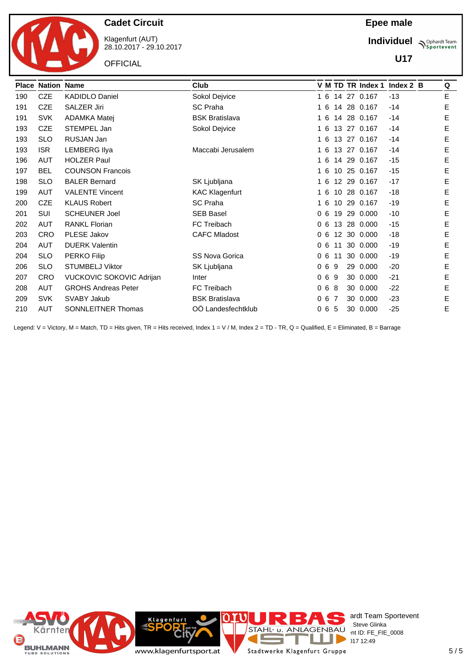

Klagenfurt (AUT) 28.10.2017 - 29.10.2017

**OFFICIAL** 

**Individuel N**Sportevent

**U17**

|     | <b>Place Nation Name</b> |                            | Club                  |    |    |                   | V M TD TR Index 1 | Index $2$ B | Q |
|-----|--------------------------|----------------------------|-----------------------|----|----|-------------------|-------------------|-------------|---|
| 190 | <b>CZE</b>               | <b>KADIDLO Daniel</b>      | Sokol Dejvice         | 16 |    |                   | 14 27 0.167       | $-13$       | E |
| 191 | <b>CZE</b>               | SALZER Jiri                | <b>SC Praha</b>       | 16 |    |                   | 14 28 0.167       | $-14$       | Е |
| 191 | <b>SVK</b>               | ADAMKA Matej               | <b>BSK Bratislava</b> | 16 |    | 14                | 28 0.167          | $-14$       | Е |
| 193 | <b>CZE</b>               | STEMPEL Jan                | Sokol Dejvice         | 16 |    |                   | 13 27 0.167       | $-14$       | Е |
| 193 | <b>SLO</b>               | RUSJAN Jan                 |                       | 16 |    |                   | 13 27 0.167       | $-14$       | Е |
| 193 | <b>ISR</b>               | <b>LEMBERG Ilya</b>        | Maccabi Jerusalem     | 16 |    | 13                | 27 0.167          | $-14$       | Е |
| 196 | AUT                      | <b>HOLZER Paul</b>         |                       | 16 |    |                   | 14 29 0.167       | $-15$       | Е |
| 197 | <b>BEL</b>               | <b>COUNSON Francois</b>    |                       | 16 |    |                   | 10 25 0.167       | $-15$       | E |
| 198 | <b>SLO</b>               | <b>BALER Bernard</b>       | SK Ljubljana          | 16 |    | $12 \,$           | 29 0.167          | $-17$       | E |
| 199 | <b>AUT</b>               | <b>VALENTE Vincent</b>     | <b>KAC Klagenfurt</b> | 16 |    | 10                | 28 0.167          | $-18$       | Е |
| 200 | <b>CZE</b>               | <b>KLAUS Robert</b>        | <b>SC Praha</b>       | 16 |    | 10                | 29 0.167          | $-19$       | Е |
| 201 | <b>SUI</b>               | <b>SCHEUNER Joel</b>       | <b>SEB Basel</b>      | 06 |    | 19                | 29 0.000          | $-10$       | E |
| 202 | AUT                      | <b>RANKL Florian</b>       | FC Treibach           | 06 |    | 13                | 28 0.000          | $-15$       | Е |
| 203 | <b>CRO</b>               | PLESE Jakov                | <b>CAFC Mladost</b>   | 06 |    | $12 \overline{ }$ | 30 0.000          | $-18$       | Е |
| 204 | AUT                      | <b>DUERK Valentin</b>      |                       | 06 |    | 11                | 30 0.000          | $-19$       | E |
| 204 | <b>SLO</b>               | PERKO Filip                | <b>SS Nova Gorica</b> | 06 |    | 11                | 30 0.000          | $-19$       | Е |
| 206 | <b>SLO</b>               | <b>STUMBELJ Viktor</b>     | SK Ljubljana          | 06 | 9  |                   | 29 0.000          | $-20$       | Е |
| 207 | <b>CRO</b>               | VUCKOVIC SOKOVIC Adrijan   | Inter                 | 06 | -9 |                   | 30 0.000          | $-21$       | Е |
| 208 | AUT                      | <b>GROHS Andreas Peter</b> | FC Treibach           | 06 | 8  |                   | 30 0.000          | $-22$       | Е |
| 209 | <b>SVK</b>               | SVABY Jakub                | <b>BSK Bratislava</b> | 06 | -7 |                   | 30 0.000          | $-23$       | Е |
| 210 | <b>AUT</b>               | SONNLEITNER Thomas         | OÖ Landesfechtklub    | 06 | -5 |                   | 30 0.000          | $-25$       | E |

Legend: V = Victory, M = Match, TD = Hits given, TR = Hits received, Index 1 = V / M, Index 2 = TD - TR, Q = Qualified, E = Eliminated, B = Barrage

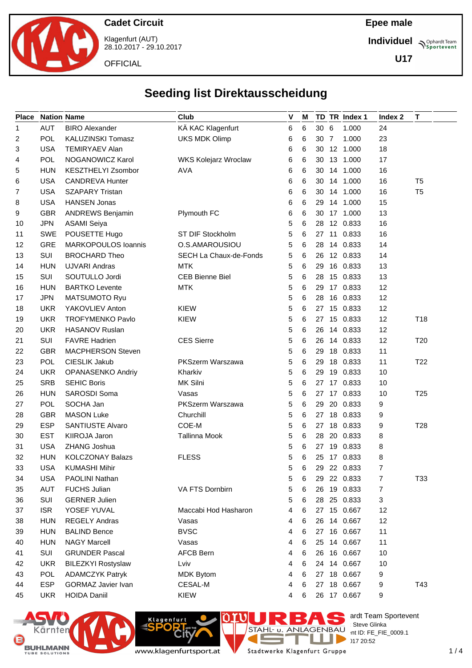

**Epee male**

**Individuel Supplemant** Team

**U17**



28.10.2017 - 29.10.2017

**OFFICIAL** 

# **Seeding list Direktausscheidung**

| <b>Place</b> | <b>Nation Name</b> |                           | Club                        | V | M |      | TD TR Index 1 | Index 2 | T               |
|--------------|--------------------|---------------------------|-----------------------------|---|---|------|---------------|---------|-----------------|
| 1            | <b>AUT</b>         | <b>BIRO Alexander</b>     | KÄ KAC Klagenfurt           | 6 | 6 | 30 6 | 1.000         | 24      |                 |
| 2            | POL                | KALUZINSKI Tomasz         | <b>UKS MDK Olimp</b>        | 6 | 6 | 30 7 | 1.000         | 23      |                 |
| 3            | <b>USA</b>         | <b>TEMIRYAEV Alan</b>     |                             | 6 | 6 |      | 30 12 1.000   | 18      |                 |
| 4            | <b>POL</b>         | NOGANOWICZ Karol          | <b>WKS Kolejarz Wroclaw</b> | 6 | 6 | 30   | 13 1.000      | 17      |                 |
| 5            | <b>HUN</b>         | KESZTHELYI Zsombor        | <b>AVA</b>                  | 6 | 6 | 30   | 14 1.000      | 16      |                 |
| 6            | <b>USA</b>         | <b>CANDREVA Hunter</b>    |                             | 6 | 6 |      | 30 14 1.000   | 16      | T <sub>5</sub>  |
| 7            | <b>USA</b>         | <b>SZAPARY Tristan</b>    |                             | 6 | 6 |      | 30 14 1.000   | 16      | T <sub>5</sub>  |
| 8            | <b>USA</b>         | <b>HANSEN Jonas</b>       |                             | 6 | 6 | 29   | 14 1.000      | 15      |                 |
| 9            | <b>GBR</b>         | <b>ANDREWS Benjamin</b>   | Plymouth FC                 | 6 | 6 | 30   | 17 1.000      | 13      |                 |
| 10           | <b>JPN</b>         | <b>ASAMI Seiya</b>        |                             | 5 | 6 | 28   | 12 0.833      | 16      |                 |
| 11           | <b>SWE</b>         | POUSETTE Hugo             | ST DIF Stockholm            | 5 | 6 |      | 27 11 0.833   | 16      |                 |
| 12           | <b>GRE</b>         | MARKOPOULOS Ioannis       | O.S.AMAROUSIOU              | 5 | 6 | 28   | 14 0.833      | 14      |                 |
| 13           | SUI                | <b>BROCHARD Theo</b>      | SECH La Chaux-de-Fonds      | 5 | 6 | 26   | 12 0.833      | 14      |                 |
| 14           | <b>HUN</b>         | <b>UJVARI Andras</b>      | <b>MTK</b>                  | 5 | 6 | 29   | 16 0.833      | 13      |                 |
| 15           | SUI                | SOUTULLO Jordi            | <b>CEB Bienne Biel</b>      | 5 | 6 | 28   | 15 0.833      | 13      |                 |
| 16           | <b>HUN</b>         | <b>BARTKO Levente</b>     | <b>MTK</b>                  | 5 | 6 | 29   | 17 0.833      | 12      |                 |
| 17           | <b>JPN</b>         | <b>MATSUMOTO Ryu</b>      |                             | 5 | 6 | 28   | 16 0.833      | 12      |                 |
| 18           | <b>UKR</b>         | YAKOVLIEV Anton           | <b>KIEW</b>                 | 5 | 6 | 27   | 15 0.833      | 12      |                 |
| 19           | <b>UKR</b>         | <b>TROFYMENKO Pavlo</b>   | <b>KIEW</b>                 | 5 | 6 | 27   | 15 0.833      | 12      | T <sub>18</sub> |
| 20           | <b>UKR</b>         | <b>HASANOV Ruslan</b>     |                             | 5 | 6 | 26   | 14 0.833      | 12      |                 |
| 21           | <b>SUI</b>         | <b>FAVRE Hadrien</b>      | <b>CES Sierre</b>           | 5 | 6 | 26   | 14 0.833      | 12      | T <sub>20</sub> |
| 22           | <b>GBR</b>         | <b>MACPHERSON Steven</b>  |                             | 5 | 6 | 29   | 18 0.833      | 11      |                 |
| 23           | <b>POL</b>         | CIESLIK Jakub             | <b>PKSzerm Warszawa</b>     | 5 | 6 | 29   | 18 0.833      | 11      | T <sub>22</sub> |
| 24           | <b>UKR</b>         | OPANASENKO Andriy         | Kharkiv                     | 5 | 6 | 29   | 19 0.833      | 10      |                 |
| 25           | <b>SRB</b>         | <b>SEHIC Boris</b>        | MK Silni                    | 5 | 6 | 27   | 17 0.833      | 10      |                 |
| 26           | <b>HUN</b>         | SAROSDI Soma              | Vasas                       | 5 | 6 |      | 27 17 0.833   | 10      | T <sub>25</sub> |
| 27           | POL                | SOCHA Jan                 | PKSzerm Warszawa            | 5 | 6 | 29   | 20 0.833      | 9       |                 |
| 28           | <b>GBR</b>         | <b>MASON Luke</b>         | Churchill                   | 5 | 6 | 27   | 18 0.833      | 9       |                 |
| 29           | <b>ESP</b>         | <b>SANTIUSTE Alvaro</b>   | COE-M                       | 5 | 6 |      | 27 18 0.833   | 9       | T <sub>28</sub> |
| 30           | <b>EST</b>         | KIIROJA Jaron             | <b>Tallinna Mook</b>        | 5 | 6 | 28   | 20 0.833      | 8       |                 |
| 31           | <b>USA</b>         | ZHANG Joshua              |                             | 5 | 6 | 27   | 19 0.833      | 8       |                 |
| 32           | <b>HUN</b>         | <b>KOLCZONAY Balazs</b>   | <b>FLESS</b>                | 5 | 6 |      | 25 17 0.833   | 8       |                 |
| 33           | USA                | <b>KUMASHI Mihir</b>      |                             | 5 | 6 |      | 29 22 0.833   | 7       |                 |
| 34           | <b>USA</b>         | PAOLINI Nathan            |                             | 5 | 6 | 29   | 22 0.833      | 7       | T33             |
| 35           | <b>AUT</b>         | <b>FUCHS Julian</b>       | VA FTS Dornbirn             | 5 | 6 | 26   | 19 0.833      | 7       |                 |
| 36           | SUI                | <b>GERNER Julien</b>      |                             | 5 | 6 |      | 28 25 0.833   | 3       |                 |
| 37           | <b>ISR</b>         | YOSEF YUVAL               | Maccabi Hod Hasharon        | 4 | 6 |      | 27 15 0.667   | 12      |                 |
| 38           | <b>HUN</b>         | <b>REGELY Andras</b>      | Vasas                       | 4 | 6 |      | 26 14 0.667   | 12      |                 |
| 39           | <b>HUN</b>         | <b>BALIND Bence</b>       | <b>BVSC</b>                 | 4 | 6 | 27   | 16 0.667      | 11      |                 |
| 40           | <b>HUN</b>         | <b>NAGY Marcell</b>       | Vasas                       | 4 | 6 | 25   | 14 0.667      | 11      |                 |
| 41           | SUI                | <b>GRUNDER Pascal</b>     | <b>AFCB Bern</b>            | 4 | 6 |      | 26 16 0.667   | 10      |                 |
| 42           | <b>UKR</b>         | <b>BILEZKYI Rostyslaw</b> | Lviv                        | 4 | 6 |      | 24 14 0.667   | 10      |                 |
| 43           | <b>POL</b>         | <b>ADAMCZYK Patryk</b>    | <b>MDK Bytom</b>            | 4 | 6 |      | 27 18 0.667   | 9       |                 |
| 44           | <b>ESP</b>         | GORMAZ Javier Ivan        | CESAL-M                     | 4 | 6 | 27   | 18 0.667      | 9       | T43             |
| 45           |                    |                           | KIEW                        |   | 6 |      | 26 17 0.667   | 9       |                 |





**Site** 

Klagenfurt

T Stadtwerke Klagenfurt Gruppe

 $\overline{a}$ 

a.

E

ardt Team Sportevent<br>∷Steve Glinka

**License:** Steve Glinka  $P^{\text{LO}}$  int ID: FE\_FIE\_0009.1

 $20:52$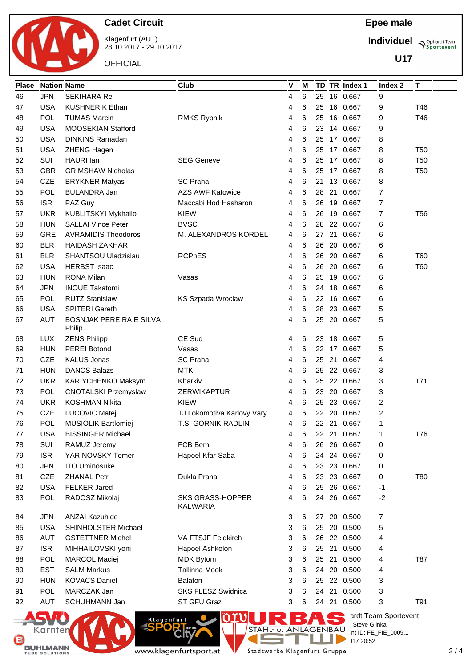

Klagenfurt (AUT) 28.10.2017 - 29.10.2017

**OFFICIAL** 

**Individuel Supplemant** Team

**U17**

| <b>Place</b> | <b>Nation Name</b> |                                | Club                       | V | M |    |    | TD TR Index 1 | Index 2              | Т               |
|--------------|--------------------|--------------------------------|----------------------------|---|---|----|----|---------------|----------------------|-----------------|
| 46           | <b>JPN</b>         | <b>SEKIHARA Rei</b>            |                            | 4 | 6 | 25 |    | 16 0.667      | 9                    |                 |
| 47           | <b>USA</b>         | <b>KUSHNERIK Ethan</b>         |                            | 4 | 6 | 25 |    | 16 0.667      | 9                    | T46             |
| 48           | POL                | <b>TUMAS Marcin</b>            | RMKS Rybnik                | 4 | 6 | 25 |    | 16 0.667      | 9                    | T46             |
| 49           | <b>USA</b>         | MOOSEKIAN Stafford             |                            | 4 | 6 | 23 |    | 14 0.667      | 9                    |                 |
| 50           | <b>USA</b>         | <b>DINKINS Ramadan</b>         |                            | 4 | 6 | 25 |    | 17 0.667      | 8                    |                 |
| 51           | <b>USA</b>         | <b>ZHENG Hagen</b>             |                            | 4 | 6 | 25 |    | 17 0.667      | 8                    | <b>T50</b>      |
| 52           | <b>SUI</b>         | HAURI Ian                      | <b>SEG Geneve</b>          | 4 | 6 | 25 |    | 17 0.667      | 8                    | <b>T50</b>      |
| 53           | <b>GBR</b>         | <b>GRIMSHAW Nicholas</b>       |                            | 4 | 6 | 25 |    | 17 0.667      | 8                    | T <sub>50</sub> |
| 54           | CZE                | <b>BRYKNER Matyas</b>          | <b>SC Praha</b>            | 4 | 6 |    |    | 21 13 0.667   | 8                    |                 |
| 55           | POL                | <b>BULANDRA Jan</b>            | <b>AZS AWF Katowice</b>    | 4 | 6 | 28 | 21 | 0.667         | $\overline{7}$       |                 |
| 56           | <b>ISR</b>         | PAZ Guy                        | Maccabi Hod Hasharon       | 4 | 6 | 26 |    | 19 0.667      | $\overline{7}$       |                 |
| 57           | <b>UKR</b>         | KUBLITSKYI Mykhailo            | <b>KIEW</b>                | 4 | 6 | 26 |    | 19 0.667      | $\overline{7}$       | T <sub>56</sub> |
| 58           | <b>HUN</b>         | <b>SALLAI Vince Peter</b>      | <b>BVSC</b>                | 4 | 6 | 28 |    | 22 0.667      | 6                    |                 |
| 59           | <b>GRE</b>         | <b>AVRAMIDIS Theodoros</b>     | M. ALEXANDROS KORDEL       | 4 | 6 | 27 | 21 | 0.667         | 6                    |                 |
| 60           | <b>BLR</b>         | <b>HAIDASH ZAKHAR</b>          |                            | 4 | 6 | 26 | 20 | 0.667         | 6                    |                 |
| 61           | <b>BLR</b>         | SHANTSOU Uladzislau            | <b>RCPhES</b>              | 4 | 6 | 26 |    | 20 0.667      | 6                    | T60             |
| 62           | <b>USA</b>         | <b>HERBST Isaac</b>            |                            | 4 | 6 | 26 |    | 20 0.667      | 6                    | T60             |
| 63           | <b>HUN</b>         | <b>RONA Milan</b>              | Vasas                      | 4 | 6 | 25 |    | 19 0.667      | 6                    |                 |
| 64           | <b>JPN</b>         | <b>INOUE Takatomi</b>          |                            | 4 | 6 | 24 |    | 18 0.667      | 6                    |                 |
| 65           | <b>POL</b>         | <b>RUTZ Stanislaw</b>          | <b>KS Szpada Wroclaw</b>   | 4 | 6 | 22 |    | 16 0.667      | 6                    |                 |
| 66           | <b>USA</b>         | SPITERI Gareth                 |                            | 4 | 6 | 28 |    | 23 0.667      | 5                    |                 |
| 67           | <b>AUT</b>         | <b>BOSNJAK PEREIRA E SILVA</b> |                            | 4 | 6 | 25 |    | 20 0.667      | 5                    |                 |
|              |                    | Philip                         |                            |   |   |    |    |               |                      |                 |
| 68           | <b>LUX</b>         | <b>ZENS Philipp</b>            | CE Sud                     | 4 | 6 | 23 |    | 18 0.667      | 5                    |                 |
| 69           | <b>HUN</b>         | <b>PEREI Botond</b>            | Vasas                      | 4 | 6 |    |    | 22 17 0.667   | 5                    |                 |
| 70           | <b>CZE</b>         | <b>KALUS Jonas</b>             | <b>SC Praha</b>            | 4 | 6 | 25 | 21 | 0.667         | 4                    |                 |
| 71           | <b>HUN</b>         | <b>DANCS Balazs</b>            | <b>MTK</b>                 | 4 | 6 | 25 |    | 22 0.667      | 3                    |                 |
| 72           | <b>UKR</b>         | KARIYCHENKO Maksym             | Kharkiv                    | 4 | 6 | 25 |    | 22 0.667      | 3                    | T71             |
| 73           | <b>POL</b>         | <b>CNOTALSKI Przemyslaw</b>    | <b>ZERWIKAPTUR</b>         | 4 | 6 | 23 |    | 20 0.667      | 3                    |                 |
| 74           | <b>UKR</b>         | <b>KOSHMAN Nikita</b>          | <b>KIEW</b>                | 4 | 6 | 25 | 23 | 0.667         | 2                    |                 |
| 75           | <b>CZE</b>         | LUCOVIC Matej                  | TJ Lokomotiva Karlovy Vary | 4 | 6 | 22 |    | 20 0.667      | 2                    |                 |
| 76           | <b>POL</b>         | MUSIOLIK Bartlomiej            | T.S. GÓRNIK RADLIN         | 4 | 6 |    |    | 22 21 0.667   | 1                    |                 |
| 77           | USA                | <b>BISSINGER Michael</b>       |                            | 4 | 6 | 22 |    | 21 0.667      | 1                    | T76             |
| 78           | SUI                | RAMUZ Jeremy                   | <b>FCB Bern</b>            | 4 | 6 | 26 |    | 26 0.667      | 0                    |                 |
| 79           | <b>ISR</b>         | YARINOVSKY Tomer               | Hapoel Kfar-Saba           | 4 | 6 | 24 |    | 24 0.667      | 0                    |                 |
| 80           | <b>JPN</b>         | <b>ITO Uminosuke</b>           |                            | 4 | 6 |    |    | 23 23 0.667   | 0                    |                 |
| 81           | <b>CZE</b>         | <b>ZHANAL Petr</b>             | Dukla Praha                | 4 | 6 |    |    | 23 23 0.667   | 0                    | T80             |
| 82           | <b>USA</b>         | <b>FELKER Jared</b>            |                            | 4 | 6 |    |    | 25 26 0.667   | -1                   |                 |
| 83           | <b>POL</b>         | RADOSZ Mikolaj                 | <b>SKS GRASS-HOPPER</b>    | 4 | 6 | 24 |    | 26 0.667      | $-2$                 |                 |
| 84           | <b>JPN</b>         | <b>ANZAI Kazuhide</b>          | <b>KALWARIA</b>            | 3 | 6 | 27 |    | 20 0.500      | 7                    |                 |
| 85           | <b>USA</b>         | SHINHOLSTER Michael            |                            | 3 | 6 | 25 |    | 20 0.500      | 5                    |                 |
| 86           | <b>AUT</b>         | <b>GSTETTNER Michel</b>        | VA FTSJF Feldkirch         | 3 | 6 |    |    | 26 22 0.500   | 4                    |                 |
| 87           | <b>ISR</b>         | MIHHAILOVSKI yoni              | Hapoel Ashkelon            | 3 | 6 |    |    | 25 21 0.500   | 4                    |                 |
| 88           | <b>POL</b>         | <b>MARCOL Maciej</b>           | <b>MDK Bytom</b>           | 3 | 6 |    |    | 25 21 0.500   | 4                    | T87             |
| 89           | <b>EST</b>         | <b>SALM Markus</b>             | Tallinna Mook              | 3 | 6 | 24 |    | 20 0.500      | 4                    |                 |
| 90           | <b>HUN</b>         | <b>KOVACS Daniel</b>           | <b>Balaton</b>             | 3 | 6 |    |    | 25 22 0.500   | 3                    |                 |
| 91           | <b>POL</b>         | MARCZAK Jan                    | SKS FLESZ Swidnica         | 3 | 6 | 24 |    | 21 0.500      | 3                    |                 |
| 92           | <b>AUT</b>         | SCHUHMANN Jan                  | ST GFU Graz                | 3 | 6 |    |    | 24 21 0.500   | 3                    | T91             |
|              |                    |                                |                            |   |   |    |    |               |                      |                 |
|              |                    | $\sqrt{10}$<br>Klagenfurt      | IR B                       |   |   |    |    | Steve Glinka  | ardt Team Sportevent |                 |





**Rit** 

T Stadtwerke Klagenfurt Gruppe

**COL** 

a.

**License:** Steve Glinka  $P^{\text{LO}}$  int ID: FE\_FIE\_0009.1

 $\frac{8}{17}$  20:52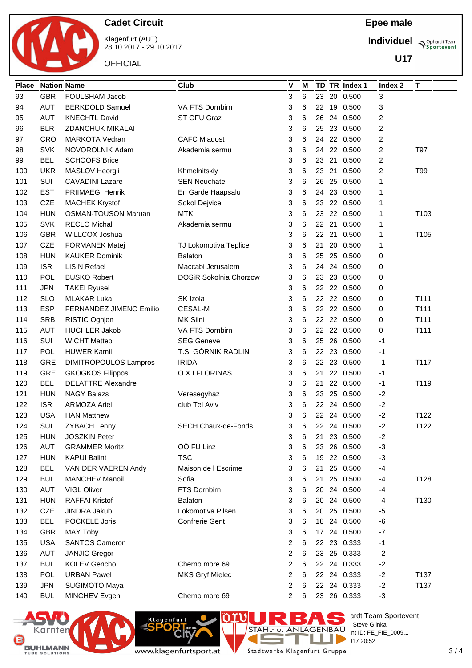

Klagenfurt (AUT) 28.10.2017 - 29.10.2017

**OFFICIAL** 

**Individuel Supplemant** Team

**U17**

| <b>Place</b> | <b>Nation Name</b> |                              | Club                          | $\mathbf v$ | м |    |       | TD TR Index 1 | Index 2                 | T                |
|--------------|--------------------|------------------------------|-------------------------------|-------------|---|----|-------|---------------|-------------------------|------------------|
| 93           | <b>GBR</b>         | FOULSHAM Jacob               |                               | 3           | 6 | 23 | 20    | 0.500         | 3                       |                  |
| 94           | <b>AUT</b>         | <b>BERKDOLD Samuel</b>       | VA FTS Dornbirn               | 3           | 6 | 22 |       | 19 0.500      | 3                       |                  |
| 95           | <b>AUT</b>         | <b>KNECHTL David</b>         | ST GFU Graz                   | 3           | 6 | 26 | 24    | 0.500         | 2                       |                  |
| 96           | <b>BLR</b>         | <b>ZDANCHUK MIKALAI</b>      |                               | 3           | 6 | 25 | 23    | 0.500         | $\overline{\mathbf{c}}$ |                  |
| 97           | <b>CRO</b>         | <b>MARKOTA Vedran</b>        | <b>CAFC Mladost</b>           | 3           | 6 | 24 |       | 22 0.500      | 2                       |                  |
| 98           | <b>SVK</b>         | NOVOROLNIK Adam              | Akademia sermu                | 3           | 6 | 24 |       | 22 0.500      | $\overline{\mathbf{c}}$ | T97              |
| 99           | <b>BEL</b>         | <b>SCHOOFS Brice</b>         |                               | 3           | 6 | 23 | 21    | 0.500         | 2                       |                  |
| 100          | <b>UKR</b>         | MASLOV Heorgii               | Khmelnitskiy                  | 3           | 6 | 23 | 21    | 0.500         | $\overline{c}$          | T99              |
| 101          | SUI                | <b>CAVADINI Lazare</b>       | <b>SEN Neuchatel</b>          | 3           | 6 | 26 |       | 25 0.500      | 1                       |                  |
| 102          | <b>EST</b>         | <b>PRIIMAEGI Henrik</b>      | En Garde Haapsalu             | 3           | 6 | 24 |       | 23 0.500      | 1                       |                  |
| 103          | <b>CZE</b>         | <b>MACHEK Krystof</b>        | Sokol Dejvice                 | 3           | 6 | 23 |       | 22 0.500      | 1                       |                  |
| 104          | <b>HUN</b>         | <b>OSMAN-TOUSON Maruan</b>   | <b>MTK</b>                    | 3           | 6 | 23 |       | 22 0.500      | 1                       | T103             |
| 105          | <b>SVK</b>         | <b>RECLO Michal</b>          | Akademia sermu                | 3           | 6 |    | 22 21 | 0.500         | 1                       |                  |
| 106          | <b>GBR</b>         | WILLCOX Joshua               |                               | 3           | 6 | 22 | 21    | 0.500         | 1                       | T <sub>105</sub> |
| 107          | <b>CZE</b>         | <b>FORMANEK Matej</b>        | TJ Lokomotiva Teplice         | 3           | 6 | 21 |       | 20 0.500      | 1                       |                  |
| 108          | <b>HUN</b>         | <b>KAUKER Dominik</b>        | <b>Balaton</b>                | 3           | 6 | 25 | 25    | 0.500         | 0                       |                  |
| 109          | <b>ISR</b>         | <b>LISIN Refael</b>          | Maccabi Jerusalem             | 3           | 6 | 24 | 24    | 0.500         | 0                       |                  |
| 110          | POL                | <b>BUSKO Robert</b>          | <b>DOSiR Sokolnia Chorzow</b> | 3           | 6 | 23 | 23    | 0.500         | 0                       |                  |
| 111          | <b>JPN</b>         | <b>TAKEI Ryusei</b>          |                               | 3           | 6 | 22 |       | 22 0.500      | 0                       |                  |
| 112          | <b>SLO</b>         | <b>MLAKAR Luka</b>           | SK Izola                      | 3           | 6 |    |       | 22 22 0.500   | 0                       | T111             |
| 113          | <b>ESP</b>         | FERNANDEZ JIMENO Emilio      | <b>CESAL-M</b>                | 3           | 6 | 22 |       | 22 0.500      | 0                       | T111             |
| 114          | <b>SRB</b>         | RISTIC Ognjen                | MK Silni                      | 3           | 6 |    |       | 22 22 0.500   | 0                       | T111             |
| 115          | <b>AUT</b>         | <b>HUCHLER Jakob</b>         | VA FTS Dornbirn               | 3           | 6 | 22 |       | 22 0.500      | 0                       | T111             |
| 116          | SUI                | <b>WICHT Matteo</b>          | <b>SEG Geneve</b>             | 3           | 6 | 25 |       | 26 0.500      | -1                      |                  |
| 117          | POL                | <b>HUWER Kamil</b>           | T.S. GÓRNIK RADLIN            | 3           | 6 | 22 | 23    | 0.500         | $-1$                    |                  |
| 118          | <b>GRE</b>         | <b>DIMITROPOULOS Lampros</b> | <b>IRIDA</b>                  | 3           | 6 |    | 22 23 | 0.500         | $-1$                    | T117             |
| 119          | <b>GRE</b>         | <b>GKOGKOS Filippos</b>      | O.X.I.FLORINAS                | 3           | 6 | 21 |       | 22 0.500      | -1                      |                  |
| 120          | <b>BEL</b>         | <b>DELATTRE Alexandre</b>    |                               | 3           | 6 | 21 |       | 22 0.500      | -1                      | T119             |
| 121          | <b>HUN</b>         | <b>NAGY Balazs</b>           | Veresegyhaz                   | 3           | 6 | 23 |       | 25 0.500      | $-2$                    |                  |
| 122          | <b>ISR</b>         | <b>ARMOZA Ariel</b>          | club Tel Aviv                 | 3           | 6 | 22 | 24    | 0.500         | $-2$                    |                  |
| 123          | <b>USA</b>         | <b>HAN Matthew</b>           |                               | 3           | 6 | 22 | 24    | 0.500         | $-2$                    | T122             |
| 124          | SUI                | <b>ZYBACH Lenny</b>          | <b>SECH Chaux-de-Fonds</b>    | 3           | 6 |    |       | 22 24 0.500   | $-2$                    | T122             |
| 125          | <b>HUN</b>         | <b>JOSZKIN Peter</b>         |                               | 3           | 6 | 21 |       | 23 0.500      | $-2$                    |                  |
| 126          | <b>AUT</b>         | <b>GRAMMER Moritz</b>        | OÖ FU Linz                    | 3           | 6 | 23 |       | 26 0.500      | $-3$                    |                  |
| 127          | <b>HUN</b>         | <b>KAPUI Balint</b>          | <b>TSC</b>                    | 3           | 6 | 19 |       | 22 0.500      | $-3$                    |                  |
| 128          | <b>BEL</b>         | VAN DER VAEREN Andy          | Maison de I Escrime           | 3           | 6 | 21 |       | 25 0.500      | $-4$                    |                  |
| 129          | <b>BUL</b>         | MANCHEV Manoil               | Sofia                         | 3           | 6 | 21 |       | 25 0.500      | -4                      | T128             |
| 130          | <b>AUT</b>         | <b>VIGL Oliver</b>           | FTS Dornbirn                  | 3           | 6 | 20 |       | 24 0.500      | -4                      |                  |
| 131          | <b>HUN</b>         | <b>RAFFAI Kristof</b>        | <b>Balaton</b>                | 3           | 6 | 20 |       | 24 0.500      | $-4$                    | T130             |
| 132          | <b>CZE</b>         | JINDRA Jakub                 | Lokomotiva Pilsen             | 3           | 6 | 20 |       | 25 0.500      | $-5$                    |                  |
| 133          | <b>BEL</b>         | POCKELE Joris                | <b>Confrerie Gent</b>         | 3           | 6 |    |       | 18 24 0.500   | -6                      |                  |
| 134          | <b>GBR</b>         | <b>MAY Toby</b>              |                               | 3           | 6 | 17 |       | 24 0.500      | $-7$                    |                  |
| 135          | <b>USA</b>         | <b>SANTOS Cameron</b>        |                               | 2           | 6 |    |       | 22 23 0.333   | $-1$                    |                  |
| 136          | <b>AUT</b>         | <b>JANJIC Gregor</b>         |                               | 2           | 6 |    |       | 23 25 0.333   | $-2$                    |                  |
| 137          | <b>BUL</b>         | <b>KOLEV Gencho</b>          | Cherno more 69                | 2           | 6 |    |       | 22 24 0.333   | $-2$                    |                  |
| 138          | <b>POL</b>         | <b>URBAN Pawel</b>           | <b>MKS Gryf Mielec</b>        | 2           | 6 |    |       | 22 24 0.333   | $-2$                    | T137             |
| 139          | <b>JPN</b>         | SUGIMOTO Maya                |                               | 2           | 6 |    |       | 22 24 0.333   | $-2$                    | T137             |
| 140          | <b>BUL</b>         | MINCHEV Evgeni               | Cherno more 69                | 2           | 6 |    |       | 23 26 0.333   | $-3$                    |                  |



www.klagenfurtsport.at

**Rit** 

**Klagenfurt** 

T Stadtwerke Klagenfurt Gruppe

Е

F

a.

 $\mathcal{L}_{\text{max}}$ 

es ardt Team Sportevent

**License:** Steve Glinka  $P^{\text{LO}}$  int ID: FE\_FIE\_0009.1

 $28.100112$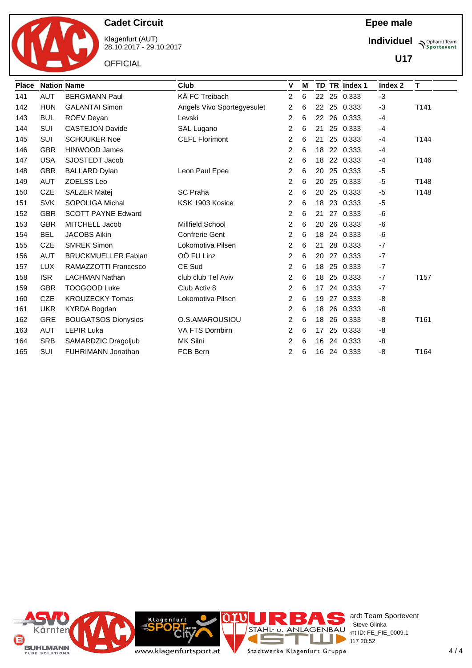

Klagenfurt (AUT) 28.10.2017 - 29.10.2017

**OFFICIAL** 

### **Epee male**

**Individuel Supplemant** Team

**U17**

| <b>Place</b> | <b>Nation Name</b> |                            | Club                       | V              | м |    |    | TD TR Index 1 | Index 2 | T    |
|--------------|--------------------|----------------------------|----------------------------|----------------|---|----|----|---------------|---------|------|
| 141          | <b>AUT</b>         | <b>BERGMANN Paul</b>       | KÄ FC Treibach             | $\overline{2}$ | 6 | 22 | 25 | 0.333         | $-3$    |      |
| 142          | <b>HUN</b>         | <b>GALANTAI Simon</b>      | Angels Vivo Sportegyesulet | 2              | 6 | 22 | 25 | 0.333         | $-3$    | T141 |
| 143          | <b>BUL</b>         | <b>ROEV Deyan</b>          | Levski                     | 2              | 6 | 22 | 26 | 0.333         | $-4$    |      |
| 144          | <b>SUI</b>         | <b>CASTEJON Davide</b>     | SAL Lugano                 | 2              | 6 | 21 | 25 | 0.333         | -4      |      |
| 145          | <b>SUI</b>         | <b>SCHOUKER Noe</b>        | <b>CEFL Florimont</b>      | 2              | 6 | 21 | 25 | 0.333         | $-4$    | T144 |
| 146          | <b>GBR</b>         | <b>HINWOOD James</b>       |                            | 2              | 6 | 18 | 22 | 0.333         | $-4$    |      |
| 147          | <b>USA</b>         | SJOSTEDT Jacob             |                            | 2              | 6 | 18 | 22 | 0.333         | -4      | T146 |
| 148          | <b>GBR</b>         | <b>BALLARD Dylan</b>       | Leon Paul Epee             | 2              | 6 | 20 | 25 | 0.333         | $-5$    |      |
| 149          | <b>AUT</b>         | ZOELSS Leo                 |                            | 2              | 6 | 20 | 25 | 0.333         | $-5$    | T148 |
| 150          | <b>CZE</b>         | <b>SALZER Matej</b>        | <b>SC Praha</b>            | 2              | 6 | 20 | 25 | 0.333         | -5      | T148 |
| 151          | <b>SVK</b>         | SOPOLIGA Michal            | KSK 1903 Kosice            | 2              | 6 | 18 |    | 23 0.333      | $-5$    |      |
| 152          | <b>GBR</b>         | <b>SCOTT PAYNE Edward</b>  |                            | 2              | 6 | 21 | 27 | 0.333         | -6      |      |
| 153          | <b>GBR</b>         | MITCHELL Jacob             | Millfield School           | 2              | 6 | 20 | 26 | 0.333         | -6      |      |
| 154          | <b>BEL</b>         | <b>JACOBS Aikin</b>        | Confrerie Gent             | 2              | 6 | 18 | 24 | 0.333         | -6      |      |
| 155          | <b>CZE</b>         | <b>SMREK Simon</b>         | Lokomotiva Pilsen          | 2              | 6 | 21 | 28 | 0.333         | $-7$    |      |
| 156          | <b>AUT</b>         | <b>BRUCKMUELLER Fabian</b> | OÖ FU Linz                 | 2              | 6 | 20 | 27 | 0.333         | $-7$    |      |
| 157          | <b>LUX</b>         | RAMAZZOTTI Francesco       | CE Sud                     | 2              | 6 | 18 | 25 | 0.333         | $-7$    |      |
| 158          | <b>ISR</b>         | <b>LACHMAN Nathan</b>      | club club Tel Aviv         | 2              | 6 | 18 | 25 | 0.333         | $-7$    | T157 |
| 159          | <b>GBR</b>         | TOOGOOD Luke               | Club Activ 8               | 2              | 6 | 17 | 24 | 0.333         | $-7$    |      |
| 160          | <b>CZE</b>         | <b>KROUZECKY Tomas</b>     | Lokomotiva Pilsen          | 2              | 6 | 19 | 27 | 0.333         | -8      |      |
| 161          | <b>UKR</b>         | <b>KYRDA Bogdan</b>        |                            | 2              | 6 | 18 |    | 26 0.333      | -8      |      |
| 162          | <b>GRE</b>         | <b>BOUGATSOS Dionysios</b> | O.S.AMAROUSIOU             | 2              | 6 | 18 |    | 26 0.333      | -8      | T161 |
| 163          | <b>AUT</b>         | <b>LEPIR Luka</b>          | VA FTS Dornbirn            | 2              | 6 | 17 | 25 | 0.333         | -8      |      |
| 164          | <b>SRB</b>         | SAMARDZIC Dragoljub        | MK Silni                   | 2              | 6 | 16 | 24 | 0.333         | -8      |      |
| 165          | <b>SUI</b>         | <b>FUHRIMANN Jonathan</b>  | FCB Bern                   | 2              | 6 | 16 |    | 24 0.333      | -8      | T164 |

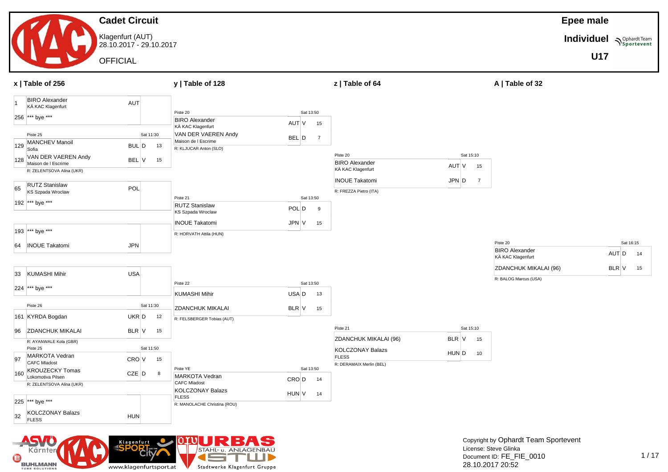

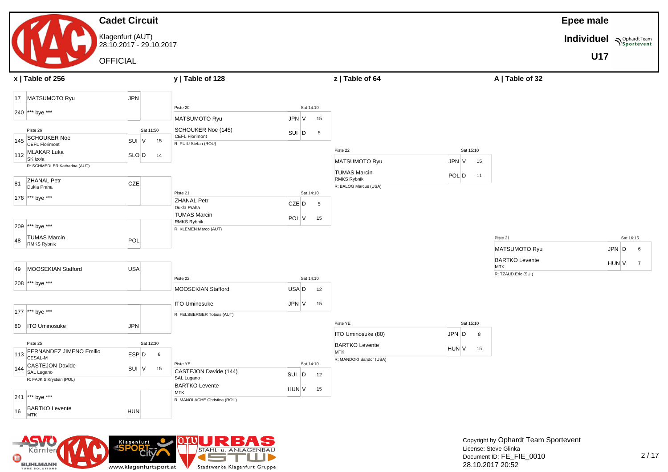#### **Cadet Circuit** Klagenfurt (AUT) 28.10.2017 - 29.10.2017 **OFFICIAL Epee male Individuel**  $\sqrt{\frac{20}{25}$  portevent **U17 x | Table of 256 y | Table of 128 z | Table of 64 A | Table of 32** 17 MATSUMOTO Ryu JPN 240 \*\*\* bye \*\*\* Piste 26 Sat 11:50 145 SCHOUKER Noe SCHOUKER NOE<br>CEFL Florimont CEFL SUI V 15  $112$  MLAKAR Luka SLO D 14<br>SK Izola R: SCHMEDLER Katharina (AUT) 81 ZHANAL Petr ZHANAL Petr<br>Dukla Praha CZE 176 \*\*\* bye \*\*\* Piste 20 Sat 14:10 MATSUMOTO Ryu JPN V 15 SCHOUKER Noe (145) SUI D 5<br>CEFL Florimont R: PUIU Stefan (ROU) Piste 21 Sat 14:10 ZHANAL Petr zhannal Petra (1992)<br>Dukla Praha CZE D 5 Piste 22 Sat 15:10 MATSUMOTO Ryu JPN V 15 TUMAS Marcin TUMAS Marcin<br>RMKS Rybnik POL D 11 R: BALOG Marcus (USA)

| 49  | MOOSEKIAN Stafford             | <b>USA</b> |           |    |                                     |       |           |    |                         |       |           |    |
|-----|--------------------------------|------------|-----------|----|-------------------------------------|-------|-----------|----|-------------------------|-------|-----------|----|
|     |                                |            |           |    | Piste 22                            |       | Sat 14:10 |    |                         |       |           |    |
|     | 208 *** bye ***                |            |           |    | MOOSEKIAN Stafford                  | USA D |           | 12 |                         |       |           |    |
|     |                                |            |           |    | <b>ITO Uminosuke</b>                | JPN V |           | 15 |                         |       |           |    |
|     | 177 *** bye ***                |            |           |    | R: FELSBERGER Tobias (AUT)          |       |           |    |                         |       |           |    |
| 80  | <b>ITO Uminosuke</b>           | <b>JPN</b> |           |    |                                     |       |           |    | Piste YE                |       | Sat 15:10 |    |
|     |                                |            |           |    |                                     |       |           |    | ITO Uminosuke (80)      | JPN D |           | 8  |
|     | Piste 25                       |            | Sat 12:30 |    |                                     |       |           |    | <b>BARTKO Levente</b>   |       |           |    |
| 113 | <b>FERNANDEZ JIMENO Emilio</b> | ESP D      |           | 6  |                                     |       |           |    | <b>MTK</b>              | HUN V |           | 15 |
|     | <b>CESAL-M</b>                 |            |           |    |                                     |       |           |    | R: MANDOKI Sandor (USA) |       |           |    |
| 144 | CASTEJON Davide                | SUI V      |           | 15 | Piste YE                            |       | Sat 14:10 |    |                         |       |           |    |
|     | SAL Lugano                     |            |           |    | CASTEJON Davide (144)               | SUI   | D         | 12 |                         |       |           |    |
|     | R: FAJKIS Krystian (POL)       |            |           |    | SAL Lugano                          |       |           |    |                         |       |           |    |
|     |                                |            |           |    | <b>BARTKO Levente</b><br><b>MTK</b> | HUN V |           | 15 |                         |       |           |    |
| 241 | *** bye ***                    |            |           |    | R: MANOLACHE Christina (ROU)        |       |           |    |                         |       |           |    |

TUMAS Marcin<br>RMKS Rybnik POL V 15

TUMAS Marcin

R: KLEMEN Marco (AUT)

| MATSUMOTO Ryu                | JPN D        | 6 |
|------------------------------|--------------|---|
| <b>BARTKO Levente</b><br>MTK | <b>HUN V</b> |   |
| R: TZAUD Eric (SUI)          |              |   |

Piste 21 Sat 16:15



209 \*\*\* bye \*\*\* 48 TUMAS Marcin

16 BARTKO Levente

TUMAS Marcin<br>RMKS Rybnik POL

DANTING Levente<br>MTK HUN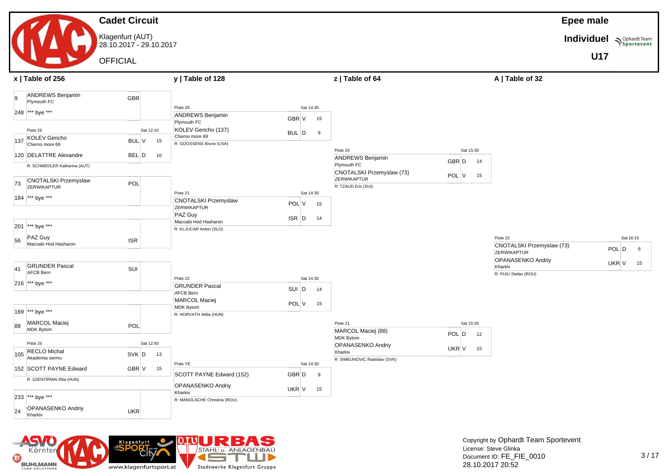### **Cadet Circuit** Klagenfurt (AUT) 28.10.2017 - 29.10.2017 OFFICIAL

**Epee male**

**Individuel Supplardt Team** 

**U17**

|     | $x$   Table of 256                                 |                    | y   Table of 128                               |                              | z   Table of 64                          |                          | A   Table of 32                       |                             |
|-----|----------------------------------------------------|--------------------|------------------------------------------------|------------------------------|------------------------------------------|--------------------------|---------------------------------------|-----------------------------|
| 9   | ANDREWS Benjamin<br>Plymouth FC<br>248 *** bye *** | <b>GBR</b>         | Piste 20<br><b>ANDREWS Benjamin</b>            | Sat 14:30<br>GBR V<br>15     |                                          |                          |                                       |                             |
|     | Piste 26                                           | Sat 12:10          | Plymouth FC<br>KOLEV Gencho (137)              | BUL D<br>9                   |                                          |                          |                                       |                             |
| 137 | KOLEV Gencho<br>Cherno more 69                     | <b>BUL V</b><br>15 | Cherno more 69<br>R: GOOSSENS Bruno (USA)      |                              |                                          |                          |                                       |                             |
|     | 120 DELATTRE Alexandre                             | BEL D<br>10        |                                                |                              | Piste 20<br><b>ANDREWS Benjamin</b>      | Sat 15:30<br>GBR D<br>14 |                                       |                             |
|     | R: SCHMEDLER Katharina (AUT)                       |                    |                                                |                              | Plymouth FC<br>CNOTALSKI Przemyslaw (73) |                          |                                       |                             |
| 73  | <b>CNOTALSKI Przemyslaw</b><br>ZERWIKAPTUR         | POL                |                                                |                              | ZERWIKAPTUR<br>R: TZAUD Eric (SUI)       | POL V<br>15              |                                       |                             |
|     | 184 *** bye ***                                    |                    | Piste 21<br><b>CNOTALSKI Przemyslaw</b>        | Sat 14:30<br>POL V<br>15     |                                          |                          |                                       |                             |
|     |                                                    |                    | ZERWIKAPTUR<br>PAZ Guy                         | $ISR$ $D$<br>14              |                                          |                          |                                       |                             |
| 201 | *** bye ***                                        |                    | Maccabi Hod Hasharon<br>R: KLJUCAR Anton (SLO) |                              |                                          |                          |                                       |                             |
| 56  | PAZ Guy<br>Maccabi Hod Hasharon                    | <b>ISR</b>         |                                                |                              |                                          |                          | Piste 22<br>CNOTALSKI Przemyslaw (73) | Sat 16:15<br>$POL$ $D$<br>6 |
|     |                                                    |                    |                                                |                              |                                          |                          | ZERWIKAPTUR<br>OPANASENKO Andriy      |                             |
| 41  | <b>GRUNDER Pascal</b><br><b>AFCB Bern</b>          | SUI                |                                                |                              |                                          |                          | Kharkiv<br>R: PUIU Stefan (ROU)       | $UKR$ $V$ 15                |
|     | 216 *** bye ***                                    |                    | Piste 22<br><b>GRUNDER Pascal</b>              | Sat 14:30<br>$SUI$ $D$<br>14 |                                          |                          |                                       |                             |
|     |                                                    |                    | AFCB Bern<br><b>MARCOL Maciej</b>              | POL V<br>15                  |                                          |                          |                                       |                             |
|     | 169 *** bye ***                                    |                    | <b>MDK Bytom</b><br>R: HORVATH Attila (HUN)    |                              |                                          |                          |                                       |                             |
| 88  | MARCOL Maciej<br>MDK Bytom                         | POL                |                                                |                              | Piste 21<br>MARCOL Maciej (88)           | Sat 15:30                |                                       |                             |
|     | Piste 25                                           | Sat 12:50          |                                                |                              | MDK Bytom<br><b>OPANASENKO Andriy</b>    | POL D<br>12              |                                       |                             |
| 105 | <b>RECLO Michal</b><br>Akademia sermu              | SVK D<br>13        |                                                |                              | Kharkiv<br>R: SIMEUNOVIC Rastislav (SVK) | $UKR$ V 15               |                                       |                             |
|     | 152 SCOTT PAYNE Edward                             | GBR V<br>15        | Piste YE<br>SCOTT PAYNE Edward (152)           | Sat 14:30<br>GBR D<br>- 9    |                                          |                          |                                       |                             |
|     | R: SZENTIRMAI Rita (HUN)                           |                    | OPANASENKO Andriy                              | UKR V<br>15                  |                                          |                          |                                       |                             |
|     | 233 *** bye ***                                    |                    | Kharkiv<br>R: MANOLACHE Christina (ROU)        |                              |                                          |                          |                                       |                             |
| 24  | <b>OPANASENKO Andriy</b><br>Kharkiv                | UKR                |                                                |                              |                                          |                          |                                       |                             |

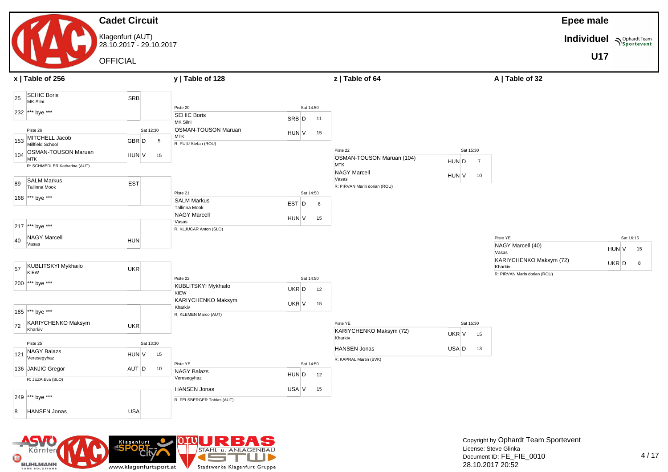#### **Cadet Circuit** Klagenfurt (AUT) 28.10.2017 - 29.10.2017 **OFFICIAL Epee male Individuel**  $\sum_{\text{Sportevent}}$ **U17 x | Table of 256 y | Table of 128 z | Table of 64 A | Table of 32** 25 SEHIC Boris SEHIC BONS<br>MK Silni SRB 232 \*\*\* bye \*\*\* Piste 26 Sat 12:30 153 MITCHELL Jacob MITCHELL Jacob<br>Millfield School GBR D 5 104 OSMAN-TOUSON Maruan SOMMA TOODON Martian<br>MTK HUN V 15 R: SCHMEDLER Katharina (AUT) 89 SALM Markus SALM Markus<br>Tallinna Mook **EST** 168 \*\*\* bye \*\*\* 217 \*\*\* bye \*\*\*  $40$  NAGY Marcell Vasas HUN<br>Vasas HUN 57 KUBLITSKYI Mykhailo<br>KIEW KIEW 200 \*\*\* bye \*\*\* 185 \*\*\* bye \*\*\* 72 KARIYCHENKO Maksym UKR<br>Kharkiv Piste 25 Sat 13:30  $\vert$ 121 NAGY Balazs Veresegyhaz HUN <sup>V</sup> <sup>15</sup> 136 JANJIC Gregor AUT D 10 R: JEZA Eva (SLO) 249 \*\*\* bye \*\*\* 8 HANSEN Jonas VSA Piste 20 Sat 14:50 **SEHIC Boris**<br>MK Silni SAR D 11 OSMAN-TOUSON Maruan<br>MTK SOM INTERNATIONAL CONTROL COMMUNICATION CONTROL CONTROL CONTROL CONTROL CONTROL CONTROL CONTROL CONTROL CONTROL CONTROL CONTROL CONTROL CONTROL CONTROL CONTROL CONTROL CONTROL CONTROL CONTROL CONTROL CONTROL CONTROL CONTRO R: PUIU Stefan (ROU) Piste 21 Sat 14:50 SALM Markus SALIVI Markus<br>Tallinna Mook **EST** D 6 NAGY Marcell Vasas HUN V 15 R: KLJUCAR Anton (SLO) Piste 22 Sat 14:50 KUBLITSKYI Mykhailo KIEW UKR D 12 KARIYCHENKO Maksym<br>Kharkiv Kharkiv UKR V 15 R: KLEMEN Marco (AUT) Piste YE Sat 14:50 NAGY Balazs Veresegyhaz HUN <sup>D</sup> <sup>12</sup> HANSEN Jonas USA V 15 R: FELSBERGER Tobias (AUT) Piste 22 Sat 15:30 OSMAN-TOUSON Maruan (104)<br>MTK MTK MTK NAGY Marcell Vasas Marcoline (1999) (1999) HUN V 10<br>Vasas R: PIRVAN Marin dorian (ROU) Piste YE Sat 15:30 KARIYCHENKO Maksym (72) Kharkiv UKR V 15 HANSEN Jonas USA D 13 R: KAPRAL Martin (SVK) Piste YE Sat 16:15 NAGY Marcell (40) Vasas HUN V 15 KARIYCHENKO Maksym (72) Kharkiv UKR  $D = 8$ R: PIRVAN Marin dorian (ROU)

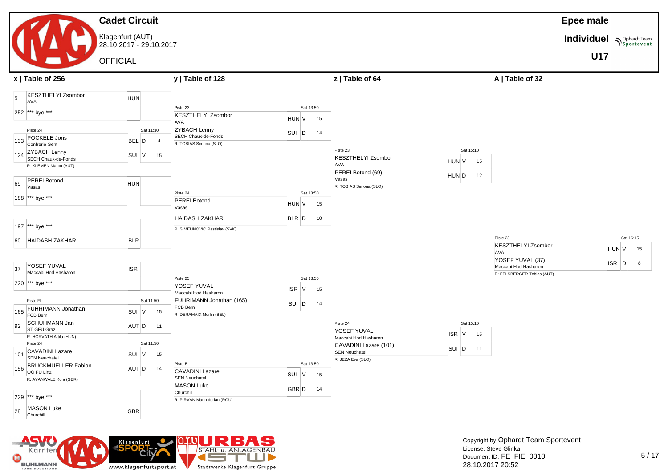### **Cadet Circuit** Klagenfurt (AUT) 28.10.2017 - 29.10.2017 OFFICIAL

### **Epee male**

**Individuel Supplement**  $\sum_{\text{Sportevent}}$ 

**U17**

|           | x   Table of 256                                                                                                                                     |                                                                   | y   Table of 128                                                                                                            |                             |          | z   Table of 64                                              |                            | A   Table of 32                                      |       |           |
|-----------|------------------------------------------------------------------------------------------------------------------------------------------------------|-------------------------------------------------------------------|-----------------------------------------------------------------------------------------------------------------------------|-----------------------------|----------|--------------------------------------------------------------|----------------------------|------------------------------------------------------|-------|-----------|
| 5<br>133  | <b>KESZTHELYI Zsombor</b><br><b>AVA</b><br>252 *** bye ***<br>Piste 24<br>POCKELE Joris<br>Confrerie Gent<br>124 ZYBACH Lenny<br>SECH Chaux-de-Fonds | <b>HUN</b><br>Sat 11:30<br>BEL D<br>$\overline{4}$<br>SUI V<br>15 | Piste 23<br><b>KESZTHELYI Zsombor</b><br><b>AVA</b><br><b>ZYBACH Lenny</b><br>SECH Chaux-de-Fonds<br>R: TOBIAS Simona (SLO) | Sat 13:50<br>HUN V<br>SUI D | 15<br>14 | Piste 23                                                     | Sat 15:10                  |                                                      |       |           |
|           | R: KLEMEN Marco (AUT)                                                                                                                                |                                                                   |                                                                                                                             |                             |          | <b>KESZTHELYI Zsombor</b><br>AVA<br>PEREI Botond (69)        | HUN V<br>15<br>HUN D<br>12 |                                                      |       |           |
| 69        | <b>PEREI Botond</b><br>Vasas<br>188 *** bye ***                                                                                                      | <b>HUN</b>                                                        | Piste 24                                                                                                                    | Sat 13:50                   |          | Vasas<br>R: TOBIAS Simona (SLO)                              |                            |                                                      |       |           |
|           |                                                                                                                                                      |                                                                   | <b>PEREI Botond</b><br>Vasas<br><b>HAIDASH ZAKHAR</b>                                                                       | HUN V<br>$BLR$ $D$          | 15<br>10 |                                                              |                            |                                                      |       |           |
|           | 197 *** bye ***                                                                                                                                      |                                                                   | R: SIMEUNOVIC Rastislav (SVK)                                                                                               |                             |          |                                                              |                            | Piste 23                                             |       | Sat 16:15 |
|           | 60 HAIDASH ZAKHAR                                                                                                                                    | <b>BLR</b>                                                        |                                                                                                                             |                             |          |                                                              |                            | <b>KESZTHELYI Zsombor</b><br>AVA<br>YOSEF YUVAL (37) | HUN V | 15        |
| 37        | YOSEF YUVAL<br>Maccabi Hod Hasharon<br>220 *** bye ***                                                                                               | <b>ISR</b>                                                        | Piste 25                                                                                                                    | Sat 13:50                   |          |                                                              |                            | Maccabi Hod Hasharon<br>R: FELSBERGER Tobias (AUT)   | ISR D | 8         |
|           | Piste FI                                                                                                                                             | Sat 11:50                                                         | YOSEF YUVAL<br>Maccabi Hod Hasharon<br>FUHRIMANN Jonathan (165)                                                             | $ISR$ V<br>SUI D            | 15<br>14 |                                                              |                            |                                                      |       |           |
| 165<br>92 | FUHRIMANN Jonathan<br>FCB Bern<br>SCHUHMANN Jan                                                                                                      | SUI V<br>15<br>AUT D                                              | FCB Bern<br>R: DERAMAIX Merlin (BEL)                                                                                        |                             |          | Piste 24                                                     | Sat 15:10                  |                                                      |       |           |
|           | ST GFU Graz<br>R: HORVATH Attila (HUN)<br>Piste 24                                                                                                   | 11<br>Sat 11:50                                                   |                                                                                                                             |                             |          | YOSEF YUVAL<br>Maccabi Hod Hasharon<br>CAVADINI Lazare (101) | ISR V<br>15                |                                                      |       |           |
| 101       | <b>CAVADINI Lazare</b><br><b>SEN Neuchatel</b>                                                                                                       | SUI V<br>15                                                       | Piste BL                                                                                                                    | Sat 13:50                   |          | <b>SEN Neuchatel</b><br>R: JEZA Eva (SLO)                    | SUI D<br>11                |                                                      |       |           |
| 156       | <b>BRUCKMUELLER Fabian</b><br>OÖ FU Linz<br>R: AYANWALE Kola (GBR)                                                                                   | AUT D<br>14                                                       | <b>CAVADINI Lazare</b><br><b>SEN Neuchatel</b>                                                                              | SUI V                       | 15       |                                                              |                            |                                                      |       |           |
|           | 229 *** bye ***                                                                                                                                      |                                                                   | <b>MASON Luke</b><br>Churchill<br>R: PIRVAN Marin dorian (ROU)                                                              | GBR D                       | 14       |                                                              |                            |                                                      |       |           |
| 28        | <b>MASON Luke</b><br>Churchill                                                                                                                       | <b>GBR</b>                                                        |                                                                                                                             |                             |          |                                                              |                            |                                                      |       |           |

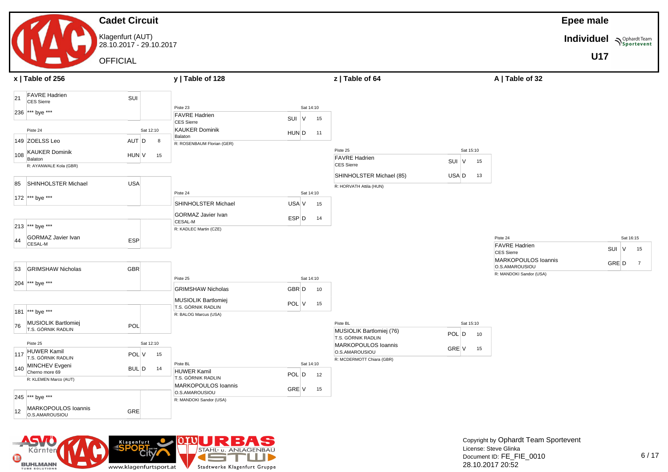#### **Cadet Circuit** Klagenfurt (AUT) 28.10.2017 - 29.10.2017 **OFFICIAL Epee male Individuel**  $\sum_{\text{Sportevent}}$ **U17 x | Table of 256 y | Table of 128 z | Table of 64 A | Table of 32** 21 FAVRE Hadrien FAVRE Hadrien<br>CES Sierre 236 \*\*\* bye \*\*\* Piste 24 Sat 12:10 149 ZOELSS Leo AUT D 8 108 KAUKER Dominik References Community Control HUN V 15 R: AYANWALE Kola (GBR) 85 SHINHOLSTER Michael USA 172 \*\*\* bye \*\*\* 213 \*\*\* bye \*\*\* 44 GORMAZ Javier Ivan GORMAZ Javier Ivan<br>CESAL-M ESP 53 GRIMSHAW Nicholas GBR 204 \*\*\* bye \*\*\* 181 \*\*\* bye \*\*\* 76 MUSIOLIK Bartlomiej MUSIOLIK Bartiomiej<br>T.S. GÓRNIK RADLIN Piste 25 Sat 12:10  $_{117}$  HUWER Kamil T.S. GÓRNIK RADLIN POL <sup>V</sup> <sup>15</sup> 140 MINCHEV Evgeni NINCHEV EVGENI<br>Cherno more 69 BUL D 14 R: KLEMEN Marco (AUT) 245 \*\*\* bye \*\*\* 12 MARKOPOULOS Ioannis MARKOPOULOS I0annis<br>0.S.AMAROUSIOU Piste 23 Sat 14:10 FAVRE Hadrien FAVRE Hadrien<br>CES Sierre Suit CES Suite KAUKER Dominik NONEN Bohmmer<br>Balaton HUN D 11 R: ROSENBAUM Florian (GER) Piste 24 Sat 14:10 SHINHOLSTER Michael USA V 15 GORMAZ Javier Ivan CESAL-M ESP D 14 R: KADLEC Martin (CZE) Piste 25 Sat 14:10 GRIMSHAW Nicholas GBR D 10 MUSIOLIK Bartlomiej WUSIULIN BARIOMIEJ<br>T.S. GÓRNIK RADLIN POL V 15 R: BALOG Marcus (USA) Piste BL Sat 14:10 HUWER Kamil HUWER KAMII<br>T.S. GÓRNIK RADLIN POL D 12 MARKOPOULOS Ioannis MARKOPOULOS IGANNIS<br>O.S.AMAROUSIOU R: MANDOKI Sandor (USA) Piste 25 Sat 15:10 FAVRE Hadrien FAVRE Hadrien<br>CES Sierre Suit CES Sierre SHINHOLSTER Michael (85) USA D 13 R: HORVATH Attila (HUN) Piste BL Sat 15:10 MUSIOLIK Bartlomiej (76) MUSIOLIK Bartiomiej (76)<br>T.S. GÓRNIK RADLIN POL D 10 MARKOPOULOS Ioannis MARKOPOOLOS IOANINS GRE V 15 R: MCDERMOTT Chiara (GBR) Piste 24 Sat 16:15 FAVRE Hadrien PAVKE Hadrien<br>CES Sierre Suit CES Sierre MARKOPOULOS Ioannis MARKOPOULOS IOANNIS<br>O.S.AMAROUSIOU R: MANDOKI Sandor (USA)

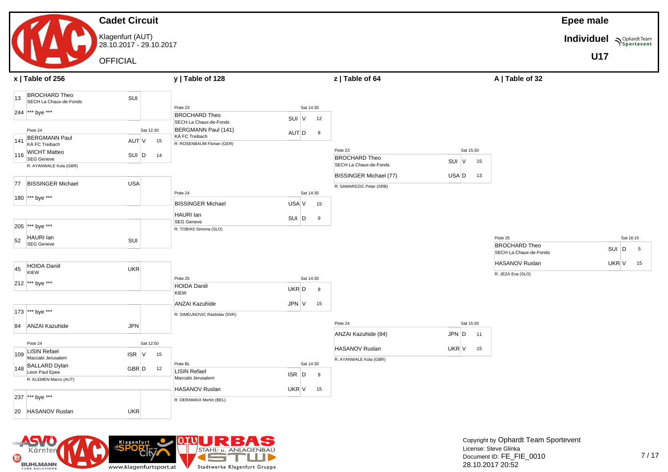#### **Cadet Circuit** Klagenfurt (AUT) 28.10.2017 - 29.10.2017 **OFFICIAL Epee male Individuel**  $\sum_{\text{Sportevent}}$ **U17 x | Table of 256 y | Table of 128 z | Table of 64 A | Table of 32** 13 BROCHARD Theo BROCHARD Theo<br>SECH La Chaux-de-Fonds SUI 244 \*\*\* bye \*\*\* Piste 24 Sat 12:30 141 BERGMANN Paul BERGMANN Paul<br>KÄ FC Treibach AUT V 15 116 WICHT Matteo VICHT Matteo<br>SEG Geneve SUI D 14 R: AYANWALE Kola (GBR) 77 BISSINGER Michael USA 180 \*\*\* bye \*\*\* 205 \*\*\* bye \*\*\*  $52$  HAURI Ian HAURI Ian<br>SEG Geneve  $\begin{array}{|c|c|}\n\hline\n45 & \text{HOLDA Daniil} \\
\hline\n\text{KIEW}\n\end{array}$ KIEW UKR 212 \*\*\* bye \*\*\* 173 \*\*\* bye \*\*\* 84 ANZAI Kazuhide JPN Piste 24 Sat 12:50 109 LISIN Refael Maccabi Jerusalem ISR <sup>V</sup> <sup>15</sup> 148 BALLARD Dylan BALLARD Dylan<br>Leon Paul Epee R: KLEMEN Marco (AUT) Piste 23 Sat 14:30 BROCHARD Theo BROCHARD I NEO<br>SECH La Chaux-de-Fonds SUI V 12 BERGMANN Paul (141) KÄ FC Treibach AUT <sup>D</sup> <sup>8</sup> R: ROSENBAUM Florian (GER) Piste 24 Sat 14:30 BISSINGER Michael USA V 15 HAURI Ian HAURI Ian<br>SEG Geneve SUI D 9 R: TOBIAS Simona (SLO) Piste 25 Sat 14:30 HOIDA Daniil KIEW UKR D 8 ANZAI Kazuhide JPN V 15 R: SIMEUNOVIC Rastislav (SVK) Piste BL Sat 14:30 LISIN Refael LISIN Refael<br>Maccabi Jerusalem ISR D 8 Piste 23 Sat 15:30 BROCHARD Theo BROCHARD I NEO<br>SECH La Chaux-de-Fonds SUI V 15 BISSINGER Michael (77) USA D 13 R: SAMARDZIC Petar (SRB) Piste 24 Sat 15:30 ANZAI Kazuhide (84) **JPN D** 11 HASANOV Ruslan UKR V 15 R: AYANWALE Kola (GBR) Piste 25 Sat 16:15 BROCHARD Theo SECH La Chaux-de-Fonds<br>SECH La Chaux-de-Fonds HASANOV Ruslan UKR V 15 R: JEZA Eva (SLO)



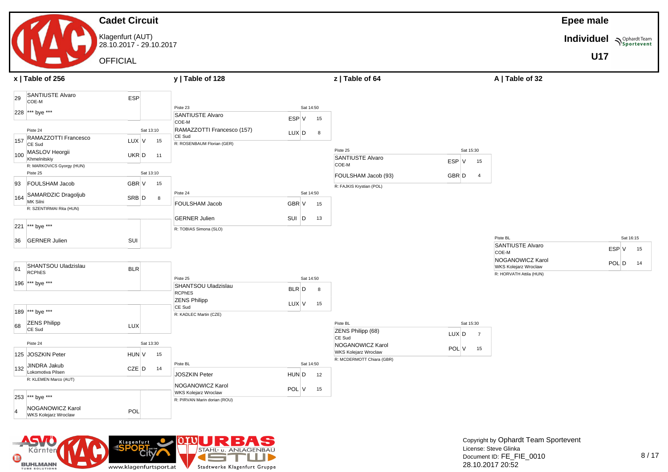### **Cadet Circuit** Klagenfurt (AUT) 28.10.2017 - 29.10.2017

**OFFICIAL** 

| <b>Epee male</b> |  |
|------------------|--|
|------------------|--|

**Individuel**  $\sum_{\text{Sportevent}}$ 

**U17**



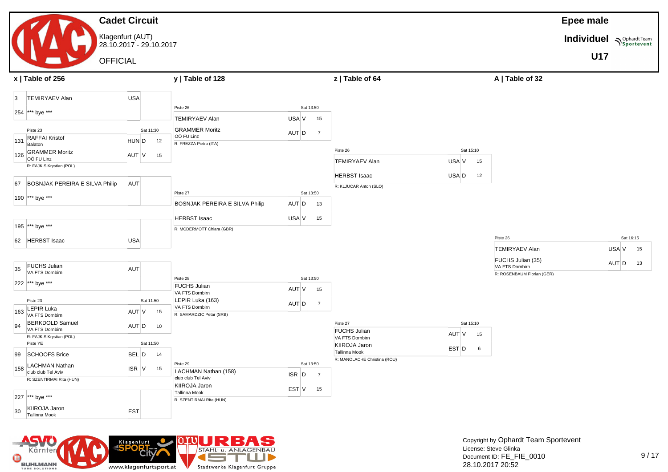#### **Cadet Circuit** Klagenfurt (AUT) 28.10.2017 - 29.10.2017 **OFFICIAL Epee male Individuel**  $\sum_{\text{Sportevent}}$ **U17 x | Table of 256 y | Table of 128 z | Table of 64 A | Table of 32** 3 TEMIRYAEV Alan USA 254 \*\*\* bye \*\*\* Piste 23 Sat 11:30 131 RAFFAI Kristof Relation HUN D 12 126 GRAMMER Moritz GRAMMER MONIZ<br>OÖ FU Linz AUT V 15 R: FAJKIS Krystian (POL) 67 BOSNJAK PEREIRA E SILVA Philip AUT 190 \*\*\* bye \*\*\* 195 \*\*\* bye \*\*\* 62 HERBST Isaac USA  $35$  FUCHS Julian VA FTS Dornbirn AUT 222 \*\*\* bye \*\*\* Piste 23 Sat 11:50  $\vert$ <sub>163</sub> LEPIR Luka LEPIR LUKA<br>VA FTS Dombirn AUT V 15 94 BERKDOLD Samuel BERKDOLD Samuel<br>VA FTS Dombirn AUT D 10 R: FAJKIS Krystian (POL) Piste YE Sat 11:50 99 SCHOOFS Brice BEL D 14 158 LACHMAN Nathan LACHMAN Nathan<br>
club club Tel Aviv ISR V 15 R: SZENTIRMAI Rita (HUN) 227 \*\*\* bye \*\*\* 30 KIIROJA Jaron Tallinna Mook EST Piste 26 Sat 13:50 TEMIRYAEV Alan USA V 15 GRAMMER Moritz GRAMMER MONIZ<br>OÖ FU Linz AUT D 7 R: FREZZA Pietro (ITA) Piste 27 Sat 13:50 BOSNJAK PEREIRA E SILVA Philip AUT D 13 HERBST Isaac USA V 15 R: MCDERMOTT Chiara (GBR) Piste 28 Sat 13:50 FUCHS Julian VA FTS Dornbirn AUT <sup>V</sup> <sup>15</sup> LEPIR Luka (163) LEPIR LUKA (163)<br>VA FTS Dornbirn AUT D 7 R: SAMARDZIC Petar (SRB) Piste 29 Sat 13:50 LACHMAN Nathan (158) LACHMAN Nathan (158)<br>|club club Tel Aviv | Club Club Tel Aviv | ISR | D | 7 KIIROJA Jaron Tallinna Mook EST <sup>V</sup> <sup>15</sup> R: SZENTIRMAI Rita (HUN) Piste 26 Sat 15:10 TEMIRYAEV Alan USA V 15 HERBST Isaac USA D 12 R: KLJUCAR Anton (SLO) Piste 27 Sat 15:10 FUCHS Julian PUCHS Julian  $V = V \times 15$ <br>VA FTS Dombirn KIIROJA Jaron Tallinna Mook **Tallinna Mook EST** D 6 R: MANOLACHE Christina (ROU) Piste 26 Sat 16:15 TEMIRYAEV Alan USA V 15 FUCHS Julian (35) PUCHS Julian (35)<br>VA FTS Dornbirn AUT D 13 R: ROSENBAUM Florian (GER)

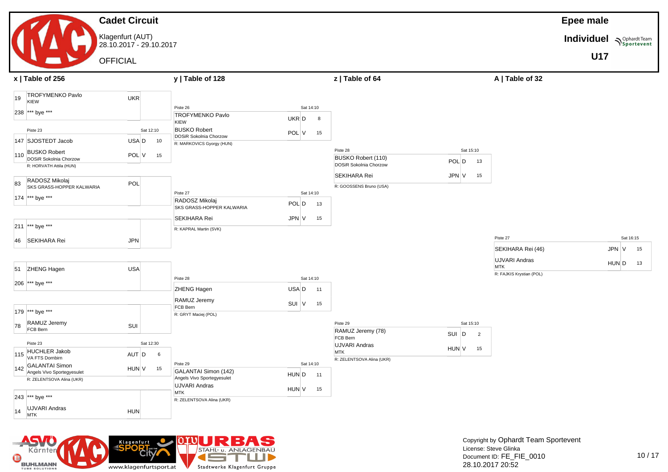#### **Cadet Circuit** Klagenfurt (AUT) 28.10.2017 - 29.10.2017 **OFFICIAL Epee male Individuel**  $\sum_{\text{Sportevent}}$ **U17 x | Table of 256 y | Table of 128 z | Table of 64 A | Table of 32** 19 TROFYMENKO Pavlo KIEW UKR 238 \*\*\* bye \*\*\* Piste 23 Sat 12:10 147 SJOSTEDT Jacob USA D 10  $110$  BUSKO Robert BUSKO RODERT<br>DOSiR Sokolnia Chorzow POL V 15 R: HORVATH Attila (HUN) 83 RADOSZ Mikolaj RADOSZ Mikolaj<br>SKS GRASS-HOPPER KALWARIA POL 174 \*\*\* bye \*\*\* Piste 26 Sat 14:10 TROFYMENKO Pavlo KIEW UKR D 8<br>KIEW BUSKO Robert BUSKO Robert<br>DOSiR Sokolnia Chorzow POL V 15 R: MARKOVICS Gyorgy (HUN) Piste 27 Sat 14:10 RADOSZ Mikolaj RADUSZ MIKORIJ<br>SKS GRASS-HOPPER KALWARIA POL D 13 Piste 28 Sat 15:10 BUSKO Robert (110) BUSKO RODEIT (110)<br>DOSiR Sokolnia Chorzow POL D 13 SEKIHARA Rei JPN V 15 R: GOOSSENS Bruno (USA)

| 51 | <b>USA</b><br>ZHENG Hagen                        |             |                                  |         |           |    |                                         |           |    | <b>UJVARI Andras</b><br><b>MTK</b><br>R: FAJKIS Krystian (POL) | $HUN$ D 13 |  |
|----|--------------------------------------------------|-------------|----------------------------------|---------|-----------|----|-----------------------------------------|-----------|----|----------------------------------------------------------------|------------|--|
|    | 206 *** bye ***                                  |             | Piste 28                         |         | Sat 14:10 |    |                                         |           |    |                                                                |            |  |
|    |                                                  |             | ZHENG Hagen                      | USA D   |           | 11 |                                         |           |    |                                                                |            |  |
|    |                                                  |             | RAMUZ Jeremy                     | $SUI$ V |           | 15 |                                         |           |    |                                                                |            |  |
|    | 179 *** bye ***                                  |             | FCB Bern<br>R: GRYT Maciej (POL) |         |           |    |                                         |           |    |                                                                |            |  |
| 78 | RAMUZ Jeremy<br>SUI<br>FCB Bern                  |             |                                  |         |           |    | Piste 29                                | Sat 15:10 |    |                                                                |            |  |
|    |                                                  |             |                                  |         |           |    | RAMUZ Jeremy (78)<br>FCB Bern           | SUI<br>D  | 2  |                                                                |            |  |
|    | Piste 23                                         | Sat 12:30   |                                  |         |           |    | <b>UJVARI Andras</b>                    | HUN V     | 15 |                                                                |            |  |
|    | <b>HUCHLER Jakob</b><br>$ 115 $ VA FTS Dombirn   | AUT D<br>6  |                                  |         |           |    | <b>MTK</b><br>R: ZELENTSOVA Alina (UKR) |           |    |                                                                |            |  |
|    | 142 GALANTAI Simon<br>Angels Vivo Sportegyesulet | HUN V<br>15 | Piste 29<br>GALANTAI Simon (142) |         | Sat 14:10 |    |                                         |           |    |                                                                |            |  |
|    | R: ZELENTSOVA Alina (UKR)                        |             | Angels Vivo Sportegyesulet       | HUN D   |           | 11 |                                         |           |    |                                                                |            |  |
|    |                                                  |             | <b>UJVARI Andras</b>             | HUN V   |           | 15 |                                         |           |    |                                                                |            |  |
|    | 243 *** bye ***                                  |             | MTK<br>R: ZELENTSOVA Alina (UKR) |         |           |    |                                         |           |    |                                                                |            |  |
| 14 | UJVARI Andras<br><b>HUN</b><br><b>MTK</b>        |             |                                  |         |           |    |                                         |           |    |                                                                |            |  |

SEKIHARA Rei JPN V 15

R: KAPRAL Martin (SVK)



211 \*\*\* bye \*\*\*

46 SEKIHARA Rei JPN

Copyright by Ophardt Team Sportevent License: Steve Glinka Document ID: FE\_FIE\_0010 28.10.2017 20:52

Piste 27 Sat 16:15 SEKIHARA Rei (46) **JPN** V 15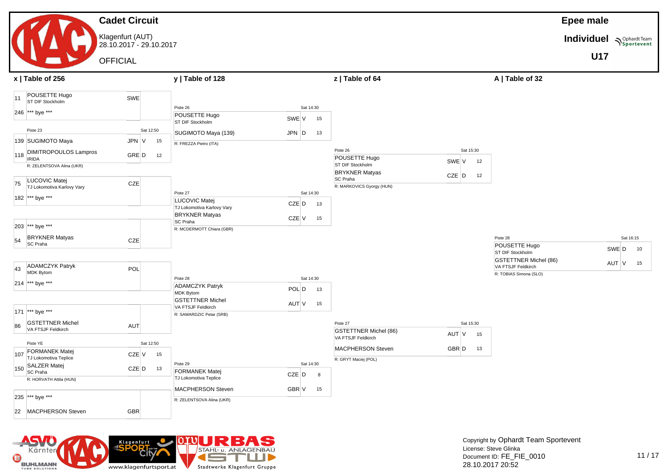#### **Cadet Circuit** Klagenfurt (AUT) 28.10.2017 - 29.10.2017 **OFFICIAL Epee male Individuel**  $\sum_{\text{Sportevent}}$ **U17 x | Table of 256 y | Table of 128 z | Table of 64 A | Table of 32** 11 POUSETTE Hugo POUSE I I E Hugo<br>ST DIE Stockholm 246 \*\*\* bye \*\*\* Piste 23 Sat 12:50 139 SUGIMOTO Maya JPN V 15 118 DIMITROPOULOS Lampros Blivil I NO COLOGIC Lampros GRE D 12 R: ZELENTSOVA Alina (UKR) 75 LUCOVIC Matej LUCOVIC Mate<br>
TJ Lokomotiva Karlovy Vary CZE 182 \*\*\* bye \*\*\* 203 \*\*\* bye \*\*\* 54 BRYKNER Matyas BRYKINER Matyas<br>SC Praha 43 ADAMCZYK Patryk ADAMCZYK Patryk<br>MDK Bytom 214 \*\*\* bye \*\*\* 171 \*\*\* bye \*\*\* 86 GSTETTNER Michel GSTETTNER Michel<br>VA FTSJF Feldkirch AUT Piste YE Sat 12:50 107 FORMANEK Matej TJ Lokomotiva Teplice<br>TJ Lokomotiva Teplice CZE V 15 150 SALZER Matej SC Praha CZE D 13 R: HORVATH Attila (HUN) 235 \*\*\* bye \*\*\* 22 MACPHERSON Steven GBR Piste 26 Sat 14:30 POUSETTE Hugo POUSETTE HUGO<br>ST DIF Stockholm ST DIF Stockholm SUGIMOTO Maya (139) **JPN** D 13 R: FREZZA Pietro (ITA) Piste 27 Sat 14:30 LUCOVIC Matej LUCOVIC Mate<br>
TJ Lokomotiva Karlovy Vary CZE D 13 BRYKNER Matyas SC Praha CZE V 15 R: MCDERMOTT Chiara (GBR) Piste 28 Sat 14:30 ADAMCZYK Patryk ADAMCZYK Patryk<br>MDK Bytom POL D 13 GSTETTNER Michel SSTETTINER MICHEL AUT V 15 R: SAMARDZIC Petar (SRB) Piste 29 Sat 14:30 FORMANEK Matej **TJ Lokomotiva Teplice**<br>TJ Lokomotiva Teplice **CZE** D 8 MACPHERSON Steven GBR V 15 R: ZELENTSOVA Alina (UKR) Piste 26 Sat 15:30 POUSETTE Hugo POUSETTE HUGO<br>ST DIF Stockholm SWE V 12 BRYKNER Matyas BRYNNER Matyas<br>SC Praha CZE D 12 R: MARKOVICS Gyorgy (HUN) Piste 27 Sat 15:30 GSTETTNER Michel (86) GSTETTNER MIChel (86)<br>VA FTSJF Feldkirch AUT V 15 MACPHERSON Steven GBR D 13 R: GRYT Maciej (POL) Piste 28 Sat 16:15 POUSETTE Hugo POUSETTE HUGO<br>ST DIF Stockholm ST DIF Stockholm GSTETTNER Michel (86) USTETTINER MICHEL (80)<br>VA FTSJF Feldkirch AUT V 15 R: TOBIAS Simona (SLO)

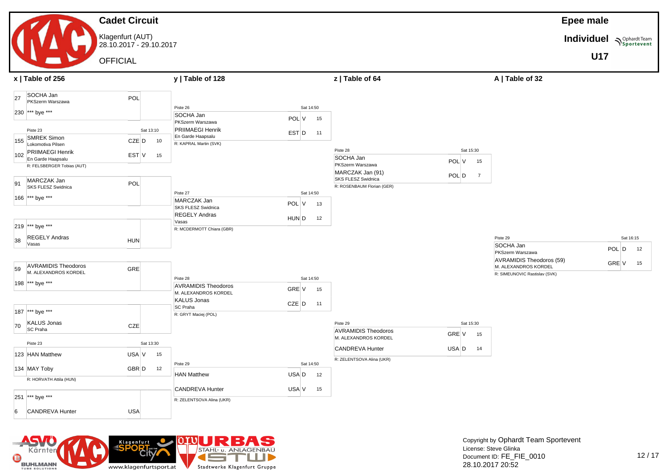

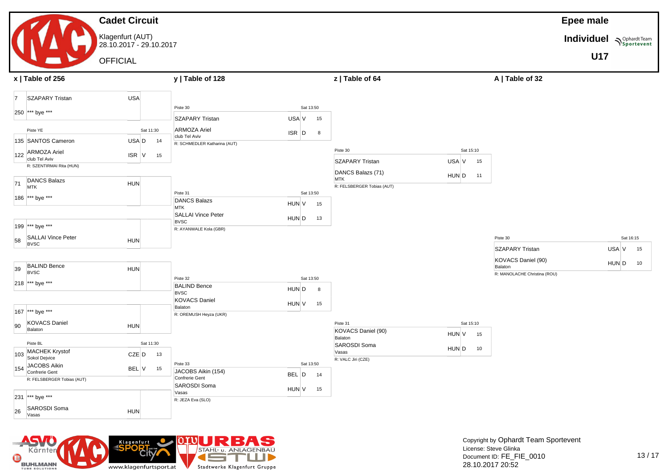#### **Cadet Circuit** Klagenfurt (AUT) 28.10.2017 - 29.10.2017 **OFFICIAL Epee male Individuel**  $\sum_{\text{Sportevent}}$ **U17 x | Table of 256 y | Table of 128 z | Table of 64 A | Table of 32** 7 SZAPARY Tristan USA 250 \*\*\* bye \*\*\* Piste YE Sat 11:30 135 SANTOS Cameron USA D 14 122 ARMOZA Ariel club Tel Aviv ISR <sup>V</sup> <sup>15</sup> R: SZENTIRMAI Rita (HUN)  $71$  DANCS Balazs MTK HUN 186 \*\*\* bye \*\*\* 199 \*\*\* bye \*\*\* 58 SALLAI Vince Peter<br>
BVSC BVSC 39 BALIND Bence BYSC HUN 218 \*\*\* bye \*\*\* 167 \*\*\* bye \*\*\* 90 KOVACS Daniel NOVACO Damer<br>Balaton HUN Piste BL<br>
Sat 11:30 103 MACHEK Krystof MACHEK Krystof<br>Sokol Deivice CZE D 13  $154$  JACOBS Aikin JACOBS AIKIN<br>Confrerie Gent BEL V 15 R: FELSBERGER Tobias (AUT) Piste 30 Sat 13:50 SZAPARY Tristan USA V 15 ARMOZA Ariel PORT ISR D 8<br>
Club Tel Aviv **ISR** D 8 R: SCHMEDLER Katharina (AUT) Piste 31 Sat 13:50 DANCS Balazs<br>MTK  $MTK$  HUN V 15 SALLAI Vince Peter<br>BVSC BVSC **BUSC** BVSC **HUN** D 13 R: AYANWALE Kola (GBR) Piste 32 Sat 13:50 BALIND Bence BVENT BENCE HUND 8 KOVACS Daniel<br>Balaton NOWNOO Damer<br>Balaton HUN V 15 R: OREMUSH Heyza (UKR) Piste 33 Sat 13:50 JACOBS Aikin (154) JACOBS AIKIN (154)<br>Confrerie Gent SAROSDI Soma Piste 30 Sat 15:10 SZAPARY Tristan USA V 15 DANCS Balazs (71)  $MTK$  HUN D 11 R: FELSBERGER Tobias (AUT) Piste 31 Sat 15:10 KOVACS Daniel (90) ROVNOU Damer (50)<br>Balaton HUN V 15 SAROSDI Soma Unit CODI Coma<br>Vasas HUN D 10 R: VALC Jiri (CZE) Piste 30 Sat 16:15 SZAPARY Tristan USA V 15 KOVACS Daniel (90) ROWNOO Damer (50)<br>Balaton HUN D 10 R: MANOLACHE Christina (ROU)



Kärnter

**BUHLMANN** 

Θ

Klagenfurt

www.klagenfurtsport.at

University of HUN V 15

STAHL- u. ANLAGENBAL 157

Stadtwerke Klagenfurt Gruppe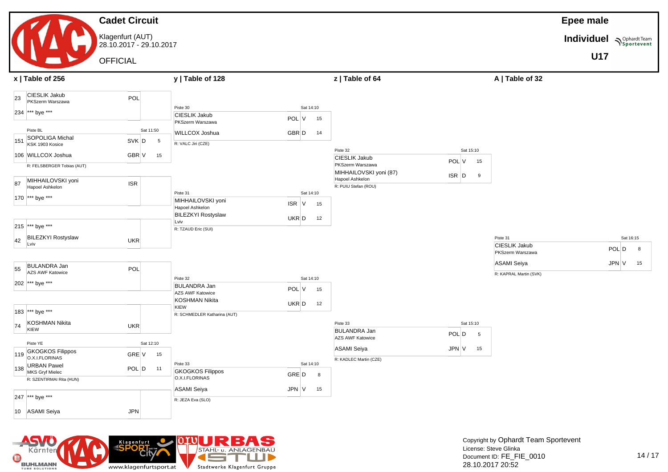

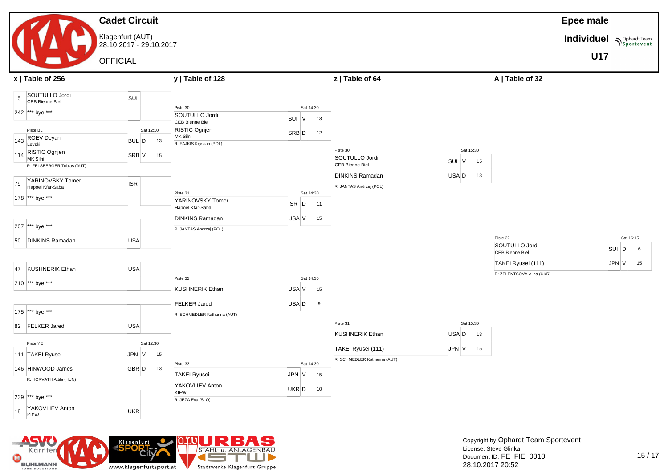#### **Cadet Circuit** Klagenfurt (AUT) 28.10.2017 - 29.10.2017 **OFFICIAL Epee male Individuel**  $\sum_{\text{Sportevent}}$ **U17 x | Table of 256 y | Table of 128 z | Table of 64 A | Table of 32** 15 SOUTULLO Jordi SOUTULLO Jordi<br>CEB Bienne Biel 242 \*\*\* bye \*\*\* Piste BL Sat 12:10 143 ROEV Deyan ROL DU, Den BUL D 13 114 RISTIC Ognjen NOTIO Ogrijen i SRB V 15 R: FELSBERGER Tobias (AUT) 79 YARINOVSKY Tomer YARINOVSKY Tomer<br>Hapoel Kfar-Saba 178 \*\*\* bye \*\*\* 207 \*\*\* bye \*\*\* 50 DINKINS Ramadan USA 47 KUSHNERIK Ethan USA Piste 30 Sat 14:30 SOUTULLO Jordi SUUTULLU JOITU<br>CEB Bienne Biel SUI V 13 RISTIC Ognjen<br>MK Silni Notic Synjon<br>MK Silni SRB D 12 R: FAJKIS Krystian (POL) Piste 31 Sat 14:30 YARINOVSKY Tomer TARINOVSKT TOMER<br>Hapoel Kfar-Saba DINKINS Ramadan USA V 15 R: JANTAS Andrzej (POL) Piste 30 Sat 15:30 SOUTULLO Jordi SUUTULLU JOI (UTHE SUI V 15 DINKINS Ramadan USA D 13 R: JANTAS Andrzej (POL) Piste 32 Sat 16:15 SOUTULLO Jordi SOUTULLO Jordi<br>CEB Bienne Biel SUI D 6 TAKEI Ryusei (111) **JPN V** 15 R: ZELENTSOVA Alina (UKR)

|     |                         | --         |           |    |                              |       |           |                              |       |           |    |
|-----|-------------------------|------------|-----------|----|------------------------------|-------|-----------|------------------------------|-------|-----------|----|
|     | 210 *** bye ***         |            |           |    | Piste 32                     |       | Sat 14:30 |                              |       |           |    |
|     |                         |            |           |    | <b>KUSHNERIK Ethan</b>       | USA V | 15        |                              |       |           |    |
|     |                         |            |           |    |                              | USA D |           |                              |       |           |    |
|     |                         |            |           |    | <b>FELKER Jared</b>          |       | 9         |                              |       |           |    |
| 175 | *** bye ***             |            |           |    | R: SCHMEDLER Katharina (AUT) |       |           |                              |       |           |    |
| 82  | <b>FELKER Jared</b>     | <b>USA</b> |           |    |                              |       |           | Piste 31                     |       | Sat 15:30 |    |
|     |                         |            |           |    |                              |       |           | <b>KUSHNERIK Ethan</b>       | USA D |           | 13 |
|     | Piste YE                |            | Sat 12:30 |    |                              |       |           |                              |       |           |    |
|     | 111 TAKEI Ryusei        | JPN V      |           | 15 |                              |       |           | TAKEI Ryusei (111)           | JPN V |           | 15 |
|     |                         |            |           |    | Piste 33                     |       | Sat 14:30 | R: SCHMEDLER Katharina (AUT) |       |           |    |
|     | 146 HINWOOD James       | GBR D      |           | 13 |                              |       |           |                              |       |           |    |
|     | R: HORVATH Attila (HUN) |            |           |    | <b>TAKEI Ryusei</b>          | JPN V | 15        |                              |       |           |    |
|     |                         |            |           |    | YAKOVLIEV Anton              | UKR D | 10        |                              |       |           |    |
|     | 239 *** bye ***         |            |           |    | KIEW                         |       |           |                              |       |           |    |
|     |                         |            |           |    | R: JEZA Eva (SLO)            |       |           |                              |       |           |    |
| 18  | YAKOVLIEV Anton<br>KIEW | <b>UKR</b> |           |    |                              |       |           |                              |       |           |    |

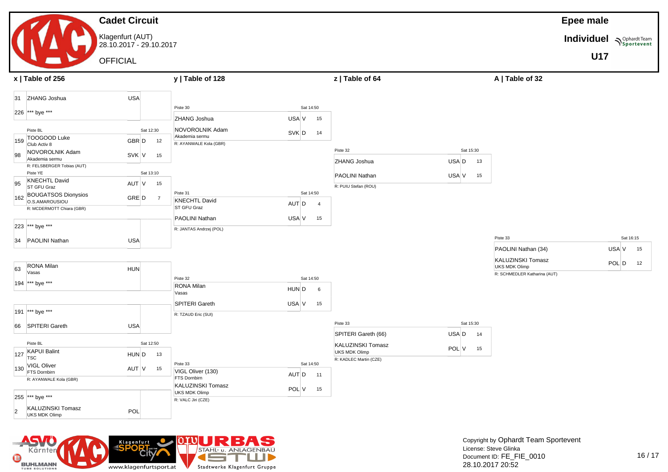#### **Cadet Circuit** Klagenfurt (AUT) 28.10.2017 - 29.10.2017 **OFFICIAL Epee male Individuel**  $\sum_{\text{Sportevent}}$ **U17 x | Table of 256 y | Table of 128 z | Table of 64 A | Table of 32** 31 ZHANG Joshua **WALES CONTAINS AND STATE** 226 \*\*\* bye \*\*\* Piste BL<br>
Sat 12:30 159 TOOGOOD Luke TOOGOOD LUKE<br>Club Activ 8 GBR D 12 98 NOVOROLNIK Adam NOVOROLININ Adam<br>Akademia sermu SVK V 15 R: FELSBERGER Tobias (AUT) Piste YE Sat 13:10 95 KNECHTL David NNEUTIL David<br>ST GFU Graz AUT V 15 162 BOUGATSOS Dionysios BOUGATSOS DIONYSIOS<br>O.S.AMAROUSIOU R: MCDERMOTT Chiara (GBR) 223 \*\*\* bye \*\*\* 34 PAOLINI Nathan USA 63 RONA Milan Vasas HUN 194 \*\*\* bye \*\*\* 191 \*\*\* bye \*\*\* 66 SPITERI Gareth USA Piste BL<br>
Sat 12:50  $\left| 127 \right|$  KAPUI Balint TSC HUND 13  $130$  VIGL Oliver VIGL OIIVER<br>FTS Dornbirn AUT V 15 R: AYANWALE Kola (GBR) 255 \*\*\* bye \*\*\* 2 KALUZINSKI Tomasz KALUZINSKI I omasz<br>UKS MDK Olimp Piste 30 Sat 14:50 ZHANG Joshua **Victor** USA V 15 NOVOROLNIK Adam NOVOROLININ Adam<br>Akademia sermu SVK D 14 R: AYANWALE Kola (GBR) Piste 31 Sat 14:50 KNECHTL David ST GFU Graz CONTENT CONTENTS AND AUT D 4 **PAOLINI Nathan CONTROLLINI Nathan** USA V 15 R: JANTAS Andrzej (POL) Piste 32 Sat 14:50 RONA Milan Vasas HUND 6 SPITERI Gareth USA V 15 R: TZAUD Eric (SUI) Piste 33 Sat 14:50 VIGL Oliver (130) VIGL OIIVER (130)<br>FTS Dornbirn AUT D 11 KALUZINSKI Tomasz KALUZINSKI IOMASZ<br>UKS MDK Olimp POL V 15 R: VALC Jiri (CZE) Piste 32 Sat 15:30 ZHANG Joshua **National Community Community** USA D 13 PAOLINI Nathan USA V 15 R: PUIU Stefan (ROU) Piste 33 Sat 15:30 SPITERI Gareth (66) **USA D** 14 KALUZINSKI Tomasz KALUZINSKI I OMASZ<br>UKS MDK Olimp POL V 15 R: KADLEC Martin (CZE) Piste 33 Sat 16:15 PAOLINI Nathan (34) USA V 15 KALUZINSKI Tomasz KALUZINSKI I OMASZ<br>UKS MDK Olimp POL D 12 R: SCHMEDLER Katharina (AUT)

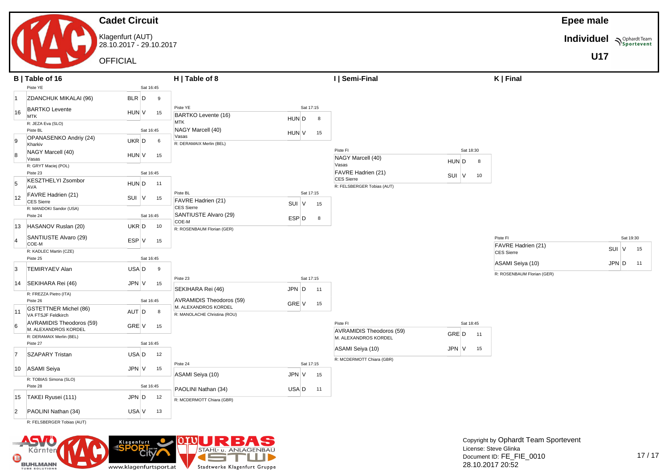Klagenfurt (AUT) 28.10.2017 - 29.10.2017

OFFICIAL



**Individuel Supplardt Team** 



**U17**

|                | B   Table of 16                                    |                          | H   Table of 8                                                |          | I   Semi-Final             |             | $K$   Final                    |            |           |
|----------------|----------------------------------------------------|--------------------------|---------------------------------------------------------------|----------|----------------------------|-------------|--------------------------------|------------|-----------|
|                | Piste YE                                           | Sat 16:45                |                                                               |          |                            |             |                                |            |           |
| $\vert$ 1      | ZDANCHUK MIKALAI (96)                              | BLR D<br>9               |                                                               |          |                            |             |                                |            |           |
| 16             | <b>BARTKO Levente</b><br><b>MTK</b>                | HUN V<br>15              | Piste YE<br>Sat 17:15<br>BARTKO Levente (16)                  |          |                            |             |                                |            |           |
|                | R: JEZA Eva (SLO)<br>Piste BL                      | Sat 16:45                | HUN D<br><b>MTK</b><br>NAGY Marcell (40)                      | -8       |                            |             |                                |            |           |
| 9              | OPANASENKO Andriy (24)<br>Kharkiv                  | UKR D<br>6               | HUN V<br>Vasas<br>R: DERAMAIX Merlin (BEL)                    | 15       |                            |             |                                |            |           |
| $\mathbf{8}$   | NAGY Marcell (40)<br>Vasas                         | HUN V<br>15              |                                                               | Piste FI | NAGY Marcell (40)          | Sat 18:30   |                                |            |           |
|                | R: GRYT Maciej (POL)<br>Piste 23                   | Sat 16:45                |                                                               | Vasas    | FAVRE Hadrien (21)         | HUN D<br>8  |                                |            |           |
| 5              | <b>KESZTHELYI Zsombor</b>                          |                          |                                                               |          | <b>CES Sierre</b>          | SUI V<br>10 |                                |            |           |
|                | AVA                                                | HUN D<br>11              |                                                               |          | R: FELSBERGER Tobias (AUT) |             |                                |            |           |
| 12             | FAVRE Hadrien (21)<br><b>CES Sierre</b>            | $SUI$ V<br>15            | Sat 17:15<br>Piste BL<br>FAVRE Hadrien (21)<br>SUI V          | 15       |                            |             |                                |            |           |
|                | R: MANDOKI Sandor (USA)<br>Piste 24                | Sat 16:45                | <b>CES Sierre</b><br>SANTIUSTE Alvaro (29)<br>ESP D           | 8        |                            |             |                                |            |           |
| 13             | HASANOV Ruslan (20)                                | UKR D<br>10              | COE-M<br>R: ROSENBAUM Florian (GER)                           |          |                            |             |                                |            |           |
|                | SANTIUSTE Alvaro (29)<br>COE-M                     | ESP V<br>15              |                                                               |          |                            |             | Piste FI<br>FAVRE Hadrien (21) |            | Sat 19:30 |
|                | R: KADLEC Martin (CZE)                             |                          |                                                               |          |                            |             | CES Sierre                     | SUI V      | 15        |
|                | Piste 25                                           | Sat 16:45                |                                                               |          |                            |             | ASAMI Seiya (10)               | $JPN$ D 11 |           |
| 3              | <b>TEMIRYAEV Alan</b>                              | USA D<br>9               |                                                               |          |                            |             | R: ROSENBAUM Florian (GER)     |            |           |
| 14             | SEKIHARA Rei (46)                                  | JPN V<br>15              | Sat 17:15<br>Piste 23<br>SEKIHARA Rei (46)<br>$JPN$ $D$       |          |                            |             |                                |            |           |
|                | R: FREZZA Pietro (ITA)<br>Piste 26                 | Sat 16:45                | AVRAMIDIS Theodoros (59)                                      | 11       |                            |             |                                |            |           |
| 11             | <b>GSTETTNER Michel (86)</b><br>VA FTSJF Feldkirch | AUT D<br>8               | GRE V<br>M. ALEXANDROS KORDEL<br>R: MANOLACHE Christina (ROU) | 15       |                            |             |                                |            |           |
| <sup>6</sup>   | AVRAMIDIS Theodoros (59)<br>M. ALEXANDROS KORDEL   | GRE V<br>15              |                                                               | Piste FI | AVRAMIDIS Theodoros (59)   | Sat 18:45   |                                |            |           |
|                | R: DERAMAIX Merlin (BEL)                           |                          |                                                               |          | M. ALEXANDROS KORDEL       | GRE D<br>11 |                                |            |           |
|                | Piste 27                                           | Sat 16:45                |                                                               |          | ASAMI Seiya (10)           | JPN V<br>15 |                                |            |           |
| $\vert$ 7      | <b>SZAPARY Tristan</b>                             | USA D<br>12              |                                                               |          | R: MCDERMOTT Chiara (GBR)  |             |                                |            |           |
| 10             | <b>ASAMI Seiya</b>                                 | JPN V<br>15              | Sat 17:15<br>Piste 24<br>ASAMI Seiya (10)<br>JPN V            | 15       |                            |             |                                |            |           |
|                | R: TOBIAS Simona (SLO)                             |                          |                                                               |          |                            |             |                                |            |           |
| 15             | Piste 28<br>TAKEI Ryusei (111)                     | Sat 16:45<br>JPN D<br>12 | PAOLINI Nathan (34)<br>USA D                                  | 11       |                            |             |                                |            |           |
|                |                                                    |                          | R: MCDERMOTT Chiara (GBR)                                     |          |                            |             |                                |            |           |
| $\overline{2}$ | PAOLINI Nathan (34)                                | USA V<br>13              |                                                               |          |                            |             |                                |            |           |
|                | R: FELSBERGER Tobias (AUT)                         |                          |                                                               |          |                            |             |                                |            |           |

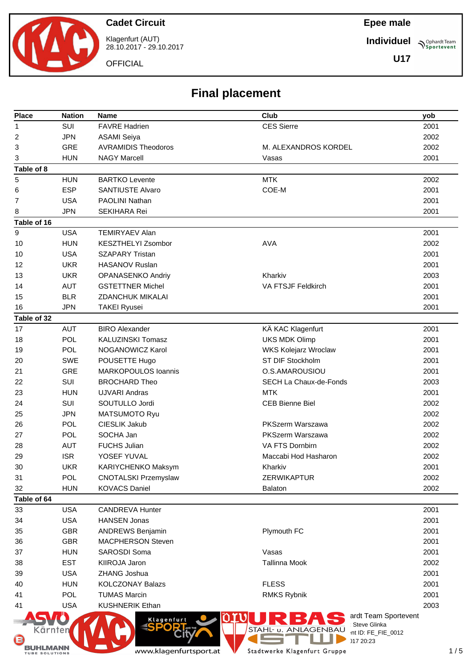

Klagenfurt (AUT) 28.10.2017 - 29.10.2017

**OFFICIAL** 

**Epee male**

**Individuel Sportevent** 

**U17**

# **Final placement**

| <b>Place</b>   | <b>Nation</b>                   | Name                                  | Club                         |                                      | yob  |    |
|----------------|---------------------------------|---------------------------------------|------------------------------|--------------------------------------|------|----|
| 1              | SUI                             | <b>FAVRE Hadrien</b>                  | <b>CES Sierre</b>            |                                      | 2001 |    |
| 2              | <b>JPN</b>                      | <b>ASAMI Seiya</b>                    |                              |                                      | 2002 |    |
| 3              | <b>GRE</b>                      | <b>AVRAMIDIS Theodoros</b>            | M. ALEXANDROS KORDEL         |                                      | 2002 |    |
| 3              | <b>HUN</b>                      | <b>NAGY Marcell</b>                   | Vasas                        |                                      | 2001 |    |
| Table of 8     |                                 |                                       |                              |                                      |      |    |
| 5              | <b>HUN</b>                      | <b>BARTKO Levente</b>                 | <b>MTK</b>                   |                                      | 2002 |    |
| 6              | <b>ESP</b>                      | <b>SANTIUSTE Alvaro</b>               | COE-M                        |                                      | 2001 |    |
| $\overline{7}$ | <b>USA</b>                      | <b>PAOLINI Nathan</b>                 |                              |                                      | 2001 |    |
| 8              | <b>JPN</b>                      | <b>SEKIHARA Rei</b>                   |                              |                                      | 2001 |    |
| Table of 16    |                                 |                                       |                              |                                      |      |    |
| 9              | <b>USA</b>                      | <b>TEMIRYAEV Alan</b>                 |                              |                                      | 2001 |    |
| 10             | <b>HUN</b>                      | <b>KESZTHELYI Zsombor</b>             | <b>AVA</b>                   |                                      | 2002 |    |
| 10             | <b>USA</b>                      | <b>SZAPARY Tristan</b>                |                              |                                      | 2001 |    |
| 12             | <b>UKR</b>                      | <b>HASANOV Ruslan</b>                 |                              |                                      | 2001 |    |
| 13             | <b>UKR</b>                      | OPANASENKO Andriy                     | Kharkiv                      |                                      | 2003 |    |
| 14             | <b>AUT</b>                      | <b>GSTETTNER Michel</b>               | VA FTSJF Feldkirch           |                                      | 2001 |    |
| 15             | <b>BLR</b>                      | <b>ZDANCHUK MIKALAI</b>               |                              |                                      | 2001 |    |
| 16             | <b>JPN</b>                      | <b>TAKEI Ryusei</b>                   |                              |                                      | 2001 |    |
| Table of 32    |                                 |                                       |                              |                                      |      |    |
| 17             | <b>AUT</b>                      | <b>BIRO Alexander</b>                 | KÄ KAC Klagenfurt            |                                      | 2001 |    |
| 18             | <b>POL</b>                      | <b>KALUZINSKI Tomasz</b>              | <b>UKS MDK Olimp</b>         |                                      | 2001 |    |
| 19             | POL                             | NOGANOWICZ Karol                      | WKS Kolejarz Wroclaw         |                                      | 2001 |    |
| 20             | <b>SWE</b>                      | POUSETTE Hugo                         | ST DIF Stockholm             |                                      | 2001 |    |
| 21             | <b>GRE</b>                      | <b>MARKOPOULOS Ioannis</b>            | O.S.AMAROUSIOU               |                                      | 2001 |    |
| 22             | SUI                             | <b>BROCHARD Theo</b>                  | SECH La Chaux-de-Fonds       |                                      | 2003 |    |
| 23             | <b>HUN</b>                      | <b>UJVARI Andras</b>                  | <b>MTK</b>                   |                                      | 2001 |    |
| 24             | SUI                             | SOUTULLO Jordi                        | <b>CEB Bienne Biel</b>       |                                      | 2002 |    |
| 25             | <b>JPN</b>                      | MATSUMOTO Ryu                         |                              |                                      | 2002 |    |
| 26             | <b>POL</b>                      | CIESLIK Jakub                         | <b>PKSzerm Warszawa</b>      |                                      | 2002 |    |
| 27             | POL                             | SOCHA Jan                             | PKSzerm Warszawa             |                                      | 2002 |    |
| 28             | <b>AUT</b>                      | <b>FUCHS Julian</b>                   | VA FTS Dornbirn              |                                      | 2002 |    |
| 29             | <b>ISR</b>                      | YOSEF YUVAL                           | Maccabi Hod Hasharon         |                                      | 2002 |    |
| 30             | <b>UKR</b>                      | KARIYCHENKO Maksym                    | Kharkiv                      |                                      | 2001 |    |
| 31             | <b>POL</b>                      | <b>CNOTALSKI Przemyslaw</b>           | ZERWIKAPTUR                  |                                      | 2002 |    |
| 32             | <b>HUN</b>                      | <b>KOVACS Daniel</b>                  | <b>Balaton</b>               |                                      | 2002 |    |
| Table of 64    |                                 |                                       |                              |                                      |      |    |
| 33             | <b>USA</b>                      | <b>CANDREVA Hunter</b>                |                              |                                      | 2001 |    |
| 34             | <b>USA</b>                      | <b>HANSEN Jonas</b>                   |                              |                                      | 2001 |    |
| 35             | <b>GBR</b>                      | ANDREWS Benjamin                      | Plymouth FC                  |                                      | 2001 |    |
| 36             | <b>GBR</b>                      | <b>MACPHERSON Steven</b>              |                              |                                      | 2001 |    |
| 37             | <b>HUN</b>                      | <b>SAROSDI Soma</b>                   | Vasas                        |                                      | 2001 |    |
| 38             | <b>EST</b>                      | <b>KIIROJA Jaron</b>                  | <b>Tallinna Mook</b>         |                                      | 2002 |    |
| 39             | <b>USA</b>                      | ZHANG Joshua                          |                              |                                      | 2001 |    |
| 40             | <b>HUN</b>                      | <b>KOLCZONAY Balazs</b>               | <b>FLESS</b>                 |                                      | 2001 |    |
| 41             | <b>POL</b>                      | <b>TUMAS Marcin</b>                   | <b>RMKS Rybnik</b>           |                                      | 2001 |    |
| 41             | <b>USA</b>                      | <b>KUSHNERIK Ethan</b>                |                              |                                      | 2003 |    |
|                |                                 | Klagenfurt<br><b>R</b> AND THE<br>DOI | STAHL- u. ANLAGENBAU         | ardt Team Sportevent<br>Steve Glinka |      |    |
| (≈             | Kärnten                         |                                       |                              | int ID: FE_FIE_0012<br>)17 20:23     |      |    |
|                | HLMANN<br><b>TUBE SOLUTIONS</b> | www.klagenfurtsport.at                | Stadtwerke Klagenfurt Gruppe |                                      |      | 1/ |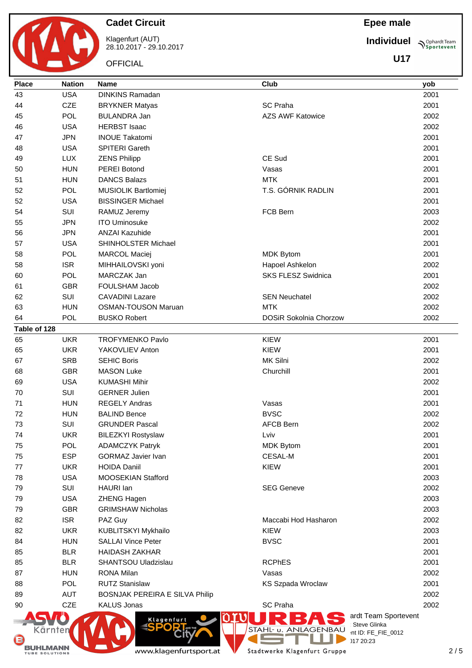Klagenfurt (AUT) 28.10.2017 - 29.10.2017

**OFFICIAL** 

**Epee male**

**Individuel Sportevent** 

**U17**

| <b>Place</b> | <b>Nation</b> | <b>Name</b>                    | Club                                 | yob  |
|--------------|---------------|--------------------------------|--------------------------------------|------|
| 43           | <b>USA</b>    | <b>DINKINS Ramadan</b>         |                                      | 2001 |
| 44           | <b>CZE</b>    | <b>BRYKNER Matyas</b>          | <b>SC Praha</b>                      | 2001 |
| 45           | POL           | <b>BULANDRA Jan</b>            | <b>AZS AWF Katowice</b>              | 2002 |
| 46           | <b>USA</b>    | <b>HERBST Isaac</b>            |                                      | 2002 |
| 47           | <b>JPN</b>    | <b>INOUE Takatomi</b>          |                                      | 2001 |
| 48           | <b>USA</b>    | <b>SPITERI Gareth</b>          |                                      | 2001 |
| 49           | <b>LUX</b>    | <b>ZENS Philipp</b>            | CE Sud                               | 2001 |
| 50           | <b>HUN</b>    | <b>PEREI Botond</b>            | Vasas                                | 2001 |
| 51           | <b>HUN</b>    | <b>DANCS Balazs</b>            | <b>MTK</b>                           | 2001 |
| 52           | POL           | MUSIOLIK Bartlomiej            | T.S. GÓRNIK RADLIN                   | 2001 |
| 52           | <b>USA</b>    | <b>BISSINGER Michael</b>       |                                      | 2001 |
| 54           | SUI           | RAMUZ Jeremy                   | FCB Bern                             | 2003 |
| 55           | <b>JPN</b>    | <b>ITO Uminosuke</b>           |                                      | 2002 |
| 56           | <b>JPN</b>    | <b>ANZAI Kazuhide</b>          |                                      | 2001 |
| 57           | <b>USA</b>    | SHINHOLSTER Michael            |                                      | 2001 |
| 58           | POL           | <b>MARCOL Maciej</b>           | <b>MDK Bytom</b>                     | 2001 |
| 58           | <b>ISR</b>    | MIHHAILOVSKI yoni              | Hapoel Ashkelon                      | 2002 |
| 60           | POL           | MARCZAK Jan                    | <b>SKS FLESZ Swidnica</b>            | 2001 |
| 61           | <b>GBR</b>    | FOULSHAM Jacob                 |                                      | 2002 |
| 62           | SUI           | <b>CAVADINI Lazare</b>         | <b>SEN Neuchatel</b>                 | 2002 |
| 63           | <b>HUN</b>    | <b>OSMAN-TOUSON Maruan</b>     | <b>MTK</b>                           | 2002 |
| 64           | <b>POL</b>    | <b>BUSKO Robert</b>            | <b>DOSiR Sokolnia Chorzow</b>        | 2002 |
| Table of 128 |               |                                |                                      |      |
| 65           | <b>UKR</b>    | <b>TROFYMENKO Pavlo</b>        | <b>KIEW</b>                          | 2001 |
| 65           | <b>UKR</b>    | YAKOVLIEV Anton                | <b>KIEW</b>                          | 2001 |
| 67           | <b>SRB</b>    | <b>SEHIC Boris</b>             | MK Silni                             | 2002 |
| 68           | <b>GBR</b>    | <b>MASON Luke</b>              | Churchill                            | 2001 |
| 69           | <b>USA</b>    | <b>KUMASHI Mihir</b>           |                                      | 2002 |
| 70           | SUI           | <b>GERNER Julien</b>           |                                      | 2001 |
| 71           | <b>HUN</b>    | <b>REGELY Andras</b>           | Vasas                                | 2001 |
| 72           | <b>HUN</b>    | <b>BALIND Bence</b>            | <b>BVSC</b>                          | 2002 |
| 73           | SUI           | <b>GRUNDER Pascal</b>          | <b>AFCB Bern</b>                     | 2002 |
| 74           | <b>UKR</b>    | <b>BILEZKYI Rostyslaw</b>      | Lviv                                 | 2001 |
| 75           | POL           | <b>ADAMCZYK Patryk</b>         | <b>MDK Bytom</b>                     | 2001 |
| 75           | <b>ESP</b>    | <b>GORMAZ Javier Ivan</b>      | <b>CESAL-M</b>                       | 2001 |
| 77           | <b>UKR</b>    | <b>HOIDA Daniil</b>            | <b>KIEW</b>                          | 2001 |
| 78           | <b>USA</b>    | MOOSEKIAN Stafford             |                                      | 2003 |
| 79           | SUI           | HAURI lan                      | <b>SEG Geneve</b>                    | 2002 |
| 79           | <b>USA</b>    | ZHENG Hagen                    |                                      | 2003 |
| 79           | <b>GBR</b>    | <b>GRIMSHAW Nicholas</b>       |                                      | 2003 |
| 82           | <b>ISR</b>    | PAZ Guy                        | Maccabi Hod Hasharon                 | 2002 |
| 82           | <b>UKR</b>    | KUBLITSKYI Mykhailo            | <b>KIEW</b>                          | 2003 |
| 84           | <b>HUN</b>    | <b>SALLAI Vince Peter</b>      | <b>BVSC</b>                          | 2001 |
| 85           | <b>BLR</b>    | <b>HAIDASH ZAKHAR</b>          |                                      | 2001 |
| 85           | <b>BLR</b>    | SHANTSOU Uladzislau            | <b>RCPhES</b>                        | 2001 |
| 87           | <b>HUN</b>    | RONA Milan                     | Vasas                                | 2002 |
| 88           | POL           | <b>RUTZ Stanislaw</b>          | KS Szpada Wroclaw                    | 2001 |
| 89           | <b>AUT</b>    | BOSNJAK PEREIRA E SILVA Philip |                                      | 2002 |
| 90           | <b>CZE</b>    | <b>KALUS Jonas</b>             | SC Praha                             | 2002 |
|              |               |                                | ardt Team Sportevent                 |      |
|              |               | Klagenfurt                     | Steve Glinka<br>STAHL- u. ANLAGENBAU |      |
| Kärnten      |               |                                | int ID: FE_FIE_0012<br>117.20:23     |      |



Stadtwerke Klagenfurt Gruppe

 $28.23$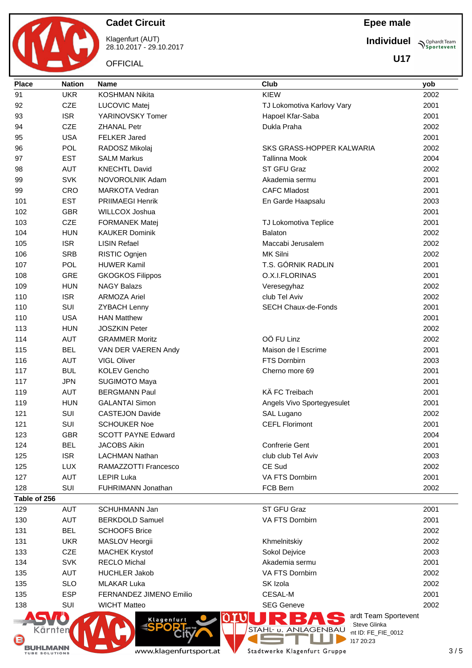Klagenfurt (AUT) 28.10.2017 - 29.10.2017

**OFFICIAL** 

### **Epee male**

**Individuel Prophardt Team** 

**U17**

| <b>Place</b>                  | <b>Nation</b> | Club<br><b>Name</b><br>yob |                                                                 |              |    |
|-------------------------------|---------------|----------------------------|-----------------------------------------------------------------|--------------|----|
| 91                            | <b>UKR</b>    | <b>KOSHMAN Nikita</b>      | <b>KIEW</b><br>2002                                             |              |    |
| 92                            | CZE           | LUCOVIC Matej              | TJ Lokomotiva Karlovy Vary                                      | 2001         |    |
| 93                            | <b>ISR</b>    | YARINOVSKY Tomer           | Hapoel Kfar-Saba                                                | 2001         |    |
| 94                            | <b>CZE</b>    | <b>ZHANAL Petr</b>         | Dukla Praha                                                     | 2002         |    |
| 95                            | <b>USA</b>    | <b>FELKER Jared</b>        |                                                                 | 2001         |    |
| 96                            | <b>POL</b>    | RADOSZ Mikolaj             | SKS GRASS-HOPPER KALWARIA                                       | 2002         |    |
| 97                            | <b>EST</b>    | <b>SALM Markus</b>         | <b>Tallinna Mook</b>                                            | 2004         |    |
| 98                            | <b>AUT</b>    | <b>KNECHTL David</b>       | ST GFU Graz                                                     | 2002         |    |
| 99                            | <b>SVK</b>    | NOVOROLNIK Adam            | Akademia sermu                                                  | 2001         |    |
| 99                            | CRO           | <b>MARKOTA Vedran</b>      | <b>CAFC Mladost</b>                                             | 2001         |    |
| 101                           | <b>EST</b>    | <b>PRIIMAEGI Henrik</b>    | En Garde Haapsalu                                               | 2003         |    |
| 102                           | <b>GBR</b>    | <b>WILLCOX Joshua</b>      | 2001                                                            |              |    |
| 103                           | <b>CZE</b>    | <b>FORMANEK Matej</b>      | TJ Lokomotiva Teplice                                           | 2001         |    |
| 104                           | <b>HUN</b>    | <b>KAUKER Dominik</b>      | 2002<br>Balaton                                                 |              |    |
| 105                           | <b>ISR</b>    | <b>LISIN Refael</b>        | Maccabi Jerusalem                                               | 2002         |    |
| 106                           | <b>SRB</b>    | RISTIC Ognjen              | MK Silni                                                        | 2002         |    |
| 107                           | POL           | <b>HUWER Kamil</b>         | T.S. GÓRNIK RADLIN                                              | 2001         |    |
| 108                           | <b>GRE</b>    | <b>GKOGKOS Filippos</b>    | O.X.I.FLORINAS                                                  | 2001         |    |
| 109                           | <b>HUN</b>    | <b>NAGY Balazs</b>         | Veresegyhaz                                                     | 2002         |    |
| 110                           | <b>ISR</b>    | <b>ARMOZA Ariel</b>        | club Tel Aviv                                                   | 2002         |    |
| 110                           | SUI           | <b>ZYBACH Lenny</b>        | <b>SECH Chaux-de-Fonds</b>                                      | 2001         |    |
| 110                           | <b>USA</b>    | <b>HAN Matthew</b>         |                                                                 | 2001         |    |
| 113                           | <b>HUN</b>    | <b>JOSZKIN Peter</b>       |                                                                 | 2002         |    |
| 114                           | <b>AUT</b>    | <b>GRAMMER Moritz</b>      | OÖ FU Linz                                                      |              |    |
| 115                           | <b>BEL</b>    | VAN DER VAEREN Andy        | Maison de I Escrime                                             |              |    |
| 116                           | <b>AUT</b>    | <b>VIGL Oliver</b>         | FTS Dornbirn                                                    |              |    |
| 117                           | <b>BUL</b>    | <b>KOLEV Gencho</b>        | Cherno more 69                                                  |              |    |
| 117                           | <b>JPN</b>    | <b>SUGIMOTO Maya</b>       |                                                                 | 2001         |    |
| 119                           | <b>AUT</b>    | <b>BERGMANN Paul</b>       | KÄ FC Treibach                                                  | 2001         |    |
| 119                           | <b>HUN</b>    | <b>GALANTAI Simon</b>      | Angels Vivo Sportegyesulet                                      | 2001         |    |
| 121                           | SUI           | <b>CASTEJON Davide</b>     | SAL Lugano                                                      | 2002         |    |
| 121                           | SUI           | <b>SCHOUKER Noe</b>        | <b>CEFL Florimont</b>                                           | 2001         |    |
| 123                           | <b>GBR</b>    | <b>SCOTT PAYNE Edward</b>  |                                                                 | 2004         |    |
| 124                           | <b>BEL</b>    | <b>JACOBS Aikin</b>        | <b>Confrerie Gent</b>                                           | 2001         |    |
| 125                           | <b>ISR</b>    | <b>LACHMAN Nathan</b>      | club club Tel Aviv                                              | 2003         |    |
| 125                           | <b>LUX</b>    | RAMAZZOTTI Francesco       | CE Sud                                                          | 2002         |    |
| 127                           | <b>AUT</b>    | <b>LEPIR Luka</b>          | VA FTS Dornbirn                                                 | 2001         |    |
| 128                           | SUI           | FUHRIMANN Jonathan         | FCB Bern                                                        | 2002         |    |
| Table of 256                  |               |                            |                                                                 |              |    |
| 129                           | <b>AUT</b>    | SCHUHMANN Jan              | ST GFU Graz                                                     | 2001         |    |
| 130                           | AUT           | <b>BERKDOLD Samuel</b>     | VA FTS Dornbirn                                                 | 2001         |    |
| 131                           | <b>BEL</b>    | <b>SCHOOFS Brice</b>       |                                                                 | 2002         |    |
| 131                           | <b>UKR</b>    | MASLOV Heorgii             | Khmelnitskiy                                                    | 2002         |    |
| 133                           | <b>CZE</b>    | <b>MACHEK Krystof</b>      | Sokol Dejvice                                                   | 2003         |    |
| 134                           | <b>SVK</b>    | <b>RECLO Michal</b>        | Akademia sermu                                                  | 2001<br>2002 |    |
| 135                           | <b>AUT</b>    | <b>HUCHLER Jakob</b>       | VA FTS Dornbirn                                                 |              |    |
| 135                           | <b>SLO</b>    | <b>MLAKAR Luka</b>         | SK Izola                                                        | 2002         |    |
| 135                           | <b>ESP</b>    | FERNANDEZ JIMENO Emilio    | CESAL-M                                                         | 2001         |    |
| 138                           | SUI           | <b>WICHT Matteo</b>        | <b>SEG Geneve</b>                                               | 2002         |    |
| ärnten                        |               | Klagenfurt                 | ardt Team Sportevent<br>Steve Glinka<br>STAHL- u.<br>ANLAGENBAU |              |    |
| G                             |               |                            | int ID: FE_FIE_0012<br>)17 20:23                                |              |    |
| MANN<br><b>TUBE SOLUTIONS</b> |               | www.klagenfurtsport.at     | Stadtwerke Klagenfurt Gruppe                                    |              | 3/ |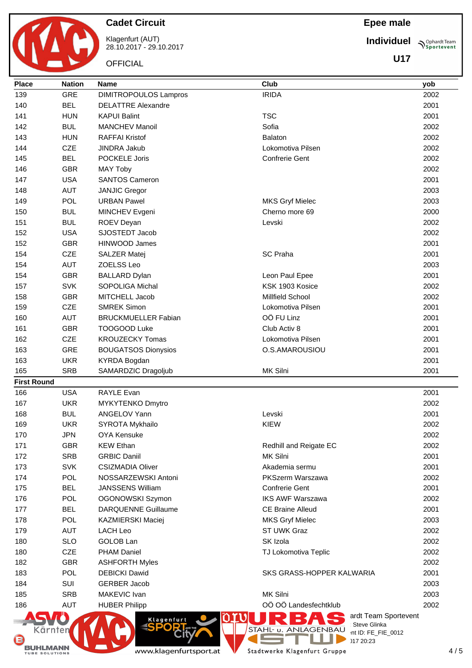

Klagenfurt (AUT) 28.10.2017 - 29.10.2017

**OFFICIAL** 

**Epee male**

**Individuel Sportevent** 

**U17**

| <b>Place</b>       | <b>Nation</b> | <b>Name</b>                  | Club                                                                                | yob  |  |  |  |  |
|--------------------|---------------|------------------------------|-------------------------------------------------------------------------------------|------|--|--|--|--|
| 139                | <b>GRE</b>    | <b>DIMITROPOULOS Lampros</b> | <b>IRIDA</b>                                                                        | 2002 |  |  |  |  |
| 140                | <b>BEL</b>    | <b>DELATTRE Alexandre</b>    |                                                                                     | 2001 |  |  |  |  |
| 141                | <b>HUN</b>    | <b>KAPUI Balint</b>          | <b>TSC</b>                                                                          | 2001 |  |  |  |  |
| 142                | <b>BUL</b>    | <b>MANCHEV Manoil</b>        | Sofia                                                                               | 2002 |  |  |  |  |
| 143                | <b>HUN</b>    | <b>RAFFAI Kristof</b>        | Balaton                                                                             | 2002 |  |  |  |  |
| 144                | <b>CZE</b>    | <b>JINDRA Jakub</b>          | Lokomotiva Pilsen                                                                   | 2002 |  |  |  |  |
| 145                | <b>BEL</b>    | POCKELE Joris                | <b>Confrerie Gent</b>                                                               | 2002 |  |  |  |  |
| 146                | <b>GBR</b>    | <b>MAY Toby</b>              |                                                                                     | 2002 |  |  |  |  |
| 147                | <b>USA</b>    | <b>SANTOS Cameron</b>        | 2001                                                                                |      |  |  |  |  |
| 148                | <b>AUT</b>    | <b>JANJIC Gregor</b>         | 2003                                                                                |      |  |  |  |  |
| 149                | POL           | <b>URBAN Pawel</b>           | <b>MKS Gryf Mielec</b><br>2003                                                      |      |  |  |  |  |
| 150                | <b>BUL</b>    | MINCHEV Evgeni               | Cherno more 69                                                                      | 2000 |  |  |  |  |
| 151                | <b>BUL</b>    | ROEV Deyan                   | Levski                                                                              | 2002 |  |  |  |  |
| 152                | <b>USA</b>    | SJOSTEDT Jacob               |                                                                                     | 2002 |  |  |  |  |
| 152                | <b>GBR</b>    | <b>HINWOOD James</b>         |                                                                                     | 2001 |  |  |  |  |
| 154                | <b>CZE</b>    | <b>SALZER Matej</b>          | <b>SC Praha</b>                                                                     | 2001 |  |  |  |  |
| 154                | <b>AUT</b>    | ZOELSS Leo                   |                                                                                     | 2003 |  |  |  |  |
| 154                | <b>GBR</b>    | <b>BALLARD Dylan</b>         | Leon Paul Epee                                                                      | 2001 |  |  |  |  |
| 157                | <b>SVK</b>    | <b>SOPOLIGA Michal</b>       | KSK 1903 Kosice                                                                     | 2002 |  |  |  |  |
| 158                | <b>GBR</b>    | MITCHELL Jacob               | Millfield School                                                                    | 2002 |  |  |  |  |
| 159                | <b>CZE</b>    | <b>SMREK Simon</b>           | Lokomotiva Pilsen                                                                   | 2001 |  |  |  |  |
| 160                | <b>AUT</b>    | <b>BRUCKMUELLER Fabian</b>   | OÖ FU Linz                                                                          | 2001 |  |  |  |  |
| 161                | <b>GBR</b>    | TOOGOOD Luke                 | Club Activ 8                                                                        | 2001 |  |  |  |  |
| 162                | <b>CZE</b>    | <b>KROUZECKY Tomas</b>       | Lokomotiva Pilsen                                                                   | 2001 |  |  |  |  |
| 163                | <b>GRE</b>    | <b>BOUGATSOS Dionysios</b>   | O.S.AMAROUSIOU                                                                      | 2001 |  |  |  |  |
| 163                | <b>UKR</b>    | <b>KYRDA Bogdan</b>          |                                                                                     | 2001 |  |  |  |  |
| 165                | <b>SRB</b>    | SAMARDZIC Dragoljub          | MK Silni                                                                            | 2001 |  |  |  |  |
| <b>First Round</b> |               |                              |                                                                                     |      |  |  |  |  |
| 166                | <b>USA</b>    | RAYLE Evan                   |                                                                                     | 2001 |  |  |  |  |
| 167                | <b>UKR</b>    | <b>MYKYTENKO Dmytro</b>      |                                                                                     | 2002 |  |  |  |  |
| 168                | <b>BUL</b>    | ANGELOV Yann                 | Levski                                                                              | 2001 |  |  |  |  |
| 169                | <b>UKR</b>    | SYROTA Mykhailo              | <b>KIEW</b>                                                                         | 2002 |  |  |  |  |
| 170                | JPN           | OYA Kensuke                  |                                                                                     | 2002 |  |  |  |  |
| 171                | <b>GBR</b>    | <b>KEW Ethan</b>             | Redhill and Reigate EC                                                              | 2002 |  |  |  |  |
| 172                | <b>SRB</b>    | <b>GRBIC Daniil</b>          | MK Silni                                                                            | 2001 |  |  |  |  |
| 173                | <b>SVK</b>    | <b>CSIZMADIA Oliver</b>      | Akademia sermu                                                                      | 2001 |  |  |  |  |
| 174                | POL           | NOSSARZEWSKI Antoni          | PKSzerm Warszawa                                                                    | 2002 |  |  |  |  |
| 175                | <b>BEL</b>    | <b>JANSSENS William</b>      | Confrerie Gent                                                                      | 2001 |  |  |  |  |
| 176                | POL           | OGONOWSKI Szymon             | <b>IKS AWF Warszawa</b>                                                             | 2002 |  |  |  |  |
| 177                | <b>BEL</b>    | <b>DARQUENNE Guillaume</b>   | <b>CE Braine Alleud</b>                                                             | 2001 |  |  |  |  |
| 178                | <b>POL</b>    | KAZMIERSKI Maciej            | <b>MKS Gryf Mielec</b>                                                              | 2003 |  |  |  |  |
| 179                | <b>AUT</b>    | <b>LACH Leo</b>              | ST UWK Graz                                                                         | 2002 |  |  |  |  |
| 180                | <b>SLO</b>    | GOLOB Lan                    | SK Izola                                                                            | 2002 |  |  |  |  |
| 180                | <b>CZE</b>    | <b>PHAM Daniel</b>           | TJ Lokomotiva Teplic                                                                | 2002 |  |  |  |  |
| 182                | <b>GBR</b>    | <b>ASHFORTH Myles</b>        |                                                                                     | 2002 |  |  |  |  |
| 183                | POL           | <b>DEBICKI Dawid</b>         | SKS GRASS-HOPPER KALWARIA                                                           | 2001 |  |  |  |  |
| 184                | SUI           | <b>GERBER Jacob</b>          |                                                                                     | 2003 |  |  |  |  |
| 185                | <b>SRB</b>    | MAKEVIC Ivan                 | MK Silni                                                                            | 2003 |  |  |  |  |
| 186                | <b>AUT</b>    | <b>HUBER Philipp</b>         | OÖ OÖ Landesfechtklub                                                               | 2002 |  |  |  |  |
|                    |               | Klagenfurt                   | ardt Team Sportevent                                                                |      |  |  |  |  |
| Kärnten            |               |                              | Steve Glinka<br>STAHL- u. ANLAGENBAU<br>$nt \mathsf{ID} \cdot \mathsf{FF}$ FIF 0012 |      |  |  |  |  |

www.klagenfurtsport.at

BUHLMANN

**City** 

T Stadtwerke Klagenfurt Gruppe

**COL** 

a.

 $P^{\sim}$  nt ID: FE\_FIE\_0012

 $20:23$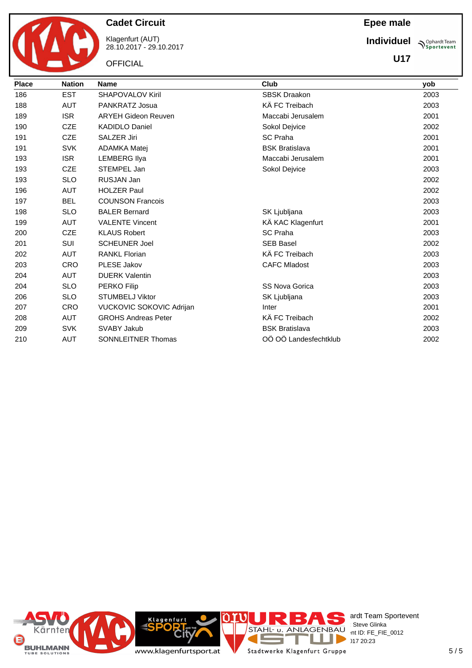

Klagenfurt (AUT) 28.10.2017 - 29.10.2017

**OFFICIAL** 

**Epee male**

**Individuel**

**Sportevent U17**

| <b>Place</b> | <b>Nation</b> | <b>Name</b>                | Club                  | yob  |
|--------------|---------------|----------------------------|-----------------------|------|
| 186          | <b>EST</b>    | <b>SHAPOVALOV Kiril</b>    | <b>SBSK Draakon</b>   | 2003 |
| 188          | <b>AUT</b>    | PANKRATZ Josua             | KÄ FC Treibach        | 2003 |
| 189          | <b>ISR</b>    | <b>ARYEH Gideon Reuven</b> | Maccabi Jerusalem     | 2001 |
| 190          | <b>CZE</b>    | <b>KADIDLO Daniel</b>      | Sokol Dejvice         | 2002 |
| 191          | <b>CZE</b>    | <b>SALZER Jiri</b>         | <b>SC Praha</b>       | 2001 |
| 191          | <b>SVK</b>    | <b>ADAMKA Matej</b>        | <b>BSK Bratislava</b> | 2001 |
| 193          | <b>ISR</b>    | <b>LEMBERG Ilya</b>        | Maccabi Jerusalem     | 2001 |
| 193          | <b>CZE</b>    | STEMPEL Jan                | Sokol Dejvice         | 2003 |
| 193          | <b>SLO</b>    | RUSJAN Jan                 |                       | 2002 |
| 196          | <b>AUT</b>    | <b>HOLZER Paul</b>         |                       | 2002 |
| 197          | <b>BEL</b>    | <b>COUNSON Francois</b>    |                       | 2003 |
| 198          | <b>SLO</b>    | <b>BALER Bernard</b>       | SK Ljubljana          | 2003 |
| 199          | <b>AUT</b>    | <b>VALENTE Vincent</b>     | KÄ KAC Klagenfurt     | 2001 |
| 200          | <b>CZE</b>    | <b>KLAUS Robert</b>        | <b>SC Praha</b>       | 2003 |
| 201          | <b>SUI</b>    | <b>SCHEUNER Joel</b>       | <b>SEB Basel</b>      | 2002 |
| 202          | <b>AUT</b>    | <b>RANKL Florian</b>       | KÄ FC Treibach        | 2003 |
| 203          | <b>CRO</b>    | PLESE Jakov                | <b>CAFC Mladost</b>   | 2003 |
| 204          | <b>AUT</b>    | <b>DUERK Valentin</b>      |                       | 2003 |
| 204          | <b>SLO</b>    | <b>PERKO Filip</b>         | SS Nova Gorica        | 2003 |
| 206          | <b>SLO</b>    | <b>STUMBELJ Viktor</b>     | SK Ljubljana          | 2003 |
| 207          | <b>CRO</b>    | VUCKOVIC SOKOVIC Adrijan   | Inter                 | 2001 |
| 208          | <b>AUT</b>    | <b>GROHS Andreas Peter</b> | KÄ FC Treibach        | 2002 |
| 209          | <b>SVK</b>    | SVABY Jakub                | <b>BSK Bratislava</b> | 2003 |
| 210          | <b>AUT</b>    | <b>SONNLEITNER Thomas</b>  | OÖ OÖ Landesfechtklub | 2002 |

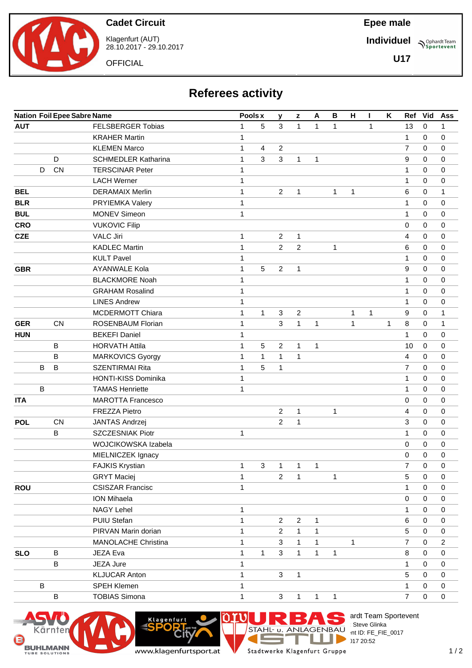

Klagenfurt (AUT) 28.10.2017 - 29.10.2017

**OFFICIAL** 

## **Epee male**

**Individuel**

**U17**

**Sportevent** 

# **Referees activity**

|            |         | <b>Nation Foil Epee Sabre Name</b> |                            | Pools x      |  | y | $\mathbf{z}$   | A              | $\, {\bf B}$ | н            | L            | K            | Ref | Vid            | Ass         |                |
|------------|---------|------------------------------------|----------------------------|--------------|--|---|----------------|----------------|--------------|--------------|--------------|--------------|-----|----------------|-------------|----------------|
| <b>AUT</b> |         |                                    | <b>FELSBERGER Tobias</b>   | $\mathbf{1}$ |  | 5 | 3              | $\mathbf{1}$   | $\mathbf{1}$ | $\mathbf{1}$ |              | 1            |     | 13             | $\mathbf 0$ | 1              |
|            |         |                                    | <b>KRAHER Martin</b>       | $\mathbf 1$  |  |   |                |                |              |              |              |              |     | 1              | 0           | 0              |
|            |         |                                    | <b>KLEMEN Marco</b>        | $\mathbf 1$  |  | 4 | 2              |                |              |              |              |              |     | $\overline{7}$ | 0           | 0              |
|            |         | D                                  | <b>SCHMEDLER Katharina</b> | $\mathbf{1}$ |  | 3 | 3              | $\mathbf{1}$   | 1            |              |              |              |     | 9              | 0           | 0              |
|            | D       | CN                                 | <b>TERSCINAR Peter</b>     | $\mathbf 1$  |  |   |                |                |              |              |              |              |     | $\mathbf{1}$   | 0           | 0              |
|            |         |                                    | <b>LACH Werner</b>         | $\mathbf 1$  |  |   |                |                |              |              |              |              |     | 1              | 0           | 0              |
| <b>BEL</b> |         |                                    | <b>DERAMAIX Merlin</b>     | $\mathbf 1$  |  |   | $\overline{2}$ | 1              |              | $\mathbf{1}$ | 1            |              |     | 6              | 0           | 1              |
| <b>BLR</b> |         |                                    | PRYIEMKA Valery            | $\mathbf 1$  |  |   |                |                |              |              |              |              |     | $\mathbf{1}$   | 0           | 0              |
| <b>BUL</b> |         |                                    | <b>MONEV Simeon</b>        | $\mathbf 1$  |  |   |                |                |              |              |              |              |     | $\mathbf{1}$   | 0           | 0              |
| <b>CRO</b> |         |                                    | <b>VUKOVIC Filip</b>       |              |  |   |                |                |              |              |              |              |     | 0              | 0           | 0              |
| <b>CZE</b> |         |                                    | <b>VALC Jiri</b>           | $\mathbf 1$  |  |   | $\overline{2}$ | $\mathbf{1}$   |              |              |              |              |     | 4              | 0           | 0              |
|            |         |                                    | <b>KADLEC Martin</b>       | $\mathbf{1}$ |  |   | $\overline{2}$ | $\overline{c}$ |              | $\mathbf{1}$ |              |              |     | 6              | 0           | 0              |
|            |         |                                    | <b>KULT Pavel</b>          | 1            |  |   |                |                |              |              |              |              |     | 1              | 0           | 0              |
| <b>GBR</b> |         |                                    | <b>AYANWALE Kola</b>       | $\mathbf{1}$ |  | 5 | $\overline{2}$ | $\mathbf{1}$   |              |              |              |              |     | 9              | 0           | 0              |
|            |         |                                    | <b>BLACKMORE Noah</b>      | $\mathbf 1$  |  |   |                |                |              |              |              |              |     | $\mathbf{1}$   | 0           | 0              |
|            |         |                                    | <b>GRAHAM Rosalind</b>     | $\mathbf 1$  |  |   |                |                |              |              |              |              |     | 1              | 0           | 0              |
|            |         |                                    | <b>LINES Andrew</b>        | $\mathbf 1$  |  |   |                |                |              |              |              |              |     | $\mathbf{1}$   | 0           | 0              |
|            |         |                                    | <b>MCDERMOTT Chiara</b>    | $\mathbf 1$  |  | 1 | 3              | $\overline{c}$ |              |              | $\mathbf{1}$ | $\mathbf{1}$ |     | 9              | 0           | $\mathbf{1}$   |
| <b>GER</b> |         | <b>CN</b>                          | ROSENBAUM Florian          | $\mathbf 1$  |  |   | 3              | $\mathbf{1}$   | 1            |              | $\mathbf{1}$ |              | 1   | 8              | 0           | 1              |
| <b>HUN</b> |         |                                    | <b>BEKEFI Daniel</b>       | 1            |  |   |                |                |              |              |              |              |     | 1              | 0           | 0              |
|            |         | B                                  | <b>HORVATH Attila</b>      | $\mathbf 1$  |  | 5 | 2              | $\mathbf{1}$   | 1            |              |              |              |     | 10             | $\mathbf 0$ | 0              |
|            |         | B                                  | MARKOVICS Gyorgy           | $\mathbf 1$  |  | 1 | $\mathbf{1}$   | $\mathbf{1}$   |              |              |              |              |     | 4              | 0           | 0              |
|            | B       | B                                  | <b>SZENTIRMAI Rita</b>     | $\mathbf 1$  |  | 5 | 1              |                |              |              |              |              |     | 7              | 0           | 0              |
|            |         |                                    | <b>HONTI-KISS Dominika</b> | 1            |  |   |                |                |              |              |              |              |     | 1              | 0           | 0              |
|            | В       |                                    | <b>TAMAS Henriette</b>     | 1            |  |   |                |                |              |              |              |              |     | 1              | 0           | 0              |
| <b>ITA</b> |         |                                    | <b>MAROTTA Francesco</b>   |              |  |   |                |                |              |              |              |              |     | 0              | 0           | 0              |
|            |         |                                    | <b>FREZZA Pietro</b>       |              |  |   | $\overline{2}$ | $\mathbf{1}$   |              | $\mathbf{1}$ |              |              |     | 4              | 0           | 0              |
| <b>POL</b> |         | <b>CN</b>                          | JANTAS Andrzej             |              |  |   | $\overline{2}$ | $\mathbf{1}$   |              |              |              |              |     | 3              | 0           | 0              |
|            |         | B                                  | SZCZESNIAK Piotr           | 1            |  |   |                |                |              |              |              |              |     | 1              | 0           | 0              |
|            |         |                                    | WOJCIKOWSKA Izabela        |              |  |   |                |                |              |              |              |              |     | 0              | 0           | 0              |
|            |         |                                    | MIELNICZEK Ignacy          |              |  |   |                |                |              |              |              |              |     | 0              | 0           | 0              |
|            |         |                                    | <b>FAJKIS Krystian</b>     | $\mathbf{1}$ |  | 3 | $\mathbf{1}$   | $\overline{1}$ | $\mathbf{1}$ |              |              |              |     | $\overline{7}$ | 0           | 0              |
|            |         |                                    | <b>GRYT Maciej</b>         | 1            |  |   | $\overline{2}$ | $\mathbf{1}$   |              | 1            |              |              |     | 5              | 0           | 0              |
| <b>ROU</b> |         |                                    | <b>CSISZAR Francisc</b>    | $\mathbf{1}$ |  |   |                |                |              |              |              |              |     | 1              | 0           | 0              |
|            |         |                                    | <b>ION Mihaela</b>         |              |  |   |                |                |              |              |              |              |     | 0              | 0           | 0              |
|            |         |                                    | <b>NAGY Lehel</b>          | 1            |  |   |                |                |              |              |              |              |     | 1              | 0           | 0              |
|            |         |                                    | PUIU Stefan                | 1            |  |   | $\overline{2}$ | $\mathbf{2}$   | 1            |              |              |              |     | 6              | 0           | 0              |
|            |         |                                    | PIRVAN Marin dorian        | $\mathbf{1}$ |  |   | 2              | $\mathbf{1}$   | 1            |              |              |              |     | 5              | 0           | 0              |
|            |         |                                    | <b>MANOLACHE Christina</b> | $\mathbf 1$  |  |   | 3              | $\mathbf{1}$   | $\mathbf{1}$ |              | 1            |              |     | $\overline{7}$ | 0           | $\overline{c}$ |
| <b>SLO</b> |         | В                                  | JEZA Eva                   | $\mathbf 1$  |  | 1 | 3              | $\mathbf{1}$   | $\mathbf{1}$ | $\mathbf{1}$ |              |              |     | 8              | 0           | 0              |
|            |         | B                                  | JEZA Jure                  | 1            |  |   |                |                |              |              |              |              |     | 1              | 0           | 0              |
|            |         |                                    | <b>KLJUCAR Anton</b>       | $\mathbf 1$  |  |   | 3              | $\mathbf{1}$   |              |              |              |              |     | 5              | 0           | 0              |
|            | $\sf B$ |                                    | SPEH Klemen                | 1            |  |   |                |                |              |              |              |              |     | 1              | 0           | 0              |
|            |         | $\mathsf B$                        | <b>TOBIAS Simona</b>       | $\mathbf 1$  |  |   | 3              | 1              | $\mathbf{1}$ | $\mathbf{1}$ |              |              |     | $\overline{7}$ | 0           | $\pmb{0}$      |

M

F

**CONTRACT** 

∩





`it

Klagenfurt



Е

ardt Team Sportevent<br>∶Steve Glinka

**License:** Steve Glinka  $P^{\sim}$  nt ID: FE\_FIE\_0017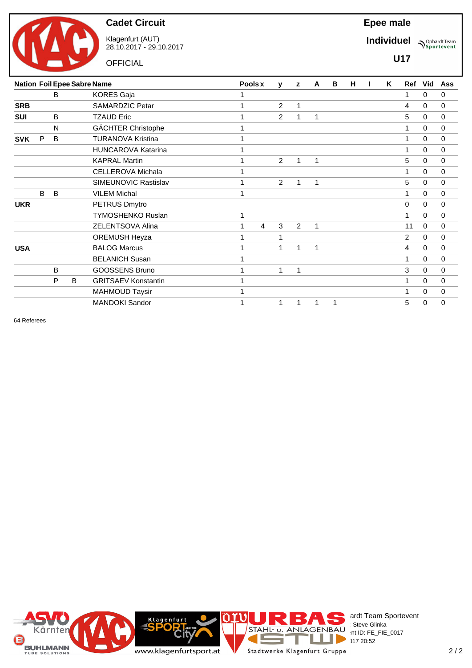

**OFFICIAL** 

Klagenfurt (AUT) 28.10.2017 - 29.10.2017 **Epee male**

**Individuel Sportevent** 

**U17**

|            |   |   |   | <b>Nation Foil Epee Sabre Name</b> | Pools x |                | v              | z | A | В | н | K | Ref            | Vid          | <b>Ass</b>  |
|------------|---|---|---|------------------------------------|---------|----------------|----------------|---|---|---|---|---|----------------|--------------|-------------|
|            |   | B |   | <b>KORES Gaja</b>                  | 1       |                |                |   |   |   |   |   | 1              | 0            | 0           |
| <b>SRB</b> |   |   |   | SAMARDZIC Petar                    | 1       |                | $\overline{2}$ | 1 |   |   |   |   | 4              | $\Omega$     | 0           |
| <b>SUI</b> |   | B |   | <b>TZAUD Eric</b>                  | 1       |                | $\overline{2}$ | 1 | 1 |   |   |   | 5              | 0            | 0           |
|            |   | N |   | GÄCHTER Christophe                 | 1       |                |                |   |   |   |   |   | 1              | 0            | $\mathbf 0$ |
| <b>SVK</b> | P | B |   | <b>TURANOVA Kristina</b>           | 1       |                |                |   |   |   |   |   | 1              | $\Omega$     | $\mathbf 0$ |
|            |   |   |   | <b>HUNCAROVA Katarina</b>          | 1       |                |                |   |   |   |   |   | 1              | $\mathbf{0}$ | $\mathbf 0$ |
|            |   |   |   | <b>KAPRAL Martin</b>               | 1       |                | 2              | 1 | 1 |   |   |   | 5              | 0            | $\mathbf 0$ |
|            |   |   |   | CELLEROVA Michala                  | 1       |                |                |   |   |   |   |   | 1              | 0            | $\Omega$    |
|            |   |   |   | SIMEUNOVIC Rastislav               | 1       |                | 2              | 1 | 1 |   |   |   | 5              | $\Omega$     | $\mathbf 0$ |
|            | B | B |   | <b>VILEM Michal</b>                | 1       |                |                |   |   |   |   |   | 1              | $\mathbf{0}$ | $\mathbf 0$ |
| <b>UKR</b> |   |   |   | PETRUS Dmytro                      |         |                |                |   |   |   |   |   | 0              | $\Omega$     | $\mathbf 0$ |
|            |   |   |   | <b>TYMOSHENKO Ruslan</b>           | 1       |                |                |   |   |   |   |   | 1              | $\Omega$     | $\mathbf 0$ |
|            |   |   |   | ZELENTSOVA Alina                   | 1       | $\overline{4}$ | 3              | 2 | 1 |   |   |   | 11             | $\Omega$     | $\mathbf 0$ |
|            |   |   |   | <b>OREMUSH Heyza</b>               | 1       |                | 1              |   |   |   |   |   | $\overline{2}$ | $\mathbf 0$  | $\mathbf 0$ |
| <b>USA</b> |   |   |   | <b>BALOG Marcus</b>                | 1       |                | 1              | 1 | 1 |   |   |   | 4              | $\Omega$     | $\mathbf 0$ |
|            |   |   |   | <b>BELANICH Susan</b>              | 1       |                |                |   |   |   |   |   | 1              | $\Omega$     | $\mathbf 0$ |
|            |   | B |   | <b>GOOSSENS Bruno</b>              | 1       |                | 1              | 1 |   |   |   |   | 3              | $\Omega$     | $\mathbf 0$ |
|            |   | P | B | <b>GRITSAEV Konstantin</b>         | 1       |                |                |   |   |   |   |   | 1              | 0            | $\mathbf 0$ |
|            |   |   |   | <b>MAHMOUD Taysir</b>              |         |                |                |   |   |   |   |   |                | 0            | $\mathbf 0$ |
|            |   |   |   | <b>MANDOKI Sandor</b>              | 1       |                | 1              | 1 | 1 | 1 |   |   | 5              | 0            | 0           |

64 Referees